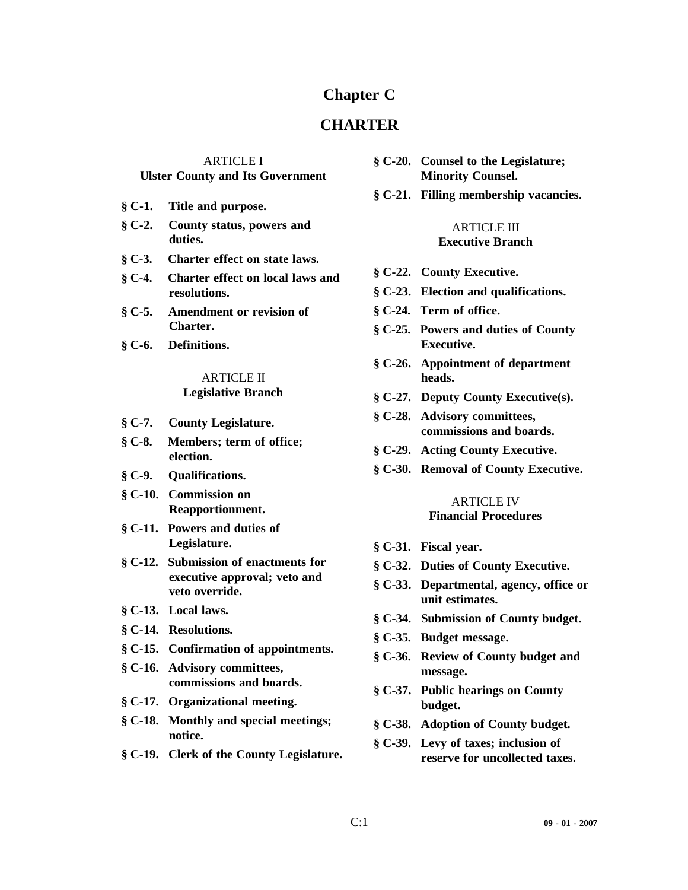# **Chapter C**

# **CHARTER**

# ARTICLE I **Ulster County and Its Government**

- **§ C-1. Title and purpose.**
- **§ C-2. County status, powers and duties.**
- **§ C-3. Charter effect on state laws.**
- **§ C-4. Charter effect on local laws and resolutions.**
- **§ C-5. Amendment or revision of Charter.**
- **§ C-6. Definitions.**

# ARTICLE II **Legislative Branch**

- **§ C-7. County Legislature.**
- **§ C-8. Members; term of office; election.**
- **§ C-9. Qualifications.**
- **§ C-10. Commission on Reapportionment.**
- **§ C-11. Powers and duties of Legislature.**
- **§ C-12. Submission of enactments for executive approval; veto and veto override.**
- **§ C-13. Local laws.**
- **§ C-14. Resolutions.**
- **§ C-15. Confirmation of appointments.**
- **§ C-16. Advisory committees, commissions and boards.**
- **§ C-17. Organizational meeting.**
- **§ C-18. Monthly and special meetings; notice.**
- **§ C-19. Clerk of the County Legislature.**
- **§ C-20. Counsel to the Legislature; Minority Counsel.**
- **§ C-21. Filling membership vacancies.**

#### ARTICLE III **Executive Branch**

- **§ C-22. County Executive.**
- **§ C-23. Election and qualifications.**
- **§ C-24. Term of office.**
- **§ C-25. Powers and duties of County Executive.**
- **§ C-26. Appointment of department heads.**
- **§ C-27. Deputy County Executive(s).**
- **§ C-28. Advisory committees, commissions and boards.**
- **§ C-29. Acting County Executive.**
- **§ C-30. Removal of County Executive.**

#### ARTICLE IV **Financial Procedures**

- **§ C-31. Fiscal year.**
- **§ C-32. Duties of County Executive.**
- **§ C-33. Departmental, agency, office or unit estimates.**
- **§ C-34. Submission of County budget.**
- **§ C-35. Budget message.**
- **§ C-36. Review of County budget and message.**
- **§ C-37. Public hearings on County budget.**
- **§ C-38. Adoption of County budget.**
- **§ C-39. Levy of taxes; inclusion of reserve for uncollected taxes.**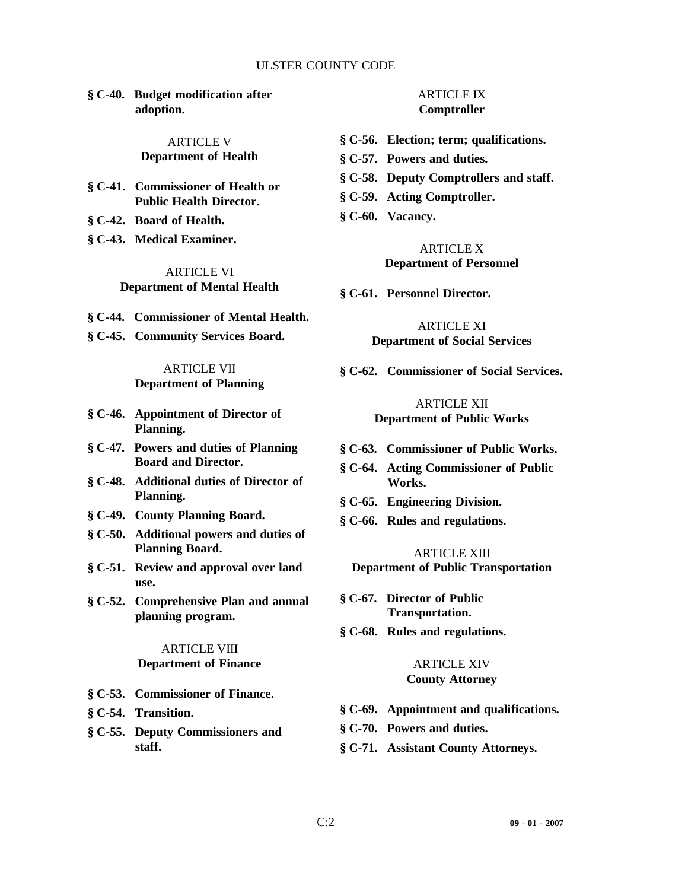#### ULSTER COUNTY CODE

**§ C-40. Budget modification after adoption.**

#### ARTICLE V **Department of Health**

- **§ C-41. Commissioner of Health or Public Health Director.**
- **§ C-42. Board of Health.**
- **§ C-43. Medical Examiner.**

# ARTICLE VI **Department of Mental Health**

- **§ C-44. Commissioner of Mental Health.**
- **§ C-45. Community Services Board.**

ARTICLE VII **Department of Planning**

- **§ C-46. Appointment of Director of Planning.**
- **§ C-47. Powers and duties of Planning Board and Director.**
- **§ C-48. Additional duties of Director of Planning.**
- **§ C-49. County Planning Board.**
- **§ C-50. Additional powers and duties of Planning Board.**
- **§ C-51. Review and approval over land use.**
- **§ C-52. Comprehensive Plan and annual planning program.**

ARTICLE VIII **Department of Finance**

- **§ C-53. Commissioner of Finance.**
- **§ C-54. Transition.**
- **§ C-55. Deputy Commissioners and staff.**

# ARTICLE IX **Comptroller**

- **§ C-56. Election; term; qualifications.**
- **§ C-57. Powers and duties.**
- **§ C-58. Deputy Comptrollers and staff.**
- **§ C-59. Acting Comptroller.**
- **§ C-60. Vacancy.**

ARTICLE X **Department of Personnel**

**§ C-61. Personnel Director.**

ARTICLE XI **Department of Social Services**

**§ C-62. Commissioner of Social Services.**

#### ARTICLE XII **Department of Public Works**

- **§ C-63. Commissioner of Public Works.**
- **§ C-64. Acting Commissioner of Public Works.**
- **§ C-65. Engineering Division.**
- **§ C-66. Rules and regulations.**

ARTICLE XIII **Department of Public Transportation**

- **§ C-67. Director of Public Transportation.**
- **§ C-68. Rules and regulations.**

# ARTICLE XIV **County Attorney**

- **§ C-69. Appointment and qualifications.**
- **§ C-70. Powers and duties.**
- **§ C-71. Assistant County Attorneys.**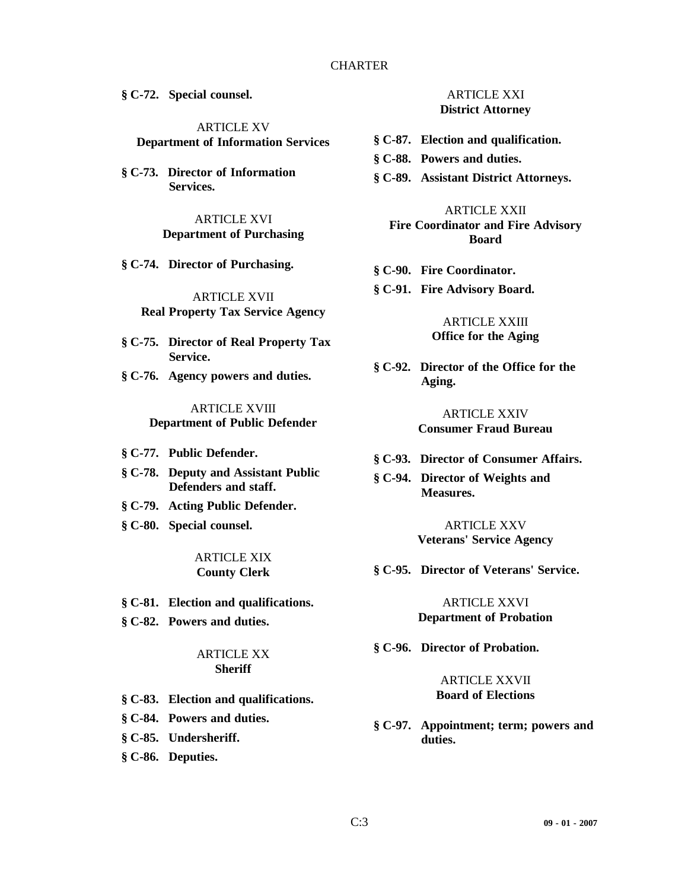# CHARTER

**§ C-72. Special counsel.**

ARTICLE XV **Department of Information Services**

**§ C-73. Director of Information Services.**

> ARTICLE XVI **Department of Purchasing**

**§ C-74. Director of Purchasing.**

ARTICLE XVII **Real Property Tax Service Agency**

- **§ C-75. Director of Real Property Tax Service.**
- **§ C-76. Agency powers and duties.**

ARTICLE XVIII **Department of Public Defender**

- **§ C-77. Public Defender.**
- **§ C-78. Deputy and Assistant Public Defenders and staff.**
- **§ C-79. Acting Public Defender.**
- **§ C-80. Special counsel.**

ARTICLE XIX **County Clerk**

- **§ C-81. Election and qualifications.**
- **§ C-82. Powers and duties.**

#### ARTICLE XX **Sheriff**

- **§ C-83. Election and qualifications.**
- **§ C-84. Powers and duties.**
- **§ C-85. Undersheriff.**
- **§ C-86. Deputies.**

ARTICLE XXI **District Attorney**

- **§ C-87. Election and qualification.**
- **§ C-88. Powers and duties.**
- **§ C-89. Assistant District Attorneys.**

ARTICLE XXII **Fire Coordinator and Fire Advisory Board**

- **§ C-90. Fire Coordinator.**
- **§ C-91. Fire Advisory Board.**

# ARTICLE XXIII **Office for the Aging**

**§ C-92. Director of the Office for the Aging.**

> ARTICLE XXIV **Consumer Fraud Bureau**

- **§ C-93. Director of Consumer Affairs.**
- **§ C-94. Director of Weights and Measures.**

ARTICLE XXV **Veterans' Service Agency**

**§ C-95. Director of Veterans' Service.**

#### ARTICLE XXVI **Department of Probation**

**§ C-96. Director of Probation.**

#### ARTICLE XXVII **Board of Elections**

**§ C-97. Appointment; term; powers and duties.**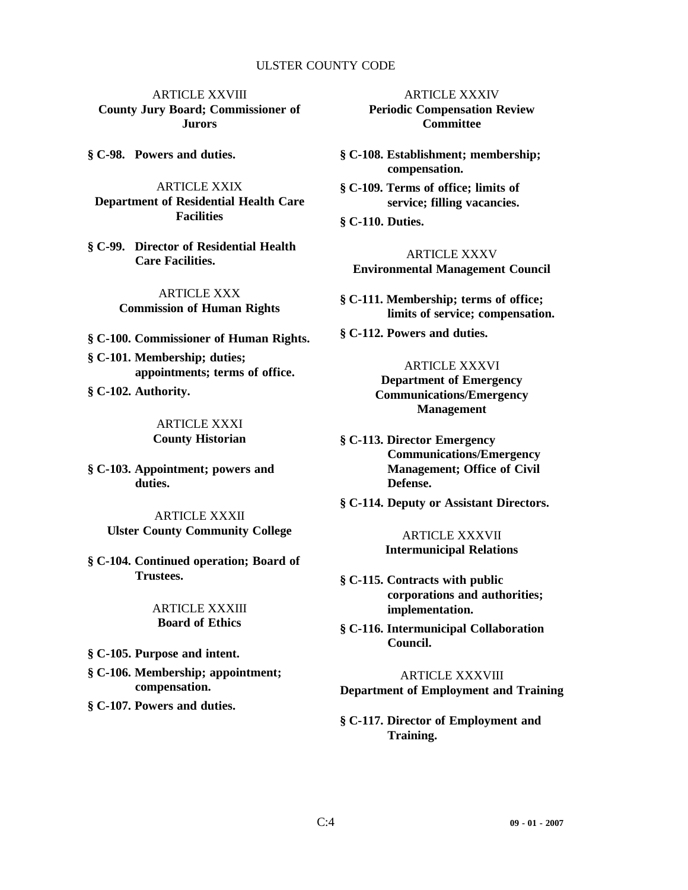#### ULSTER COUNTY CODE

ARTICLE XXVIII **County Jury Board; Commissioner of Jurors**

**§ C-98. Powers and duties.**

ARTICLE XXIX **Department of Residential Health Care Facilities**

**§ C-99. Director of Residential Health Care Facilities.**

> ARTICLE XXX **Commission of Human Rights**

- **§ C-100. Commissioner of Human Rights.**
- **§ C-101. Membership; duties; appointments; terms of office.**
- **§ C-102. Authority.**

ARTICLE XXXI **County Historian**

**§ C-103. Appointment; powers and duties.**

> ARTICLE XXXII **Ulster County Community College**

**§ C-104. Continued operation; Board of Trustees.**

> ARTICLE XXXIII **Board of Ethics**

**§ C-105. Purpose and intent.**

- **§ C-106. Membership; appointment; compensation.**
- **§ C-107. Powers and duties.**

ARTICLE XXXIV **Periodic Compensation Review Committee**

**§ C-108. Establishment; membership; compensation.**

- **§ C-109. Terms of office; limits of service; filling vacancies.**
- **§ C-110. Duties.**

ARTICLE XXXV **Environmental Management Council**

**§ C-111. Membership; terms of office; limits of service; compensation.**

**§ C-112. Powers and duties.**

ARTICLE XXXVI **Department of Emergency Communications/Emergency Management**

**§ C-113. Director Emergency Communications/Emergency Management; Office of Civil Defense.**

**§ C-114. Deputy or Assistant Directors.**

ARTICLE XXXVII **Intermunicipal Relations**

- **§ C-115. Contracts with public corporations and authorities; implementation.**
- **§ C-116. Intermunicipal Collaboration Council.**

ARTICLE XXXVIII **Department of Employment and Training**

**§ C-117. Director of Employment and Training.**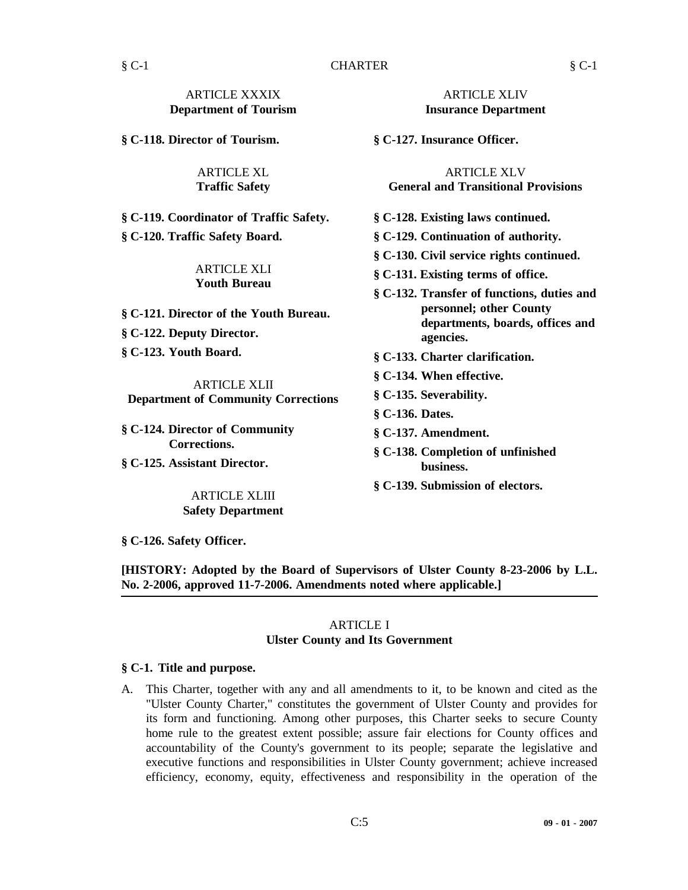**§ C-118. Director of Tourism.**

ARTICLE XL **Traffic Safety**

**§ C-119. Coordinator of Traffic Safety. § C-120. Traffic Safety Board.**

#### ARTICLE XLI **Youth Bureau**

**§ C-121. Director of the Youth Bureau.**

**§ C-122. Deputy Director.**

**§ C-123. Youth Board.**

ARTICLE XLII **Department of Community Corrections**

**§ C-124. Director of Community Corrections.**

**§ C-125. Assistant Director.**

# ARTICLE XLIII **Safety Department**

ARTICLE XLIV **Insurance Department**

**§ C-127. Insurance Officer.**

ARTICLE XLV **General and Transitional Provisions**

- **§ C-128. Existing laws continued.**
- **§ C-129. Continuation of authority.**

**§ C-130. Civil service rights continued.**

- **§ C-131. Existing terms of office.**
- **§ C-132. Transfer of functions, duties and personnel; other County departments, boards, offices and agencies.**
- **§ C-133. Charter clarification.**
- **§ C-134. When effective.**
- **§ C-135. Severability.**
- **§ C-136. Dates.**
- **§ C-137. Amendment.**
- **§ C-138. Completion of unfinished business.**
- **§ C-139. Submission of electors.**

**§ C-126. Safety Officer.**

**[HISTORY: Adopted by the Board of Supervisors of Ulster County 8-23-2006 by L.L. No. 2-2006, approved 11-7-2006. Amendments noted where applicable.]**

#### ARTICLE I **Ulster County and Its Government**

#### **§ C-1. Title and purpose.**

A. This Charter, together with any and all amendments to it, to be known and cited as the "Ulster County Charter," constitutes the government of Ulster County and provides for its form and functioning. Among other purposes, this Charter seeks to secure County home rule to the greatest extent possible; assure fair elections for County offices and accountability of the County's government to its people; separate the legislative and executive functions and responsibilities in Ulster County government; achieve increased efficiency, economy, equity, effectiveness and responsibility in the operation of the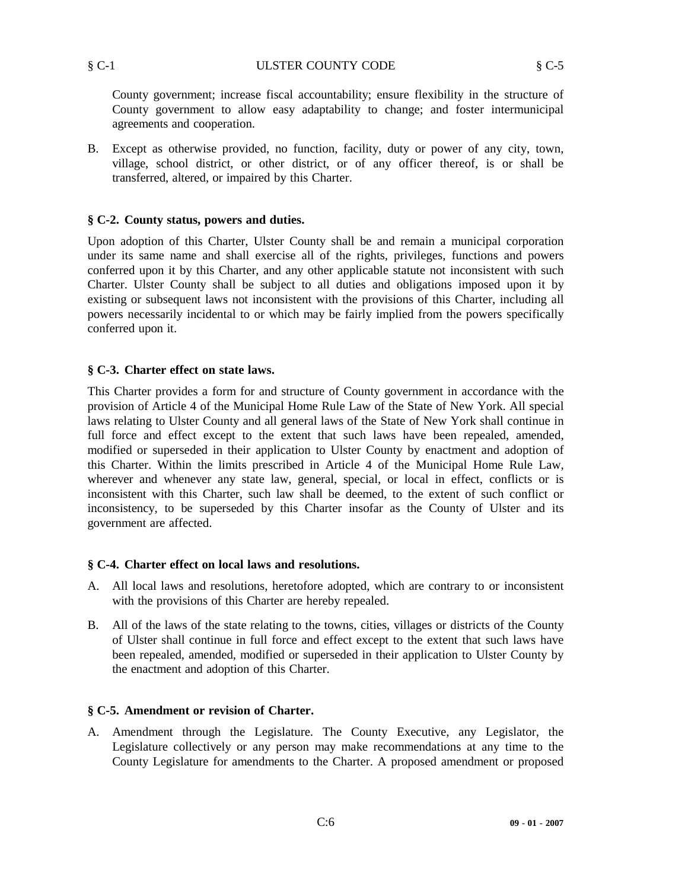County government; increase fiscal accountability; ensure flexibility in the structure of County government to allow easy adaptability to change; and foster intermunicipal agreements and cooperation.

B. Except as otherwise provided, no function, facility, duty or power of any city, town, village, school district, or other district, or of any officer thereof, is or shall be transferred, altered, or impaired by this Charter.

#### **§ C-2. County status, powers and duties.**

Upon adoption of this Charter, Ulster County shall be and remain a municipal corporation under its same name and shall exercise all of the rights, privileges, functions and powers conferred upon it by this Charter, and any other applicable statute not inconsistent with such Charter. Ulster County shall be subject to all duties and obligations imposed upon it by existing or subsequent laws not inconsistent with the provisions of this Charter, including all powers necessarily incidental to or which may be fairly implied from the powers specifically conferred upon it.

#### **§ C-3. Charter effect on state laws.**

This Charter provides a form for and structure of County government in accordance with the provision of Article 4 of the Municipal Home Rule Law of the State of New York. All special laws relating to Ulster County and all general laws of the State of New York shall continue in full force and effect except to the extent that such laws have been repealed, amended, modified or superseded in their application to Ulster County by enactment and adoption of this Charter. Within the limits prescribed in Article 4 of the Municipal Home Rule Law, wherever and whenever any state law, general, special, or local in effect, conflicts or is inconsistent with this Charter, such law shall be deemed, to the extent of such conflict or inconsistency, to be superseded by this Charter insofar as the County of Ulster and its government are affected.

#### **§ C-4. Charter effect on local laws and resolutions.**

- A. All local laws and resolutions, heretofore adopted, which are contrary to or inconsistent with the provisions of this Charter are hereby repealed.
- B. All of the laws of the state relating to the towns, cities, villages or districts of the County of Ulster shall continue in full force and effect except to the extent that such laws have been repealed, amended, modified or superseded in their application to Ulster County by the enactment and adoption of this Charter.

#### **§ C-5. Amendment or revision of Charter.**

A. Amendment through the Legislature. The County Executive, any Legislator, the Legislature collectively or any person may make recommendations at any time to the County Legislature for amendments to the Charter. A proposed amendment or proposed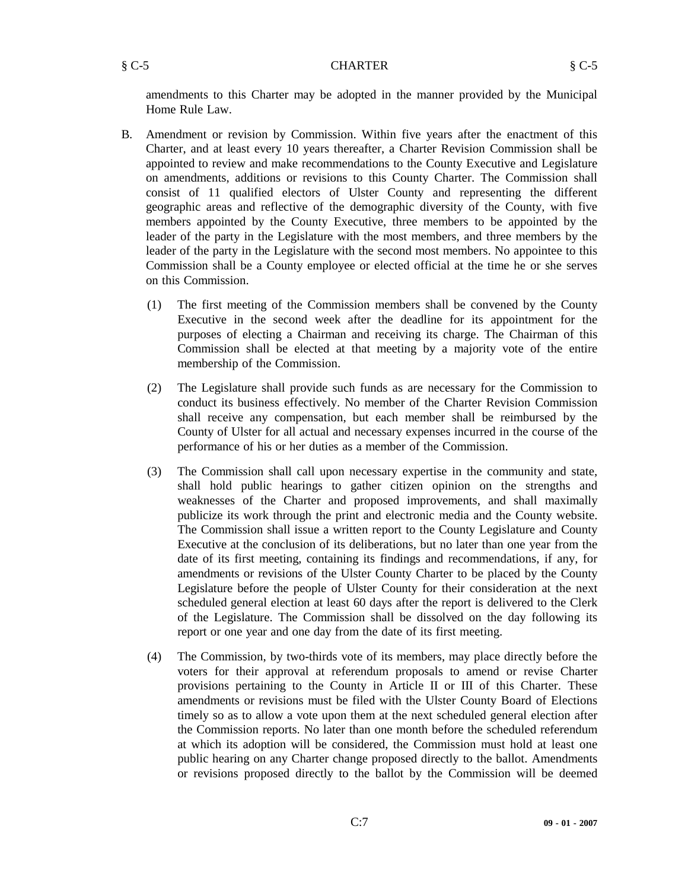#### § C-5 CHARTER § C-5

amendments to this Charter may be adopted in the manner provided by the Municipal Home Rule Law.

- B. Amendment or revision by Commission. Within five years after the enactment of this Charter, and at least every 10 years thereafter, a Charter Revision Commission shall be appointed to review and make recommendations to the County Executive and Legislature on amendments, additions or revisions to this County Charter. The Commission shall consist of 11 qualified electors of Ulster County and representing the different geographic areas and reflective of the demographic diversity of the County, with five members appointed by the County Executive, three members to be appointed by the leader of the party in the Legislature with the most members, and three members by the leader of the party in the Legislature with the second most members. No appointee to this Commission shall be a County employee or elected official at the time he or she serves on this Commission.
	- (1) The first meeting of the Commission members shall be convened by the County Executive in the second week after the deadline for its appointment for the purposes of electing a Chairman and receiving its charge. The Chairman of this Commission shall be elected at that meeting by a majority vote of the entire membership of the Commission.
	- (2) The Legislature shall provide such funds as are necessary for the Commission to conduct its business effectively. No member of the Charter Revision Commission shall receive any compensation, but each member shall be reimbursed by the County of Ulster for all actual and necessary expenses incurred in the course of the performance of his or her duties as a member of the Commission.
	- (3) The Commission shall call upon necessary expertise in the community and state, shall hold public hearings to gather citizen opinion on the strengths and weaknesses of the Charter and proposed improvements, and shall maximally publicize its work through the print and electronic media and the County website. The Commission shall issue a written report to the County Legislature and County Executive at the conclusion of its deliberations, but no later than one year from the date of its first meeting, containing its findings and recommendations, if any, for amendments or revisions of the Ulster County Charter to be placed by the County Legislature before the people of Ulster County for their consideration at the next scheduled general election at least 60 days after the report is delivered to the Clerk of the Legislature. The Commission shall be dissolved on the day following its report or one year and one day from the date of its first meeting.
	- (4) The Commission, by two-thirds vote of its members, may place directly before the voters for their approval at referendum proposals to amend or revise Charter provisions pertaining to the County in Article II or III of this Charter. These amendments or revisions must be filed with the Ulster County Board of Elections timely so as to allow a vote upon them at the next scheduled general election after the Commission reports. No later than one month before the scheduled referendum at which its adoption will be considered, the Commission must hold at least one public hearing on any Charter change proposed directly to the ballot. Amendments or revisions proposed directly to the ballot by the Commission will be deemed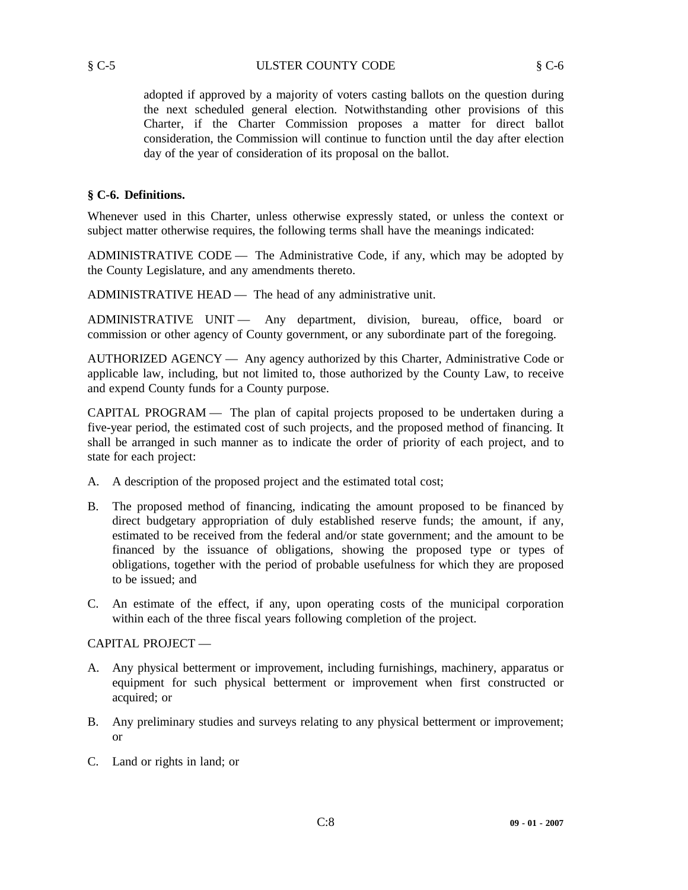adopted if approved by a majority of voters casting ballots on the question during the next scheduled general election. Notwithstanding other provisions of this Charter, if the Charter Commission proposes a matter for direct ballot consideration, the Commission will continue to function until the day after election day of the year of consideration of its proposal on the ballot.

# **§ C-6. Definitions.**

Whenever used in this Charter, unless otherwise expressly stated, or unless the context or subject matter otherwise requires, the following terms shall have the meanings indicated:

ADMINISTRATIVE CODE — The Administrative Code, if any, which may be adopted by the County Legislature, and any amendments thereto.

ADMINISTRATIVE HEAD — The head of any administrative unit.

ADMINISTRATIVE UNIT — Any department, division, bureau, office, board or commission or other agency of County government, or any subordinate part of the foregoing.

AUTHORIZED AGENCY — Any agency authorized by this Charter, Administrative Code or applicable law, including, but not limited to, those authorized by the County Law, to receive and expend County funds for a County purpose.

CAPITAL PROGRAM — The plan of capital projects proposed to be undertaken during a five-year period, the estimated cost of such projects, and the proposed method of financing. It shall be arranged in such manner as to indicate the order of priority of each project, and to state for each project:

- A. A description of the proposed project and the estimated total cost;
- B. The proposed method of financing, indicating the amount proposed to be financed by direct budgetary appropriation of duly established reserve funds; the amount, if any, estimated to be received from the federal and/or state government; and the amount to be financed by the issuance of obligations, showing the proposed type or types of obligations, together with the period of probable usefulness for which they are proposed to be issued; and
- C. An estimate of the effect, if any, upon operating costs of the municipal corporation within each of the three fiscal years following completion of the project.

# CAPITAL PROJECT —

- A. Any physical betterment or improvement, including furnishings, machinery, apparatus or equipment for such physical betterment or improvement when first constructed or acquired; or
- B. Any preliminary studies and surveys relating to any physical betterment or improvement; or
- C. Land or rights in land; or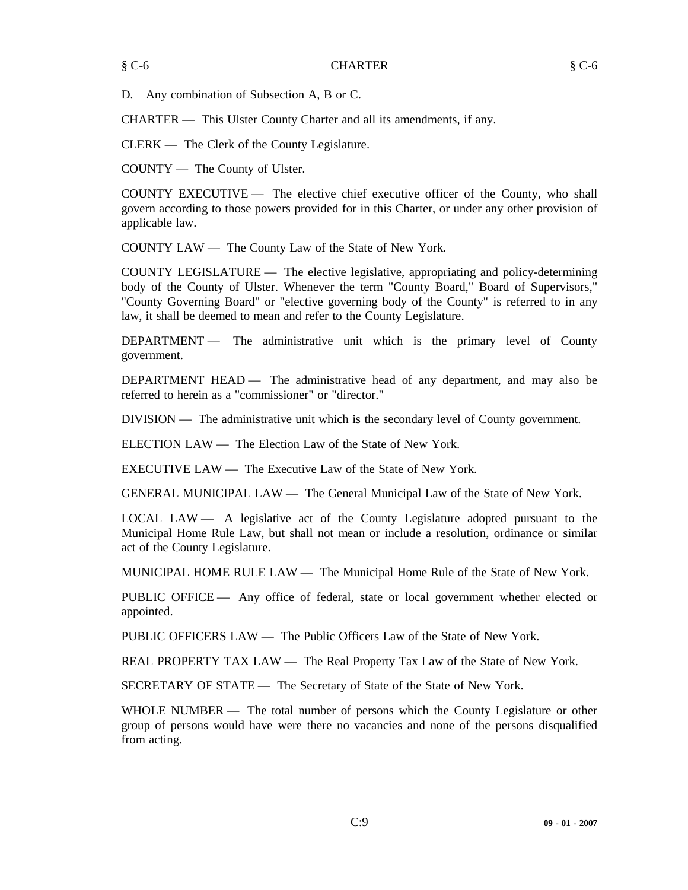D. Any combination of Subsection A, B or C.

CHARTER — This Ulster County Charter and all its amendments, if any.

CLERK — The Clerk of the County Legislature.

COUNTY — The County of Ulster.

COUNTY EXECUTIVE — The elective chief executive officer of the County, who shall govern according to those powers provided for in this Charter, or under any other provision of applicable law.

COUNTY LAW — The County Law of the State of New York.

COUNTY LEGISLATURE — The elective legislative, appropriating and policy-determining body of the County of Ulster. Whenever the term "County Board," Board of Supervisors," "County Governing Board" or "elective governing body of the County" is referred to in any law, it shall be deemed to mean and refer to the County Legislature.

DEPARTMENT — The administrative unit which is the primary level of County government.

DEPARTMENT HEAD — The administrative head of any department, and may also be referred to herein as a "commissioner" or "director."

DIVISION — The administrative unit which is the secondary level of County government.

ELECTION LAW — The Election Law of the State of New York.

EXECUTIVE LAW — The Executive Law of the State of New York.

GENERAL MUNICIPAL LAW — The General Municipal Law of the State of New York.

LOCAL LAW — A legislative act of the County Legislature adopted pursuant to the Municipal Home Rule Law, but shall not mean or include a resolution, ordinance or similar act of the County Legislature.

MUNICIPAL HOME RULE LAW — The Municipal Home Rule of the State of New York.

PUBLIC OFFICE — Any office of federal, state or local government whether elected or appointed.

PUBLIC OFFICERS LAW — The Public Officers Law of the State of New York.

REAL PROPERTY TAX LAW — The Real Property Tax Law of the State of New York.

SECRETARY OF STATE — The Secretary of State of the State of New York.

WHOLE NUMBER - The total number of persons which the County Legislature or other group of persons would have were there no vacancies and none of the persons disqualified from acting.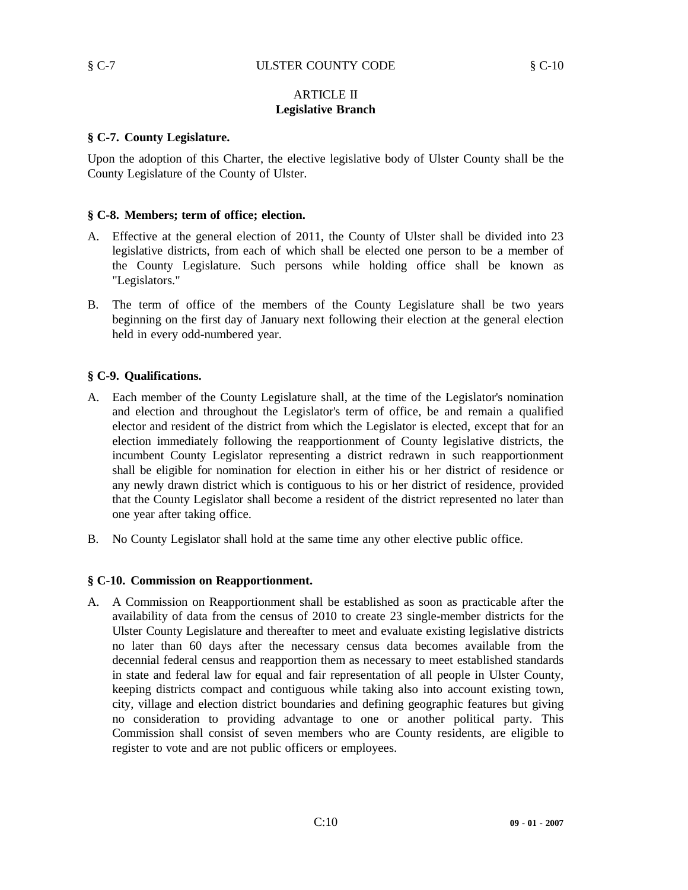# ARTICLE II **Legislative Branch**

#### **§ C-7. County Legislature.**

Upon the adoption of this Charter, the elective legislative body of Ulster County shall be the County Legislature of the County of Ulster.

#### **§ C-8. Members; term of office; election.**

- A. Effective at the general election of 2011, the County of Ulster shall be divided into 23 legislative districts, from each of which shall be elected one person to be a member of the County Legislature. Such persons while holding office shall be known as "Legislators."
- B. The term of office of the members of the County Legislature shall be two years beginning on the first day of January next following their election at the general election held in every odd-numbered year.

#### **§ C-9. Qualifications.**

- A. Each member of the County Legislature shall, at the time of the Legislator's nomination and election and throughout the Legislator's term of office, be and remain a qualified elector and resident of the district from which the Legislator is elected, except that for an election immediately following the reapportionment of County legislative districts, the incumbent County Legislator representing a district redrawn in such reapportionment shall be eligible for nomination for election in either his or her district of residence or any newly drawn district which is contiguous to his or her district of residence, provided that the County Legislator shall become a resident of the district represented no later than one year after taking office.
- B. No County Legislator shall hold at the same time any other elective public office.

# **§ C-10. Commission on Reapportionment.**

A. A Commission on Reapportionment shall be established as soon as practicable after the availability of data from the census of 2010 to create 23 single-member districts for the Ulster County Legislature and thereafter to meet and evaluate existing legislative districts no later than 60 days after the necessary census data becomes available from the decennial federal census and reapportion them as necessary to meet established standards in state and federal law for equal and fair representation of all people in Ulster County, keeping districts compact and contiguous while taking also into account existing town, city, village and election district boundaries and defining geographic features but giving no consideration to providing advantage to one or another political party. This Commission shall consist of seven members who are County residents, are eligible to register to vote and are not public officers or employees.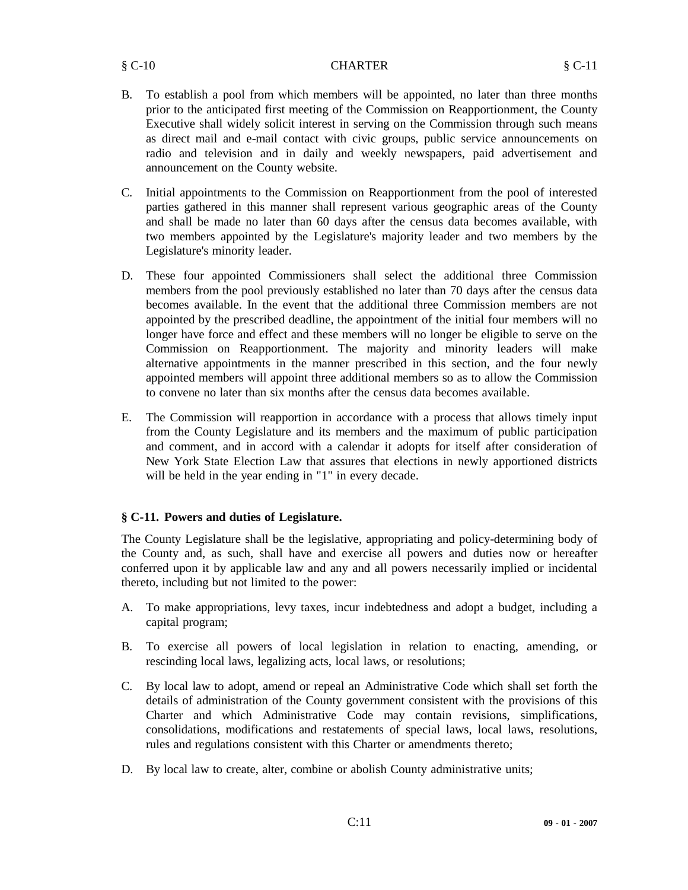- B. To establish a pool from which members will be appointed, no later than three months prior to the anticipated first meeting of the Commission on Reapportionment, the County Executive shall widely solicit interest in serving on the Commission through such means as direct mail and e-mail contact with civic groups, public service announcements on radio and television and in daily and weekly newspapers, paid advertisement and announcement on the County website.
- C. Initial appointments to the Commission on Reapportionment from the pool of interested parties gathered in this manner shall represent various geographic areas of the County and shall be made no later than 60 days after the census data becomes available, with two members appointed by the Legislature's majority leader and two members by the Legislature's minority leader.
- D. These four appointed Commissioners shall select the additional three Commission members from the pool previously established no later than 70 days after the census data becomes available. In the event that the additional three Commission members are not appointed by the prescribed deadline, the appointment of the initial four members will no longer have force and effect and these members will no longer be eligible to serve on the Commission on Reapportionment. The majority and minority leaders will make alternative appointments in the manner prescribed in this section, and the four newly appointed members will appoint three additional members so as to allow the Commission to convene no later than six months after the census data becomes available.
- E. The Commission will reapportion in accordance with a process that allows timely input from the County Legislature and its members and the maximum of public participation and comment, and in accord with a calendar it adopts for itself after consideration of New York State Election Law that assures that elections in newly apportioned districts will be held in the year ending in "1" in every decade.

# **§ C-11. Powers and duties of Legislature.**

The County Legislature shall be the legislative, appropriating and policy-determining body of the County and, as such, shall have and exercise all powers and duties now or hereafter conferred upon it by applicable law and any and all powers necessarily implied or incidental thereto, including but not limited to the power:

- A. To make appropriations, levy taxes, incur indebtedness and adopt a budget, including a capital program;
- B. To exercise all powers of local legislation in relation to enacting, amending, or rescinding local laws, legalizing acts, local laws, or resolutions;
- C. By local law to adopt, amend or repeal an Administrative Code which shall set forth the details of administration of the County government consistent with the provisions of this Charter and which Administrative Code may contain revisions, simplifications, consolidations, modifications and restatements of special laws, local laws, resolutions, rules and regulations consistent with this Charter or amendments thereto;
- D. By local law to create, alter, combine or abolish County administrative units;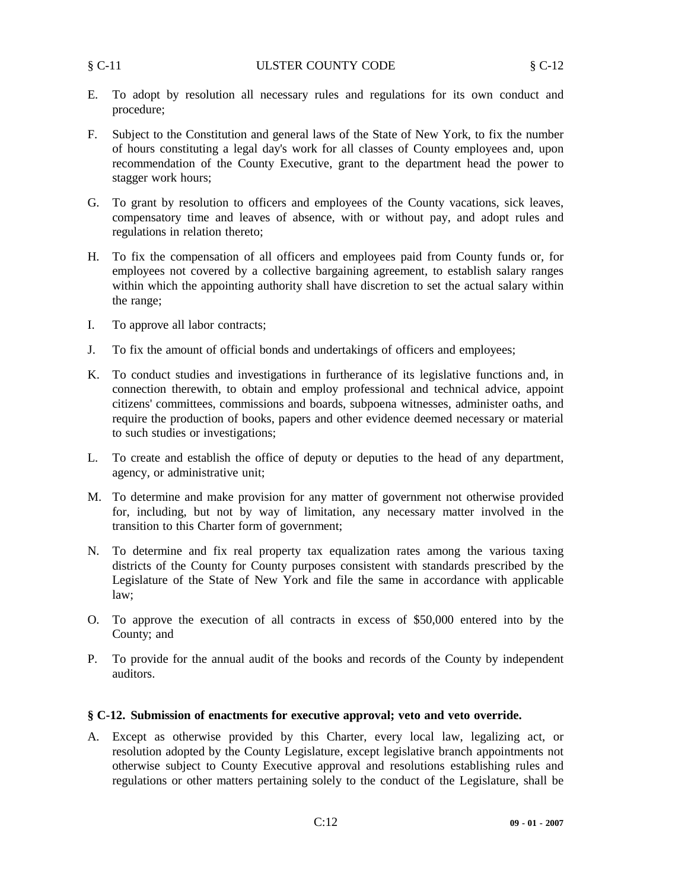- E. To adopt by resolution all necessary rules and regulations for its own conduct and procedure;
- F. Subject to the Constitution and general laws of the State of New York, to fix the number of hours constituting a legal day's work for all classes of County employees and, upon recommendation of the County Executive, grant to the department head the power to stagger work hours;
- G. To grant by resolution to officers and employees of the County vacations, sick leaves, compensatory time and leaves of absence, with or without pay, and adopt rules and regulations in relation thereto;
- H. To fix the compensation of all officers and employees paid from County funds or, for employees not covered by a collective bargaining agreement, to establish salary ranges within which the appointing authority shall have discretion to set the actual salary within the range;
- I. To approve all labor contracts;
- J. To fix the amount of official bonds and undertakings of officers and employees;
- K. To conduct studies and investigations in furtherance of its legislative functions and, in connection therewith, to obtain and employ professional and technical advice, appoint citizens' committees, commissions and boards, subpoena witnesses, administer oaths, and require the production of books, papers and other evidence deemed necessary or material to such studies or investigations;
- L. To create and establish the office of deputy or deputies to the head of any department, agency, or administrative unit;
- M. To determine and make provision for any matter of government not otherwise provided for, including, but not by way of limitation, any necessary matter involved in the transition to this Charter form of government;
- N. To determine and fix real property tax equalization rates among the various taxing districts of the County for County purposes consistent with standards prescribed by the Legislature of the State of New York and file the same in accordance with applicable law;
- O. To approve the execution of all contracts in excess of \$50,000 entered into by the County; and
- P. To provide for the annual audit of the books and records of the County by independent auditors.

#### **§ C-12. Submission of enactments for executive approval; veto and veto override.**

A. Except as otherwise provided by this Charter, every local law, legalizing act, or resolution adopted by the County Legislature, except legislative branch appointments not otherwise subject to County Executive approval and resolutions establishing rules and regulations or other matters pertaining solely to the conduct of the Legislature, shall be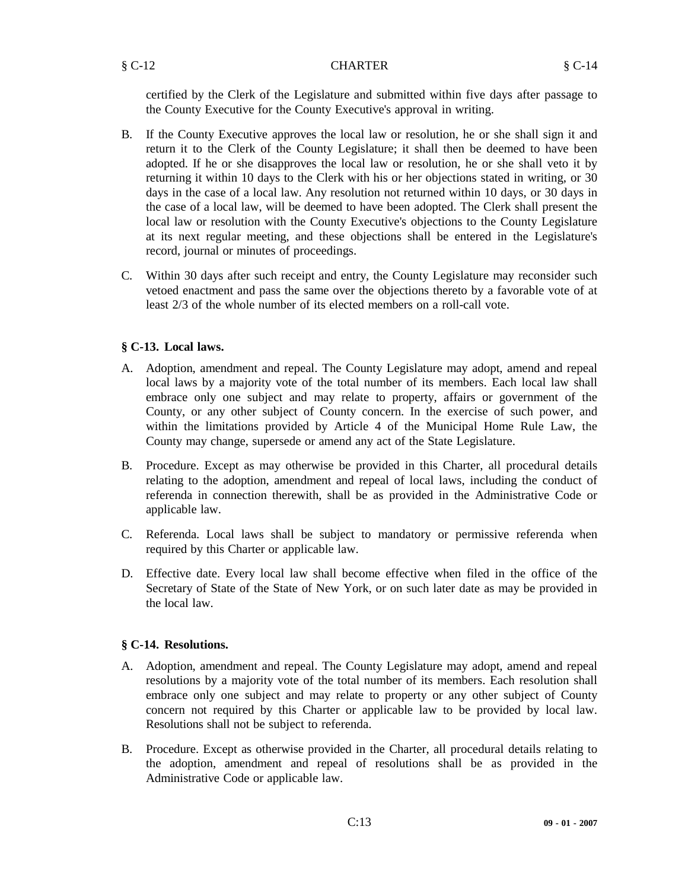#### § C-12 CHARTER § C-14

certified by the Clerk of the Legislature and submitted within five days after passage to the County Executive for the County Executive's approval in writing.

- B. If the County Executive approves the local law or resolution, he or she shall sign it and return it to the Clerk of the County Legislature; it shall then be deemed to have been adopted. If he or she disapproves the local law or resolution, he or she shall veto it by returning it within 10 days to the Clerk with his or her objections stated in writing, or 30 days in the case of a local law. Any resolution not returned within 10 days, or 30 days in the case of a local law, will be deemed to have been adopted. The Clerk shall present the local law or resolution with the County Executive's objections to the County Legislature at its next regular meeting, and these objections shall be entered in the Legislature's record, journal or minutes of proceedings.
- C. Within 30 days after such receipt and entry, the County Legislature may reconsider such vetoed enactment and pass the same over the objections thereto by a favorable vote of at least 2/3 of the whole number of its elected members on a roll-call vote.

# **§ C-13. Local laws.**

- A. Adoption, amendment and repeal. The County Legislature may adopt, amend and repeal local laws by a majority vote of the total number of its members. Each local law shall embrace only one subject and may relate to property, affairs or government of the County, or any other subject of County concern. In the exercise of such power, and within the limitations provided by Article 4 of the Municipal Home Rule Law, the County may change, supersede or amend any act of the State Legislature.
- B. Procedure. Except as may otherwise be provided in this Charter, all procedural details relating to the adoption, amendment and repeal of local laws, including the conduct of referenda in connection therewith, shall be as provided in the Administrative Code or applicable law.
- C. Referenda. Local laws shall be subject to mandatory or permissive referenda when required by this Charter or applicable law.
- D. Effective date. Every local law shall become effective when filed in the office of the Secretary of State of the State of New York, or on such later date as may be provided in the local law.

# **§ C-14. Resolutions.**

- A. Adoption, amendment and repeal. The County Legislature may adopt, amend and repeal resolutions by a majority vote of the total number of its members. Each resolution shall embrace only one subject and may relate to property or any other subject of County concern not required by this Charter or applicable law to be provided by local law. Resolutions shall not be subject to referenda.
- B. Procedure. Except as otherwise provided in the Charter, all procedural details relating to the adoption, amendment and repeal of resolutions shall be as provided in the Administrative Code or applicable law.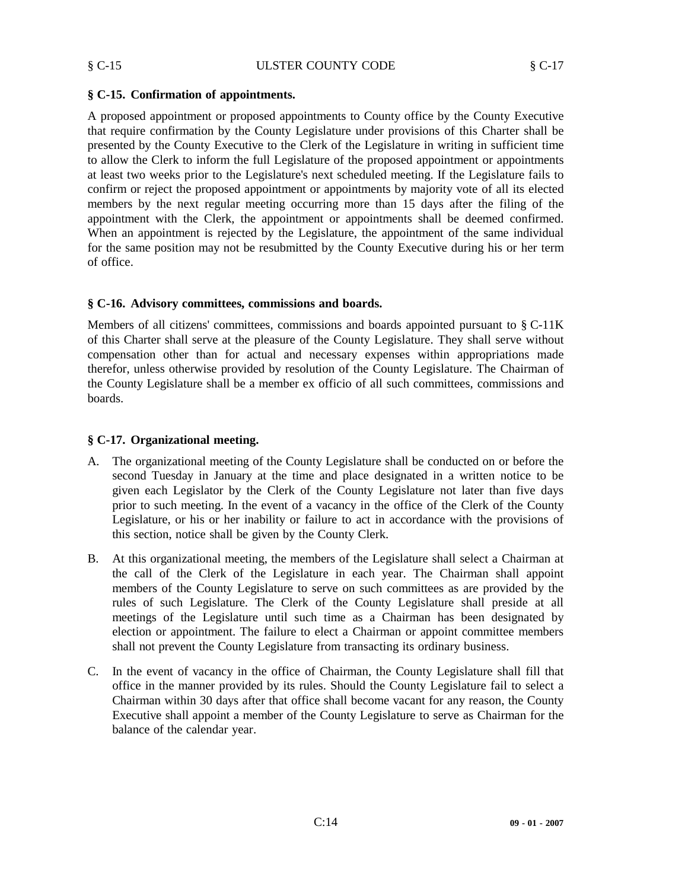# **§ C-15. Confirmation of appointments.**

A proposed appointment or proposed appointments to County office by the County Executive that require confirmation by the County Legislature under provisions of this Charter shall be presented by the County Executive to the Clerk of the Legislature in writing in sufficient time to allow the Clerk to inform the full Legislature of the proposed appointment or appointments at least two weeks prior to the Legislature's next scheduled meeting. If the Legislature fails to confirm or reject the proposed appointment or appointments by majority vote of all its elected members by the next regular meeting occurring more than 15 days after the filing of the appointment with the Clerk, the appointment or appointments shall be deemed confirmed. When an appointment is rejected by the Legislature, the appointment of the same individual for the same position may not be resubmitted by the County Executive during his or her term of office.

# **§ C-16. Advisory committees, commissions and boards.**

Members of all citizens' committees, commissions and boards appointed pursuant to § C-11K of this Charter shall serve at the pleasure of the County Legislature. They shall serve without compensation other than for actual and necessary expenses within appropriations made therefor, unless otherwise provided by resolution of the County Legislature. The Chairman of the County Legislature shall be a member ex officio of all such committees, commissions and boards.

# **§ C-17. Organizational meeting.**

- A. The organizational meeting of the County Legislature shall be conducted on or before the second Tuesday in January at the time and place designated in a written notice to be given each Legislator by the Clerk of the County Legislature not later than five days prior to such meeting. In the event of a vacancy in the office of the Clerk of the County Legislature, or his or her inability or failure to act in accordance with the provisions of this section, notice shall be given by the County Clerk.
- B. At this organizational meeting, the members of the Legislature shall select a Chairman at the call of the Clerk of the Legislature in each year. The Chairman shall appoint members of the County Legislature to serve on such committees as are provided by the rules of such Legislature. The Clerk of the County Legislature shall preside at all meetings of the Legislature until such time as a Chairman has been designated by election or appointment. The failure to elect a Chairman or appoint committee members shall not prevent the County Legislature from transacting its ordinary business.
- C. In the event of vacancy in the office of Chairman, the County Legislature shall fill that office in the manner provided by its rules. Should the County Legislature fail to select a Chairman within 30 days after that office shall become vacant for any reason, the County Executive shall appoint a member of the County Legislature to serve as Chairman for the balance of the calendar year.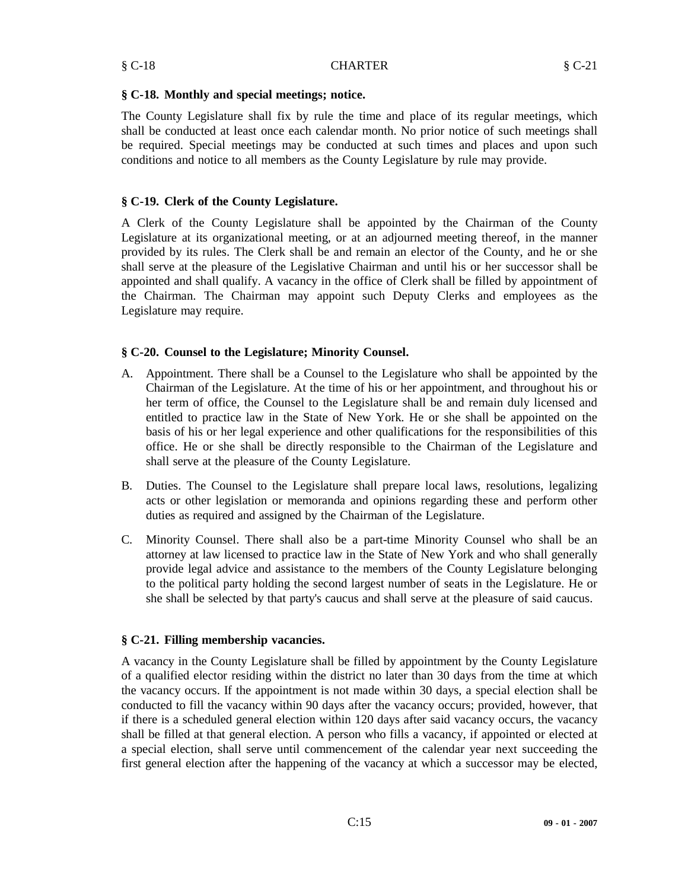The County Legislature shall fix by rule the time and place of its regular meetings, which shall be conducted at least once each calendar month. No prior notice of such meetings shall be required. Special meetings may be conducted at such times and places and upon such conditions and notice to all members as the County Legislature by rule may provide.

# **§ C-19. Clerk of the County Legislature.**

A Clerk of the County Legislature shall be appointed by the Chairman of the County Legislature at its organizational meeting, or at an adjourned meeting thereof, in the manner provided by its rules. The Clerk shall be and remain an elector of the County, and he or she shall serve at the pleasure of the Legislative Chairman and until his or her successor shall be appointed and shall qualify. A vacancy in the office of Clerk shall be filled by appointment of the Chairman. The Chairman may appoint such Deputy Clerks and employees as the Legislature may require.

# **§ C-20. Counsel to the Legislature; Minority Counsel.**

- A. Appointment. There shall be a Counsel to the Legislature who shall be appointed by the Chairman of the Legislature. At the time of his or her appointment, and throughout his or her term of office, the Counsel to the Legislature shall be and remain duly licensed and entitled to practice law in the State of New York. He or she shall be appointed on the basis of his or her legal experience and other qualifications for the responsibilities of this office. He or she shall be directly responsible to the Chairman of the Legislature and shall serve at the pleasure of the County Legislature.
- B. Duties. The Counsel to the Legislature shall prepare local laws, resolutions, legalizing acts or other legislation or memoranda and opinions regarding these and perform other duties as required and assigned by the Chairman of the Legislature.
- C. Minority Counsel. There shall also be a part-time Minority Counsel who shall be an attorney at law licensed to practice law in the State of New York and who shall generally provide legal advice and assistance to the members of the County Legislature belonging to the political party holding the second largest number of seats in the Legislature. He or she shall be selected by that party's caucus and shall serve at the pleasure of said caucus.

# **§ C-21. Filling membership vacancies.**

A vacancy in the County Legislature shall be filled by appointment by the County Legislature of a qualified elector residing within the district no later than 30 days from the time at which the vacancy occurs. If the appointment is not made within 30 days, a special election shall be conducted to fill the vacancy within 90 days after the vacancy occurs; provided, however, that if there is a scheduled general election within 120 days after said vacancy occurs, the vacancy shall be filled at that general election. A person who fills a vacancy, if appointed or elected at a special election, shall serve until commencement of the calendar year next succeeding the first general election after the happening of the vacancy at which a successor may be elected,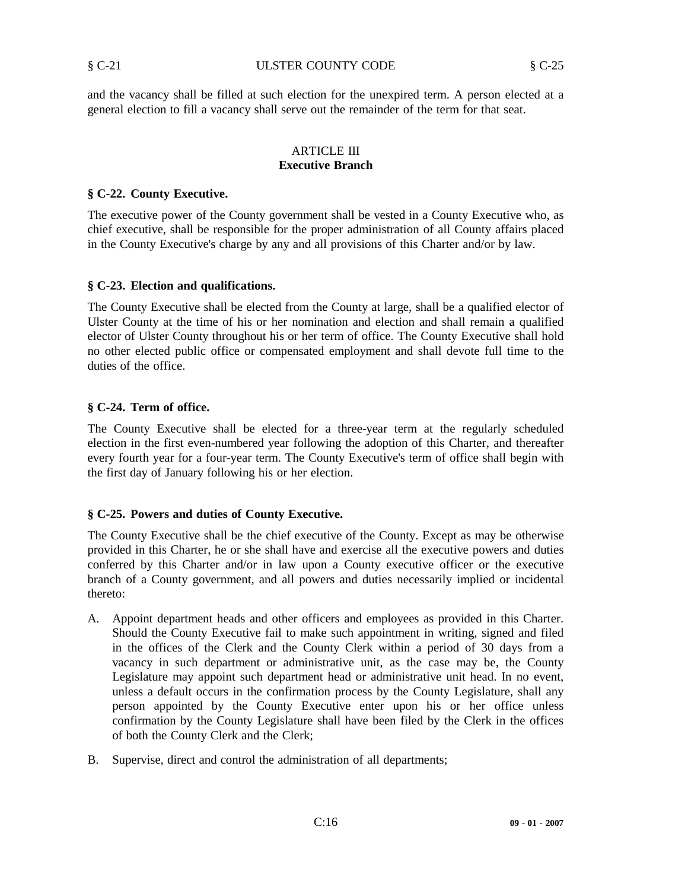and the vacancy shall be filled at such election for the unexpired term. A person elected at a general election to fill a vacancy shall serve out the remainder of the term for that seat.

#### ARTICLE III **Executive Branch**

#### **§ C-22. County Executive.**

The executive power of the County government shall be vested in a County Executive who, as chief executive, shall be responsible for the proper administration of all County affairs placed in the County Executive's charge by any and all provisions of this Charter and/or by law.

#### **§ C-23. Election and qualifications.**

The County Executive shall be elected from the County at large, shall be a qualified elector of Ulster County at the time of his or her nomination and election and shall remain a qualified elector of Ulster County throughout his or her term of office. The County Executive shall hold no other elected public office or compensated employment and shall devote full time to the duties of the office.

# **§ C-24. Term of office.**

The County Executive shall be elected for a three-year term at the regularly scheduled election in the first even-numbered year following the adoption of this Charter, and thereafter every fourth year for a four-year term. The County Executive's term of office shall begin with the first day of January following his or her election.

# **§ C-25. Powers and duties of County Executive.**

The County Executive shall be the chief executive of the County. Except as may be otherwise provided in this Charter, he or she shall have and exercise all the executive powers and duties conferred by this Charter and/or in law upon a County executive officer or the executive branch of a County government, and all powers and duties necessarily implied or incidental thereto:

- A. Appoint department heads and other officers and employees as provided in this Charter. Should the County Executive fail to make such appointment in writing, signed and filed in the offices of the Clerk and the County Clerk within a period of 30 days from a vacancy in such department or administrative unit, as the case may be, the County Legislature may appoint such department head or administrative unit head. In no event, unless a default occurs in the confirmation process by the County Legislature, shall any person appointed by the County Executive enter upon his or her office unless confirmation by the County Legislature shall have been filed by the Clerk in the offices of both the County Clerk and the Clerk;
- B. Supervise, direct and control the administration of all departments;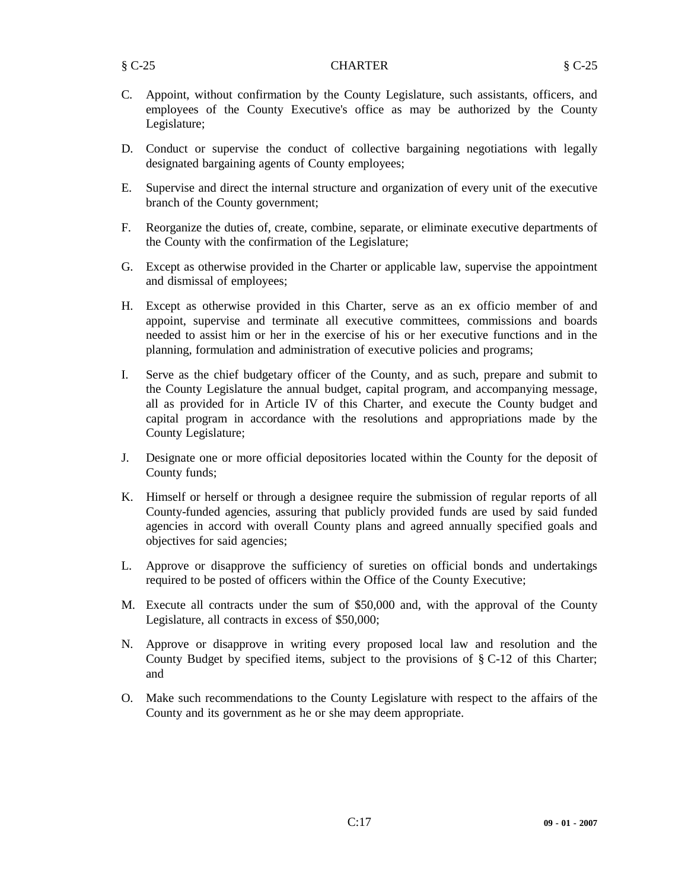- C. Appoint, without confirmation by the County Legislature, such assistants, officers, and employees of the County Executive's office as may be authorized by the County Legislature;
- D. Conduct or supervise the conduct of collective bargaining negotiations with legally designated bargaining agents of County employees;
- E. Supervise and direct the internal structure and organization of every unit of the executive branch of the County government;
- F. Reorganize the duties of, create, combine, separate, or eliminate executive departments of the County with the confirmation of the Legislature;
- G. Except as otherwise provided in the Charter or applicable law, supervise the appointment and dismissal of employees;
- H. Except as otherwise provided in this Charter, serve as an ex officio member of and appoint, supervise and terminate all executive committees, commissions and boards needed to assist him or her in the exercise of his or her executive functions and in the planning, formulation and administration of executive policies and programs;
- I. Serve as the chief budgetary officer of the County, and as such, prepare and submit to the County Legislature the annual budget, capital program, and accompanying message, all as provided for in Article IV of this Charter, and execute the County budget and capital program in accordance with the resolutions and appropriations made by the County Legislature;
- J. Designate one or more official depositories located within the County for the deposit of County funds;
- K. Himself or herself or through a designee require the submission of regular reports of all County-funded agencies, assuring that publicly provided funds are used by said funded agencies in accord with overall County plans and agreed annually specified goals and objectives for said agencies;
- L. Approve or disapprove the sufficiency of sureties on official bonds and undertakings required to be posted of officers within the Office of the County Executive;
- M. Execute all contracts under the sum of \$50,000 and, with the approval of the County Legislature, all contracts in excess of \$50,000;
- N. Approve or disapprove in writing every proposed local law and resolution and the County Budget by specified items, subject to the provisions of  $\S$  C-12 of this Charter; and
- O. Make such recommendations to the County Legislature with respect to the affairs of the County and its government as he or she may deem appropriate.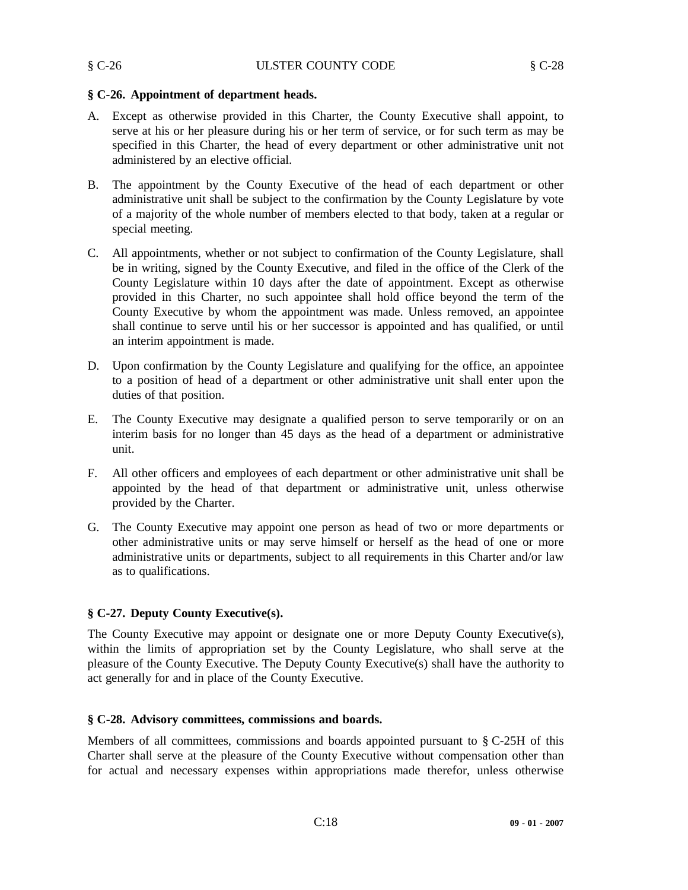# **§ C-26. Appointment of department heads.**

- A. Except as otherwise provided in this Charter, the County Executive shall appoint, to serve at his or her pleasure during his or her term of service, or for such term as may be specified in this Charter, the head of every department or other administrative unit not administered by an elective official.
- B. The appointment by the County Executive of the head of each department or other administrative unit shall be subject to the confirmation by the County Legislature by vote of a majority of the whole number of members elected to that body, taken at a regular or special meeting.
- C. All appointments, whether or not subject to confirmation of the County Legislature, shall be in writing, signed by the County Executive, and filed in the office of the Clerk of the County Legislature within 10 days after the date of appointment. Except as otherwise provided in this Charter, no such appointee shall hold office beyond the term of the County Executive by whom the appointment was made. Unless removed, an appointee shall continue to serve until his or her successor is appointed and has qualified, or until an interim appointment is made.
- D. Upon confirmation by the County Legislature and qualifying for the office, an appointee to a position of head of a department or other administrative unit shall enter upon the duties of that position.
- E. The County Executive may designate a qualified person to serve temporarily or on an interim basis for no longer than 45 days as the head of a department or administrative unit.
- F. All other officers and employees of each department or other administrative unit shall be appointed by the head of that department or administrative unit, unless otherwise provided by the Charter.
- G. The County Executive may appoint one person as head of two or more departments or other administrative units or may serve himself or herself as the head of one or more administrative units or departments, subject to all requirements in this Charter and/or law as to qualifications.

# **§ C-27. Deputy County Executive(s).**

The County Executive may appoint or designate one or more Deputy County Executive(s), within the limits of appropriation set by the County Legislature, who shall serve at the pleasure of the County Executive. The Deputy County Executive(s) shall have the authority to act generally for and in place of the County Executive.

# **§ C-28. Advisory committees, commissions and boards.**

Members of all committees, commissions and boards appointed pursuant to  $\S$  C-25H of this Charter shall serve at the pleasure of the County Executive without compensation other than for actual and necessary expenses within appropriations made therefor, unless otherwise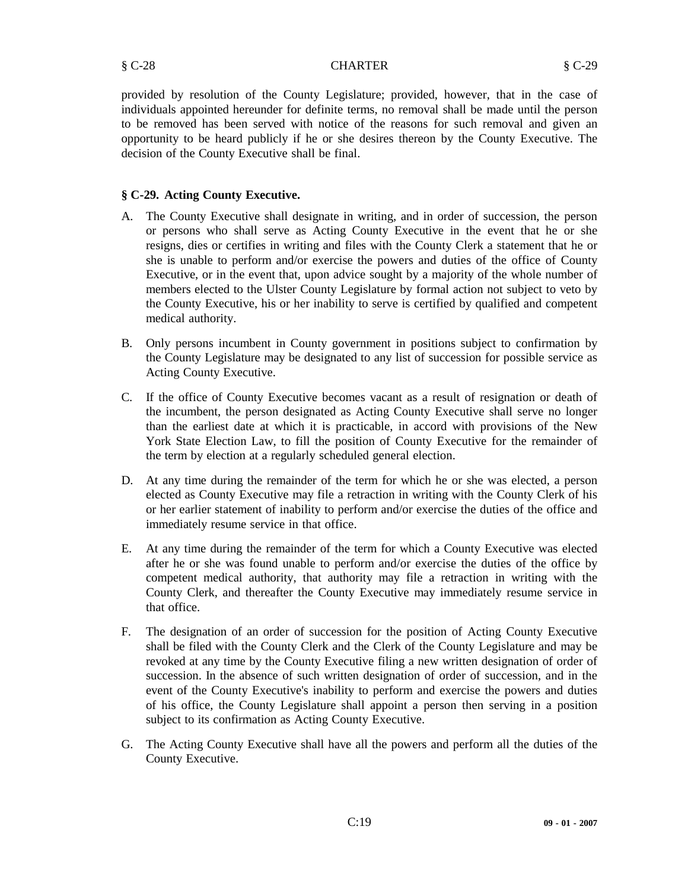§ C-28 CHARTER § C-29

provided by resolution of the County Legislature; provided, however, that in the case of individuals appointed hereunder for definite terms, no removal shall be made until the person to be removed has been served with notice of the reasons for such removal and given an opportunity to be heard publicly if he or she desires thereon by the County Executive. The decision of the County Executive shall be final.

# **§ C-29. Acting County Executive.**

- A. The County Executive shall designate in writing, and in order of succession, the person or persons who shall serve as Acting County Executive in the event that he or she resigns, dies or certifies in writing and files with the County Clerk a statement that he or she is unable to perform and/or exercise the powers and duties of the office of County Executive, or in the event that, upon advice sought by a majority of the whole number of members elected to the Ulster County Legislature by formal action not subject to veto by the County Executive, his or her inability to serve is certified by qualified and competent medical authority.
- B. Only persons incumbent in County government in positions subject to confirmation by the County Legislature may be designated to any list of succession for possible service as Acting County Executive.
- C. If the office of County Executive becomes vacant as a result of resignation or death of the incumbent, the person designated as Acting County Executive shall serve no longer than the earliest date at which it is practicable, in accord with provisions of the New York State Election Law, to fill the position of County Executive for the remainder of the term by election at a regularly scheduled general election.
- D. At any time during the remainder of the term for which he or she was elected, a person elected as County Executive may file a retraction in writing with the County Clerk of his or her earlier statement of inability to perform and/or exercise the duties of the office and immediately resume service in that office.
- E. At any time during the remainder of the term for which a County Executive was elected after he or she was found unable to perform and/or exercise the duties of the office by competent medical authority, that authority may file a retraction in writing with the County Clerk, and thereafter the County Executive may immediately resume service in that office.
- F. The designation of an order of succession for the position of Acting County Executive shall be filed with the County Clerk and the Clerk of the County Legislature and may be revoked at any time by the County Executive filing a new written designation of order of succession. In the absence of such written designation of order of succession, and in the event of the County Executive's inability to perform and exercise the powers and duties of his office, the County Legislature shall appoint a person then serving in a position subject to its confirmation as Acting County Executive.
- G. The Acting County Executive shall have all the powers and perform all the duties of the County Executive.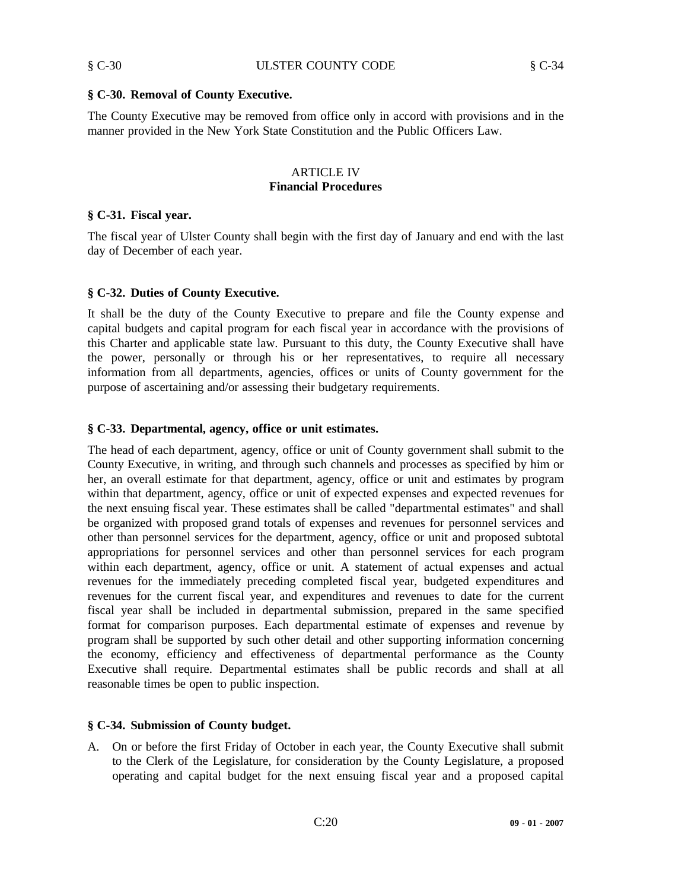#### **§ C-30. Removal of County Executive.**

The County Executive may be removed from office only in accord with provisions and in the manner provided in the New York State Constitution and the Public Officers Law.

#### ARTICLE IV **Financial Procedures**

#### **§ C-31. Fiscal year.**

The fiscal year of Ulster County shall begin with the first day of January and end with the last day of December of each year.

#### **§ C-32. Duties of County Executive.**

It shall be the duty of the County Executive to prepare and file the County expense and capital budgets and capital program for each fiscal year in accordance with the provisions of this Charter and applicable state law. Pursuant to this duty, the County Executive shall have the power, personally or through his or her representatives, to require all necessary information from all departments, agencies, offices or units of County government for the purpose of ascertaining and/or assessing their budgetary requirements.

#### **§ C-33. Departmental, agency, office or unit estimates.**

The head of each department, agency, office or unit of County government shall submit to the County Executive, in writing, and through such channels and processes as specified by him or her, an overall estimate for that department, agency, office or unit and estimates by program within that department, agency, office or unit of expected expenses and expected revenues for the next ensuing fiscal year. These estimates shall be called "departmental estimates" and shall be organized with proposed grand totals of expenses and revenues for personnel services and other than personnel services for the department, agency, office or unit and proposed subtotal appropriations for personnel services and other than personnel services for each program within each department, agency, office or unit. A statement of actual expenses and actual revenues for the immediately preceding completed fiscal year, budgeted expenditures and revenues for the current fiscal year, and expenditures and revenues to date for the current fiscal year shall be included in departmental submission, prepared in the same specified format for comparison purposes. Each departmental estimate of expenses and revenue by program shall be supported by such other detail and other supporting information concerning the economy, efficiency and effectiveness of departmental performance as the County Executive shall require. Departmental estimates shall be public records and shall at all reasonable times be open to public inspection.

#### **§ C-34. Submission of County budget.**

A. On or before the first Friday of October in each year, the County Executive shall submit to the Clerk of the Legislature, for consideration by the County Legislature, a proposed operating and capital budget for the next ensuing fiscal year and a proposed capital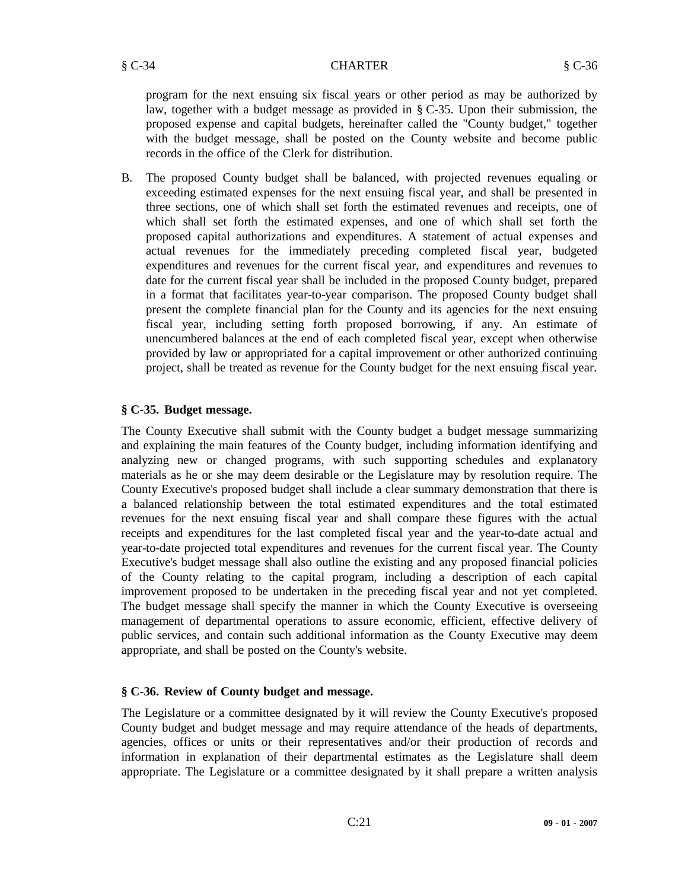program for the next ensuing six fiscal years or other period as may be authorized by law, together with a budget message as provided in § C-35. Upon their submission, the proposed expense and capital budgets, hereinafter called the "County budget," together with the budget message, shall be posted on the County website and become public records in the office of the Clerk for distribution.

B. The proposed County budget shall be balanced, with projected revenues equaling or exceeding estimated expenses for the next ensuing fiscal year, and shall be presented in three sections, one of which shall set forth the estimated revenues and receipts, one of which shall set forth the estimated expenses, and one of which shall set forth the proposed capital authorizations and expenditures. A statement of actual expenses and actual revenues for the immediately preceding completed fiscal year, budgeted expenditures and revenues for the current fiscal year, and expenditures and revenues to date for the current fiscal year shall be included in the proposed County budget, prepared in a format that facilitates year-to-year comparison. The proposed County budget shall present the complete financial plan for the County and its agencies for the next ensuing fiscal year, including setting forth proposed borrowing, if any. An estimate of unencumbered balances at the end of each completed fiscal year, except when otherwise provided by law or appropriated for a capital improvement or other authorized continuing project, shall be treated as revenue for the County budget for the next ensuing fiscal year.

# **§ C-35. Budget message.**

The County Executive shall submit with the County budget a budget message summarizing and explaining the main features of the County budget, including information identifying and analyzing new or changed programs, with such supporting schedules and explanatory materials as he or she may deem desirable or the Legislature may by resolution require. The County Executive's proposed budget shall include a clear summary demonstration that there is a balanced relationship between the total estimated expenditures and the total estimated revenues for the next ensuing fiscal year and shall compare these figures with the actual receipts and expenditures for the last completed fiscal year and the year-to-date actual and year-to-date projected total expenditures and revenues for the current fiscal year. The County Executive's budget message shall also outline the existing and any proposed financial policies of the County relating to the capital program, including a description of each capital improvement proposed to be undertaken in the preceding fiscal year and not yet completed. The budget message shall specify the manner in which the County Executive is overseeing management of departmental operations to assure economic, efficient, effective delivery of public services, and contain such additional information as the County Executive may deem appropriate, and shall be posted on the County's website.

# **§ C-36. Review of County budget and message.**

The Legislature or a committee designated by it will review the County Executive's proposed County budget and budget message and may require attendance of the heads of departments, agencies, offices or units or their representatives and/or their production of records and information in explanation of their departmental estimates as the Legislature shall deem appropriate. The Legislature or a committee designated by it shall prepare a written analysis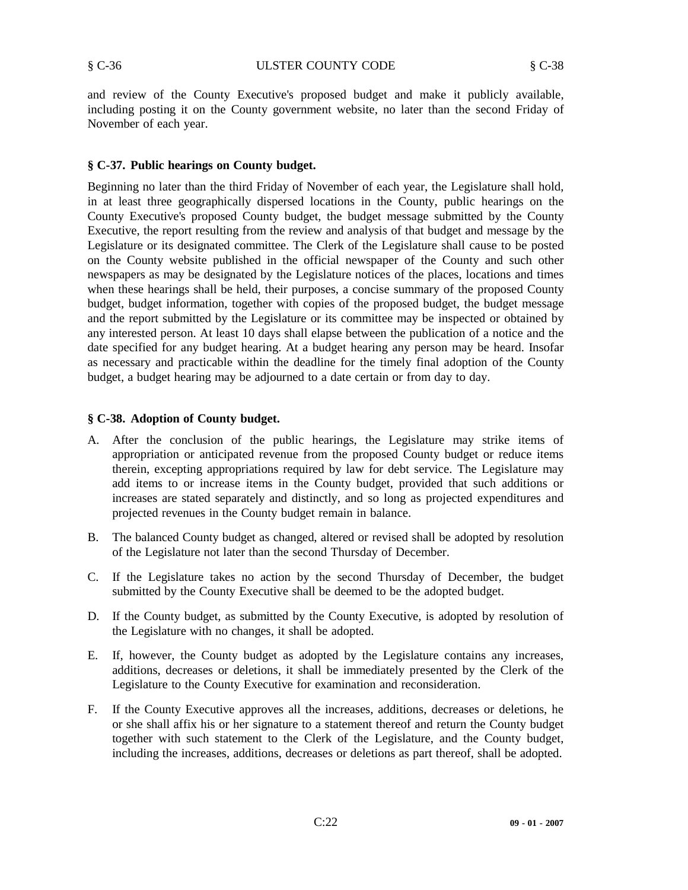and review of the County Executive's proposed budget and make it publicly available, including posting it on the County government website, no later than the second Friday of November of each year.

#### **§ C-37. Public hearings on County budget.**

Beginning no later than the third Friday of November of each year, the Legislature shall hold, in at least three geographically dispersed locations in the County, public hearings on the County Executive's proposed County budget, the budget message submitted by the County Executive, the report resulting from the review and analysis of that budget and message by the Legislature or its designated committee. The Clerk of the Legislature shall cause to be posted on the County website published in the official newspaper of the County and such other newspapers as may be designated by the Legislature notices of the places, locations and times when these hearings shall be held, their purposes, a concise summary of the proposed County budget, budget information, together with copies of the proposed budget, the budget message and the report submitted by the Legislature or its committee may be inspected or obtained by any interested person. At least 10 days shall elapse between the publication of a notice and the date specified for any budget hearing. At a budget hearing any person may be heard. Insofar as necessary and practicable within the deadline for the timely final adoption of the County budget, a budget hearing may be adjourned to a date certain or from day to day.

#### **§ C-38. Adoption of County budget.**

- A. After the conclusion of the public hearings, the Legislature may strike items of appropriation or anticipated revenue from the proposed County budget or reduce items therein, excepting appropriations required by law for debt service. The Legislature may add items to or increase items in the County budget, provided that such additions or increases are stated separately and distinctly, and so long as projected expenditures and projected revenues in the County budget remain in balance.
- B. The balanced County budget as changed, altered or revised shall be adopted by resolution of the Legislature not later than the second Thursday of December.
- C. If the Legislature takes no action by the second Thursday of December, the budget submitted by the County Executive shall be deemed to be the adopted budget.
- D. If the County budget, as submitted by the County Executive, is adopted by resolution of the Legislature with no changes, it shall be adopted.
- E. If, however, the County budget as adopted by the Legislature contains any increases, additions, decreases or deletions, it shall be immediately presented by the Clerk of the Legislature to the County Executive for examination and reconsideration.
- F. If the County Executive approves all the increases, additions, decreases or deletions, he or she shall affix his or her signature to a statement thereof and return the County budget together with such statement to the Clerk of the Legislature, and the County budget, including the increases, additions, decreases or deletions as part thereof, shall be adopted.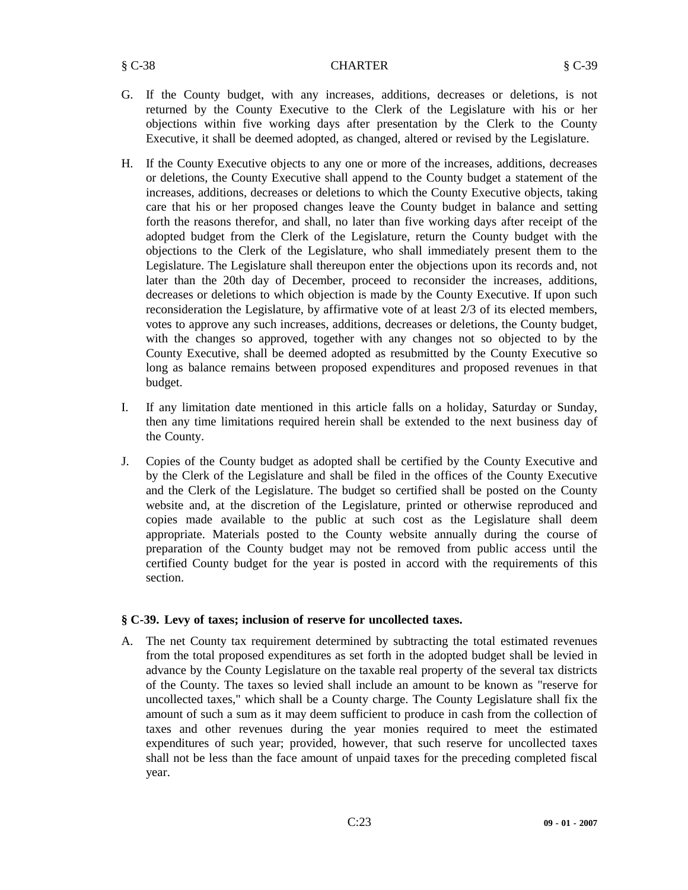- G. If the County budget, with any increases, additions, decreases or deletions, is not returned by the County Executive to the Clerk of the Legislature with his or her objections within five working days after presentation by the Clerk to the County Executive, it shall be deemed adopted, as changed, altered or revised by the Legislature.
- H. If the County Executive objects to any one or more of the increases, additions, decreases or deletions, the County Executive shall append to the County budget a statement of the increases, additions, decreases or deletions to which the County Executive objects, taking care that his or her proposed changes leave the County budget in balance and setting forth the reasons therefor, and shall, no later than five working days after receipt of the adopted budget from the Clerk of the Legislature, return the County budget with the objections to the Clerk of the Legislature, who shall immediately present them to the Legislature. The Legislature shall thereupon enter the objections upon its records and, not later than the 20th day of December, proceed to reconsider the increases, additions, decreases or deletions to which objection is made by the County Executive. If upon such reconsideration the Legislature, by affirmative vote of at least 2/3 of its elected members, votes to approve any such increases, additions, decreases or deletions, the County budget, with the changes so approved, together with any changes not so objected to by the County Executive, shall be deemed adopted as resubmitted by the County Executive so long as balance remains between proposed expenditures and proposed revenues in that budget.
- I. If any limitation date mentioned in this article falls on a holiday, Saturday or Sunday, then any time limitations required herein shall be extended to the next business day of the County.
- J. Copies of the County budget as adopted shall be certified by the County Executive and by the Clerk of the Legislature and shall be filed in the offices of the County Executive and the Clerk of the Legislature. The budget so certified shall be posted on the County website and, at the discretion of the Legislature, printed or otherwise reproduced and copies made available to the public at such cost as the Legislature shall deem appropriate. Materials posted to the County website annually during the course of preparation of the County budget may not be removed from public access until the certified County budget for the year is posted in accord with the requirements of this section.

# **§ C-39. Levy of taxes; inclusion of reserve for uncollected taxes.**

A. The net County tax requirement determined by subtracting the total estimated revenues from the total proposed expenditures as set forth in the adopted budget shall be levied in advance by the County Legislature on the taxable real property of the several tax districts of the County. The taxes so levied shall include an amount to be known as "reserve for uncollected taxes," which shall be a County charge. The County Legislature shall fix the amount of such a sum as it may deem sufficient to produce in cash from the collection of taxes and other revenues during the year monies required to meet the estimated expenditures of such year; provided, however, that such reserve for uncollected taxes shall not be less than the face amount of unpaid taxes for the preceding completed fiscal year.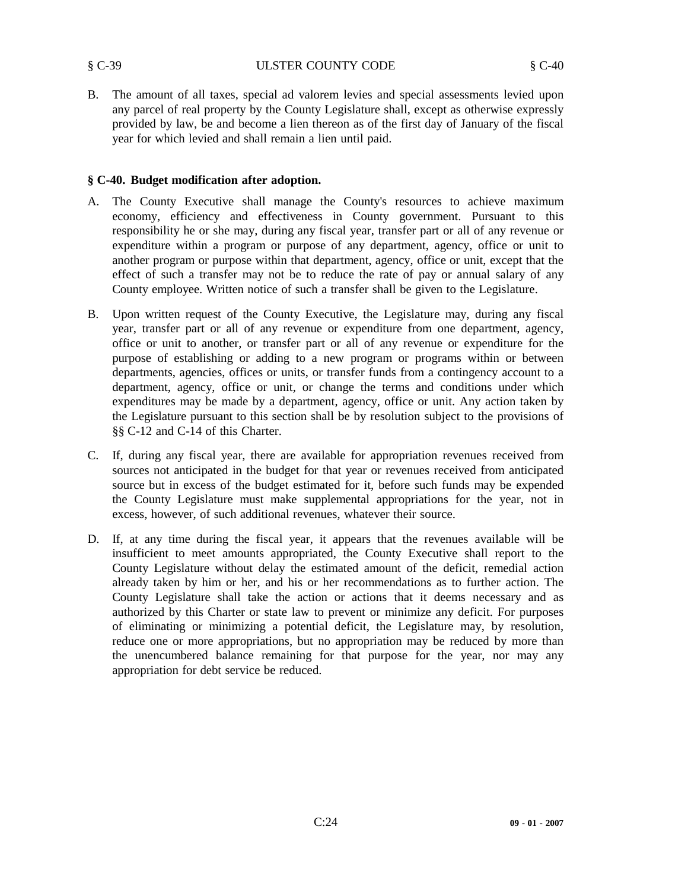B. The amount of all taxes, special ad valorem levies and special assessments levied upon any parcel of real property by the County Legislature shall, except as otherwise expressly provided by law, be and become a lien thereon as of the first day of January of the fiscal year for which levied and shall remain a lien until paid.

#### **§ C-40. Budget modification after adoption.**

- A. The County Executive shall manage the County's resources to achieve maximum economy, efficiency and effectiveness in County government. Pursuant to this responsibility he or she may, during any fiscal year, transfer part or all of any revenue or expenditure within a program or purpose of any department, agency, office or unit to another program or purpose within that department, agency, office or unit, except that the effect of such a transfer may not be to reduce the rate of pay or annual salary of any County employee. Written notice of such a transfer shall be given to the Legislature.
- B. Upon written request of the County Executive, the Legislature may, during any fiscal year, transfer part or all of any revenue or expenditure from one department, agency, office or unit to another, or transfer part or all of any revenue or expenditure for the purpose of establishing or adding to a new program or programs within or between departments, agencies, offices or units, or transfer funds from a contingency account to a department, agency, office or unit, or change the terms and conditions under which expenditures may be made by a department, agency, office or unit. Any action taken by the Legislature pursuant to this section shall be by resolution subject to the provisions of §§ C-12 and C-14 of this Charter.
- C. If, during any fiscal year, there are available for appropriation revenues received from sources not anticipated in the budget for that year or revenues received from anticipated source but in excess of the budget estimated for it, before such funds may be expended the County Legislature must make supplemental appropriations for the year, not in excess, however, of such additional revenues, whatever their source.
- D. If, at any time during the fiscal year, it appears that the revenues available will be insufficient to meet amounts appropriated, the County Executive shall report to the County Legislature without delay the estimated amount of the deficit, remedial action already taken by him or her, and his or her recommendations as to further action. The County Legislature shall take the action or actions that it deems necessary and as authorized by this Charter or state law to prevent or minimize any deficit. For purposes of eliminating or minimizing a potential deficit, the Legislature may, by resolution, reduce one or more appropriations, but no appropriation may be reduced by more than the unencumbered balance remaining for that purpose for the year, nor may any appropriation for debt service be reduced.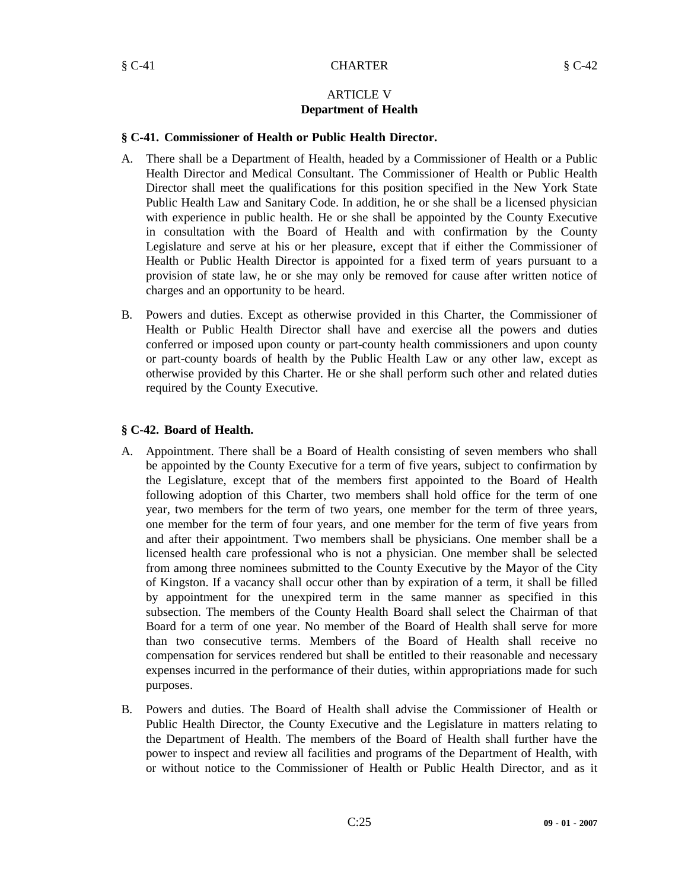# ARTICLE V **Department of Health**

#### **§ C-41. Commissioner of Health or Public Health Director.**

- A. There shall be a Department of Health, headed by a Commissioner of Health or a Public Health Director and Medical Consultant. The Commissioner of Health or Public Health Director shall meet the qualifications for this position specified in the New York State Public Health Law and Sanitary Code. In addition, he or she shall be a licensed physician with experience in public health. He or she shall be appointed by the County Executive in consultation with the Board of Health and with confirmation by the County Legislature and serve at his or her pleasure, except that if either the Commissioner of Health or Public Health Director is appointed for a fixed term of years pursuant to a provision of state law, he or she may only be removed for cause after written notice of charges and an opportunity to be heard.
- B. Powers and duties. Except as otherwise provided in this Charter, the Commissioner of Health or Public Health Director shall have and exercise all the powers and duties conferred or imposed upon county or part-county health commissioners and upon county or part-county boards of health by the Public Health Law or any other law, except as otherwise provided by this Charter. He or she shall perform such other and related duties required by the County Executive.

# **§ C-42. Board of Health.**

- A. Appointment. There shall be a Board of Health consisting of seven members who shall be appointed by the County Executive for a term of five years, subject to confirmation by the Legislature, except that of the members first appointed to the Board of Health following adoption of this Charter, two members shall hold office for the term of one year, two members for the term of two years, one member for the term of three years, one member for the term of four years, and one member for the term of five years from and after their appointment. Two members shall be physicians. One member shall be a licensed health care professional who is not a physician. One member shall be selected from among three nominees submitted to the County Executive by the Mayor of the City of Kingston. If a vacancy shall occur other than by expiration of a term, it shall be filled by appointment for the unexpired term in the same manner as specified in this subsection. The members of the County Health Board shall select the Chairman of that Board for a term of one year. No member of the Board of Health shall serve for more than two consecutive terms. Members of the Board of Health shall receive no compensation for services rendered but shall be entitled to their reasonable and necessary expenses incurred in the performance of their duties, within appropriations made for such purposes.
- B. Powers and duties. The Board of Health shall advise the Commissioner of Health or Public Health Director, the County Executive and the Legislature in matters relating to the Department of Health. The members of the Board of Health shall further have the power to inspect and review all facilities and programs of the Department of Health, with or without notice to the Commissioner of Health or Public Health Director, and as it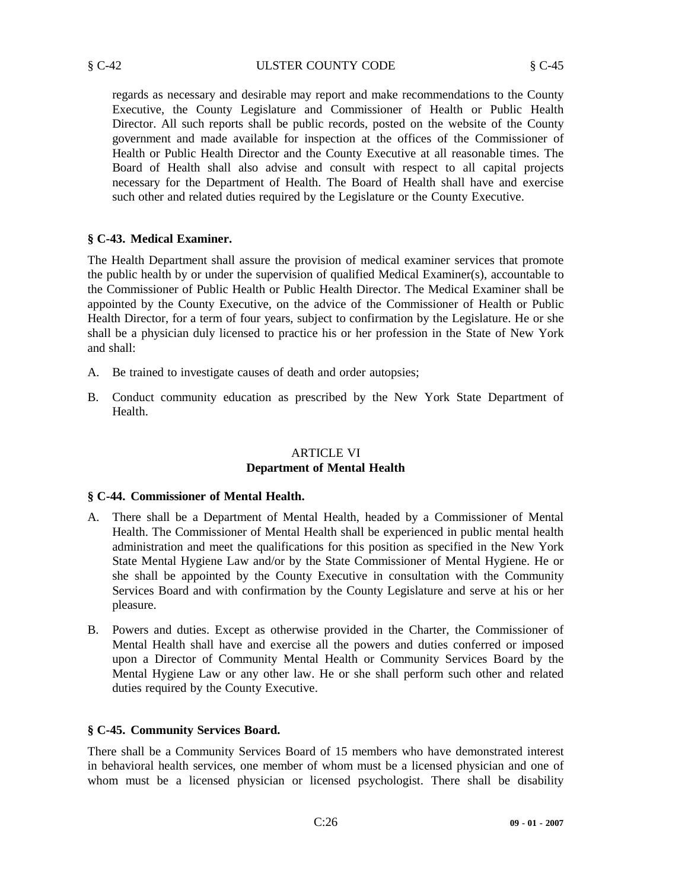regards as necessary and desirable may report and make recommendations to the County Executive, the County Legislature and Commissioner of Health or Public Health Director. All such reports shall be public records, posted on the website of the County government and made available for inspection at the offices of the Commissioner of Health or Public Health Director and the County Executive at all reasonable times. The Board of Health shall also advise and consult with respect to all capital projects necessary for the Department of Health. The Board of Health shall have and exercise such other and related duties required by the Legislature or the County Executive.

# **§ C-43. Medical Examiner.**

The Health Department shall assure the provision of medical examiner services that promote the public health by or under the supervision of qualified Medical Examiner(s), accountable to the Commissioner of Public Health or Public Health Director. The Medical Examiner shall be appointed by the County Executive, on the advice of the Commissioner of Health or Public Health Director, for a term of four years, subject to confirmation by the Legislature. He or she shall be a physician duly licensed to practice his or her profession in the State of New York and shall:

- A. Be trained to investigate causes of death and order autopsies;
- B. Conduct community education as prescribed by the New York State Department of Health.

# ARTICLE VI **Department of Mental Health**

# **§ C-44. Commissioner of Mental Health.**

- A. There shall be a Department of Mental Health, headed by a Commissioner of Mental Health. The Commissioner of Mental Health shall be experienced in public mental health administration and meet the qualifications for this position as specified in the New York State Mental Hygiene Law and/or by the State Commissioner of Mental Hygiene. He or she shall be appointed by the County Executive in consultation with the Community Services Board and with confirmation by the County Legislature and serve at his or her pleasure.
- B. Powers and duties. Except as otherwise provided in the Charter, the Commissioner of Mental Health shall have and exercise all the powers and duties conferred or imposed upon a Director of Community Mental Health or Community Services Board by the Mental Hygiene Law or any other law. He or she shall perform such other and related duties required by the County Executive.

# **§ C-45. Community Services Board.**

There shall be a Community Services Board of 15 members who have demonstrated interest in behavioral health services, one member of whom must be a licensed physician and one of whom must be a licensed physician or licensed psychologist. There shall be disability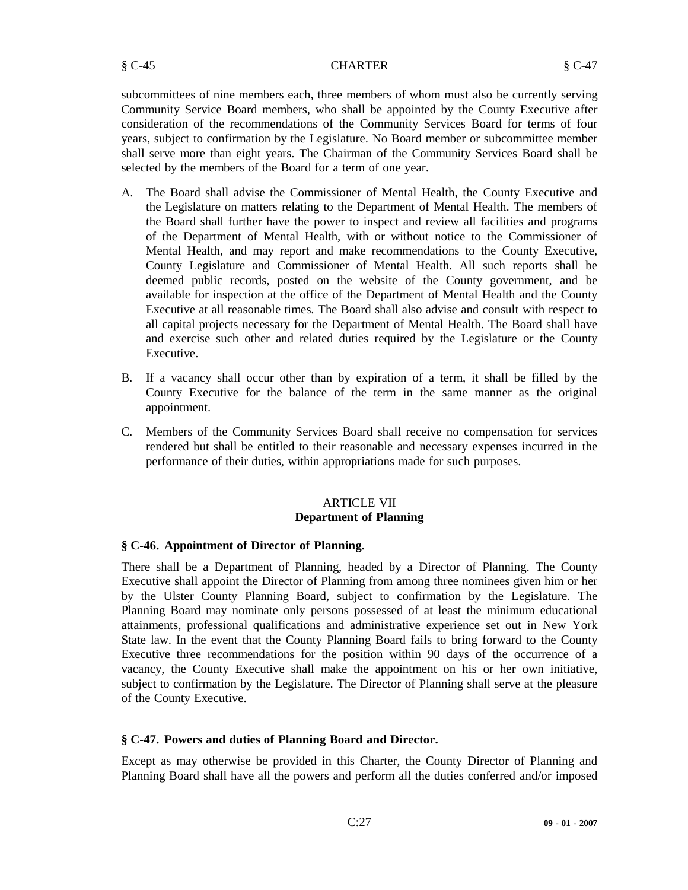§ C-45 CHARTER § C-47

subcommittees of nine members each, three members of whom must also be currently serving Community Service Board members, who shall be appointed by the County Executive after consideration of the recommendations of the Community Services Board for terms of four years, subject to confirmation by the Legislature. No Board member or subcommittee member shall serve more than eight years. The Chairman of the Community Services Board shall be selected by the members of the Board for a term of one year.

- A. The Board shall advise the Commissioner of Mental Health, the County Executive and the Legislature on matters relating to the Department of Mental Health. The members of the Board shall further have the power to inspect and review all facilities and programs of the Department of Mental Health, with or without notice to the Commissioner of Mental Health, and may report and make recommendations to the County Executive, County Legislature and Commissioner of Mental Health. All such reports shall be deemed public records, posted on the website of the County government, and be available for inspection at the office of the Department of Mental Health and the County Executive at all reasonable times. The Board shall also advise and consult with respect to all capital projects necessary for the Department of Mental Health. The Board shall have and exercise such other and related duties required by the Legislature or the County Executive.
- B. If a vacancy shall occur other than by expiration of a term, it shall be filled by the County Executive for the balance of the term in the same manner as the original appointment.
- C. Members of the Community Services Board shall receive no compensation for services rendered but shall be entitled to their reasonable and necessary expenses incurred in the performance of their duties, within appropriations made for such purposes.

# ARTICLE VII **Department of Planning**

# **§ C-46. Appointment of Director of Planning.**

There shall be a Department of Planning, headed by a Director of Planning. The County Executive shall appoint the Director of Planning from among three nominees given him or her by the Ulster County Planning Board, subject to confirmation by the Legislature. The Planning Board may nominate only persons possessed of at least the minimum educational attainments, professional qualifications and administrative experience set out in New York State law. In the event that the County Planning Board fails to bring forward to the County Executive three recommendations for the position within 90 days of the occurrence of a vacancy, the County Executive shall make the appointment on his or her own initiative, subject to confirmation by the Legislature. The Director of Planning shall serve at the pleasure of the County Executive.

# **§ C-47. Powers and duties of Planning Board and Director.**

Except as may otherwise be provided in this Charter, the County Director of Planning and Planning Board shall have all the powers and perform all the duties conferred and/or imposed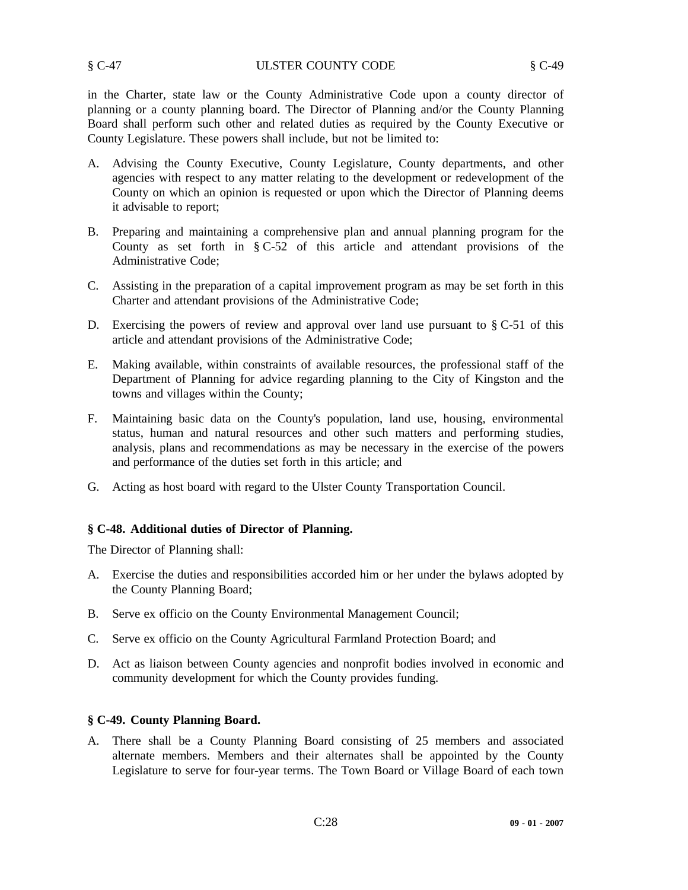in the Charter, state law or the County Administrative Code upon a county director of planning or a county planning board. The Director of Planning and/or the County Planning Board shall perform such other and related duties as required by the County Executive or County Legislature. These powers shall include, but not be limited to:

- A. Advising the County Executive, County Legislature, County departments, and other agencies with respect to any matter relating to the development or redevelopment of the County on which an opinion is requested or upon which the Director of Planning deems it advisable to report;
- B. Preparing and maintaining a comprehensive plan and annual planning program for the County as set forth in § C-52 of this article and attendant provisions of the Administrative Code;
- C. Assisting in the preparation of a capital improvement program as may be set forth in this Charter and attendant provisions of the Administrative Code;
- D. Exercising the powers of review and approval over land use pursuant to  $\S C-51$  of this article and attendant provisions of the Administrative Code;
- E. Making available, within constraints of available resources, the professional staff of the Department of Planning for advice regarding planning to the City of Kingston and the towns and villages within the County;
- F. Maintaining basic data on the County's population, land use, housing, environmental status, human and natural resources and other such matters and performing studies, analysis, plans and recommendations as may be necessary in the exercise of the powers and performance of the duties set forth in this article; and
- G. Acting as host board with regard to the Ulster County Transportation Council.

# **§ C-48. Additional duties of Director of Planning.**

The Director of Planning shall:

- A. Exercise the duties and responsibilities accorded him or her under the bylaws adopted by the County Planning Board;
- B. Serve ex officio on the County Environmental Management Council;
- C. Serve ex officio on the County Agricultural Farmland Protection Board; and
- D. Act as liaison between County agencies and nonprofit bodies involved in economic and community development for which the County provides funding.

#### **§ C-49. County Planning Board.**

A. There shall be a County Planning Board consisting of 25 members and associated alternate members. Members and their alternates shall be appointed by the County Legislature to serve for four-year terms. The Town Board or Village Board of each town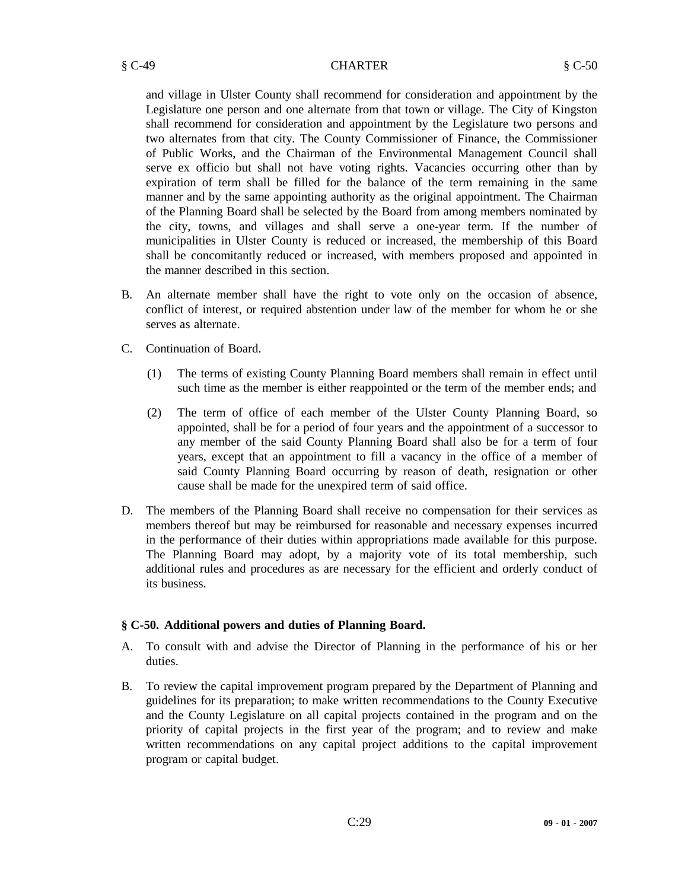#### § C-49 CHARTER § C-50

and village in Ulster County shall recommend for consideration and appointment by the Legislature one person and one alternate from that town or village. The City of Kingston shall recommend for consideration and appointment by the Legislature two persons and two alternates from that city. The County Commissioner of Finance, the Commissioner of Public Works, and the Chairman of the Environmental Management Council shall serve ex officio but shall not have voting rights. Vacancies occurring other than by expiration of term shall be filled for the balance of the term remaining in the same manner and by the same appointing authority as the original appointment. The Chairman of the Planning Board shall be selected by the Board from among members nominated by the city, towns, and villages and shall serve a one-year term. If the number of municipalities in Ulster County is reduced or increased, the membership of this Board shall be concomitantly reduced or increased, with members proposed and appointed in the manner described in this section.

- B. An alternate member shall have the right to vote only on the occasion of absence, conflict of interest, or required abstention under law of the member for whom he or she serves as alternate.
- C. Continuation of Board.
	- (1) The terms of existing County Planning Board members shall remain in effect until such time as the member is either reappointed or the term of the member ends; and
	- (2) The term of office of each member of the Ulster County Planning Board, so appointed, shall be for a period of four years and the appointment of a successor to any member of the said County Planning Board shall also be for a term of four years, except that an appointment to fill a vacancy in the office of a member of said County Planning Board occurring by reason of death, resignation or other cause shall be made for the unexpired term of said office.
- D. The members of the Planning Board shall receive no compensation for their services as members thereof but may be reimbursed for reasonable and necessary expenses incurred in the performance of their duties within appropriations made available for this purpose. The Planning Board may adopt, by a majority vote of its total membership, such additional rules and procedures as are necessary for the efficient and orderly conduct of its business.

# **§ C-50. Additional powers and duties of Planning Board.**

- A. To consult with and advise the Director of Planning in the performance of his or her duties.
- B. To review the capital improvement program prepared by the Department of Planning and guidelines for its preparation; to make written recommendations to the County Executive and the County Legislature on all capital projects contained in the program and on the priority of capital projects in the first year of the program; and to review and make written recommendations on any capital project additions to the capital improvement program or capital budget.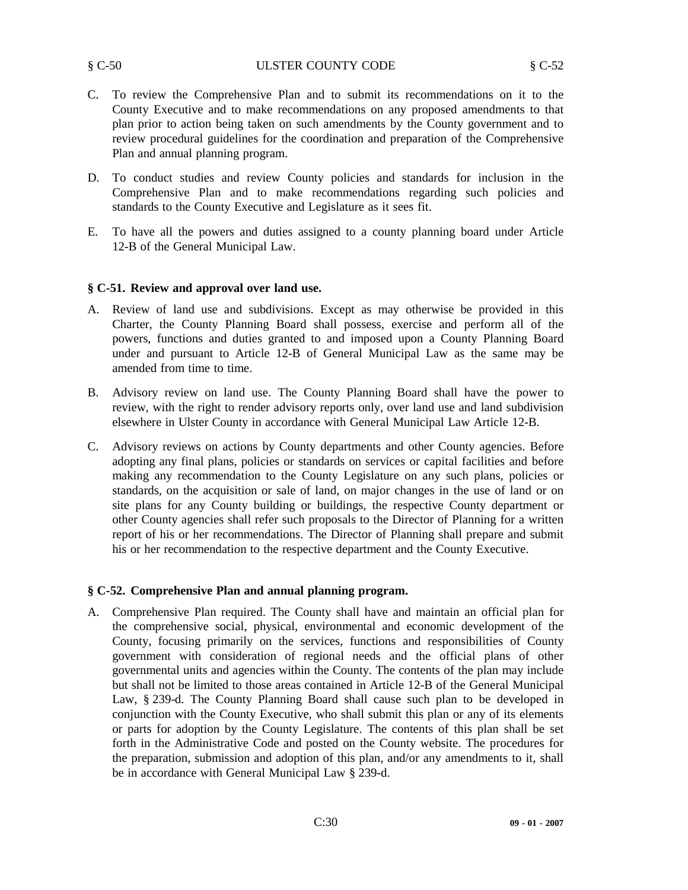#### § C-50 ULSTER COUNTY CODE § C-52

- C. To review the Comprehensive Plan and to submit its recommendations on it to the County Executive and to make recommendations on any proposed amendments to that plan prior to action being taken on such amendments by the County government and to review procedural guidelines for the coordination and preparation of the Comprehensive Plan and annual planning program.
- D. To conduct studies and review County policies and standards for inclusion in the Comprehensive Plan and to make recommendations regarding such policies and standards to the County Executive and Legislature as it sees fit.
- E. To have all the powers and duties assigned to a county planning board under Article 12-B of the General Municipal Law.

# **§ C-51. Review and approval over land use.**

- A. Review of land use and subdivisions. Except as may otherwise be provided in this Charter, the County Planning Board shall possess, exercise and perform all of the powers, functions and duties granted to and imposed upon a County Planning Board under and pursuant to Article 12-B of General Municipal Law as the same may be amended from time to time.
- B. Advisory review on land use. The County Planning Board shall have the power to review, with the right to render advisory reports only, over land use and land subdivision elsewhere in Ulster County in accordance with General Municipal Law Article 12-B.
- C. Advisory reviews on actions by County departments and other County agencies. Before adopting any final plans, policies or standards on services or capital facilities and before making any recommendation to the County Legislature on any such plans, policies or standards, on the acquisition or sale of land, on major changes in the use of land or on site plans for any County building or buildings, the respective County department or other County agencies shall refer such proposals to the Director of Planning for a written report of his or her recommendations. The Director of Planning shall prepare and submit his or her recommendation to the respective department and the County Executive.

# **§ C-52. Comprehensive Plan and annual planning program.**

A. Comprehensive Plan required. The County shall have and maintain an official plan for the comprehensive social, physical, environmental and economic development of the County, focusing primarily on the services, functions and responsibilities of County government with consideration of regional needs and the official plans of other governmental units and agencies within the County. The contents of the plan may include but shall not be limited to those areas contained in Article 12-B of the General Municipal Law, § 239-d. The County Planning Board shall cause such plan to be developed in conjunction with the County Executive, who shall submit this plan or any of its elements or parts for adoption by the County Legislature. The contents of this plan shall be set forth in the Administrative Code and posted on the County website. The procedures for the preparation, submission and adoption of this plan, and/or any amendments to it, shall be in accordance with General Municipal Law § 239-d.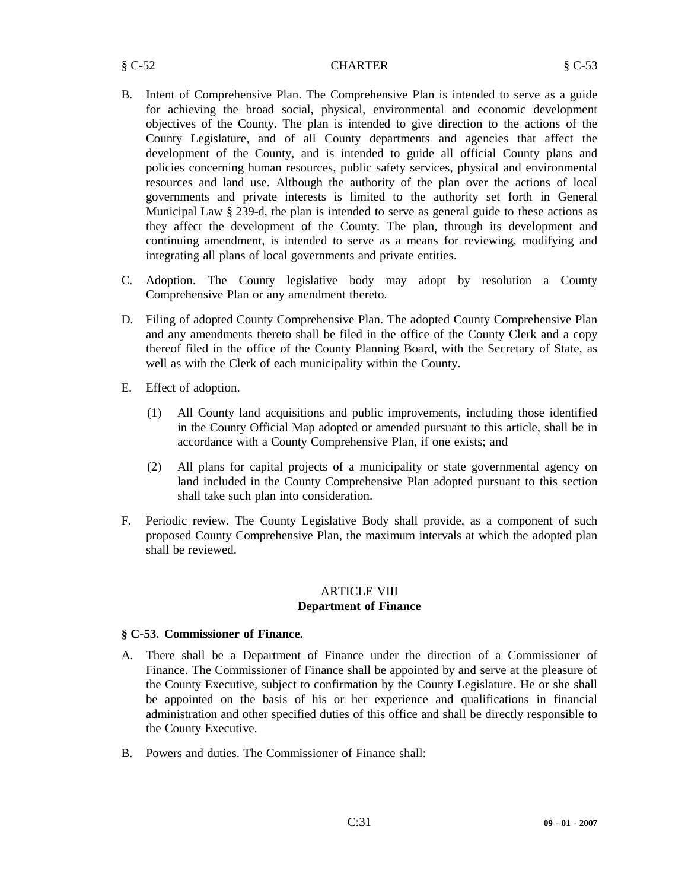#### § C-52 CHARTER § C-53

- B. Intent of Comprehensive Plan. The Comprehensive Plan is intended to serve as a guide for achieving the broad social, physical, environmental and economic development objectives of the County. The plan is intended to give direction to the actions of the County Legislature, and of all County departments and agencies that affect the development of the County, and is intended to guide all official County plans and policies concerning human resources, public safety services, physical and environmental resources and land use. Although the authority of the plan over the actions of local governments and private interests is limited to the authority set forth in General Municipal Law § 239-d, the plan is intended to serve as general guide to these actions as they affect the development of the County. The plan, through its development and continuing amendment, is intended to serve as a means for reviewing, modifying and integrating all plans of local governments and private entities.
- C. Adoption. The County legislative body may adopt by resolution a County Comprehensive Plan or any amendment thereto.
- D. Filing of adopted County Comprehensive Plan. The adopted County Comprehensive Plan and any amendments thereto shall be filed in the office of the County Clerk and a copy thereof filed in the office of the County Planning Board, with the Secretary of State, as well as with the Clerk of each municipality within the County.
- E. Effect of adoption.
	- (1) All County land acquisitions and public improvements, including those identified in the County Official Map adopted or amended pursuant to this article, shall be in accordance with a County Comprehensive Plan, if one exists; and
	- (2) All plans for capital projects of a municipality or state governmental agency on land included in the County Comprehensive Plan adopted pursuant to this section shall take such plan into consideration.
- F. Periodic review. The County Legislative Body shall provide, as a component of such proposed County Comprehensive Plan, the maximum intervals at which the adopted plan shall be reviewed.

#### ARTICLE VIII **Department of Finance**

# **§ C-53. Commissioner of Finance.**

- A. There shall be a Department of Finance under the direction of a Commissioner of Finance. The Commissioner of Finance shall be appointed by and serve at the pleasure of the County Executive, subject to confirmation by the County Legislature. He or she shall be appointed on the basis of his or her experience and qualifications in financial administration and other specified duties of this office and shall be directly responsible to the County Executive.
- B. Powers and duties. The Commissioner of Finance shall: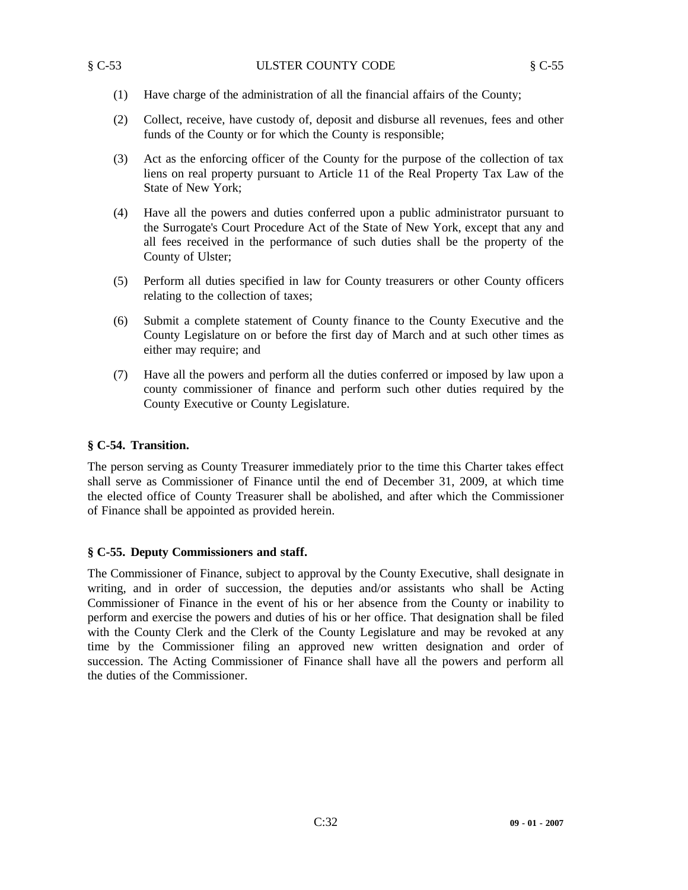- (1) Have charge of the administration of all the financial affairs of the County;
- (2) Collect, receive, have custody of, deposit and disburse all revenues, fees and other funds of the County or for which the County is responsible;
- (3) Act as the enforcing officer of the County for the purpose of the collection of tax liens on real property pursuant to Article 11 of the Real Property Tax Law of the State of New York;
- (4) Have all the powers and duties conferred upon a public administrator pursuant to the Surrogate's Court Procedure Act of the State of New York, except that any and all fees received in the performance of such duties shall be the property of the County of Ulster;
- (5) Perform all duties specified in law for County treasurers or other County officers relating to the collection of taxes;
- (6) Submit a complete statement of County finance to the County Executive and the County Legislature on or before the first day of March and at such other times as either may require; and
- (7) Have all the powers and perform all the duties conferred or imposed by law upon a county commissioner of finance and perform such other duties required by the County Executive or County Legislature.

# **§ C-54. Transition.**

The person serving as County Treasurer immediately prior to the time this Charter takes effect shall serve as Commissioner of Finance until the end of December 31, 2009, at which time the elected office of County Treasurer shall be abolished, and after which the Commissioner of Finance shall be appointed as provided herein.

# **§ C-55. Deputy Commissioners and staff.**

The Commissioner of Finance, subject to approval by the County Executive, shall designate in writing, and in order of succession, the deputies and/or assistants who shall be Acting Commissioner of Finance in the event of his or her absence from the County or inability to perform and exercise the powers and duties of his or her office. That designation shall be filed with the County Clerk and the Clerk of the County Legislature and may be revoked at any time by the Commissioner filing an approved new written designation and order of succession. The Acting Commissioner of Finance shall have all the powers and perform all the duties of the Commissioner.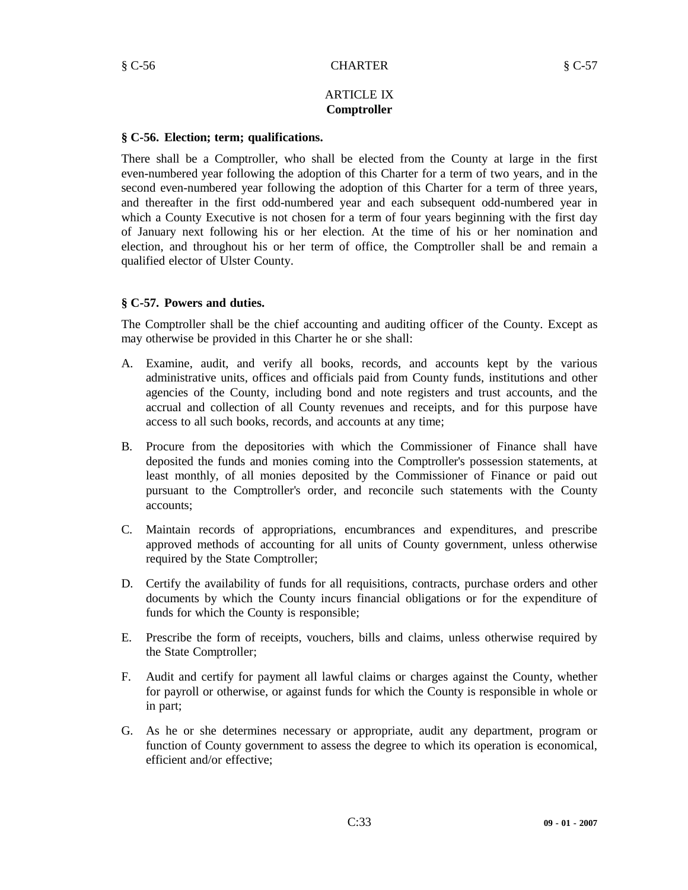# ARTICLE IX **Comptroller**

#### **§ C-56. Election; term; qualifications.**

There shall be a Comptroller, who shall be elected from the County at large in the first even-numbered year following the adoption of this Charter for a term of two years, and in the second even-numbered year following the adoption of this Charter for a term of three years, and thereafter in the first odd-numbered year and each subsequent odd-numbered year in which a County Executive is not chosen for a term of four years beginning with the first day of January next following his or her election. At the time of his or her nomination and election, and throughout his or her term of office, the Comptroller shall be and remain a qualified elector of Ulster County.

# **§ C-57. Powers and duties.**

The Comptroller shall be the chief accounting and auditing officer of the County. Except as may otherwise be provided in this Charter he or she shall:

- A. Examine, audit, and verify all books, records, and accounts kept by the various administrative units, offices and officials paid from County funds, institutions and other agencies of the County, including bond and note registers and trust accounts, and the accrual and collection of all County revenues and receipts, and for this purpose have access to all such books, records, and accounts at any time;
- B. Procure from the depositories with which the Commissioner of Finance shall have deposited the funds and monies coming into the Comptroller's possession statements, at least monthly, of all monies deposited by the Commissioner of Finance or paid out pursuant to the Comptroller's order, and reconcile such statements with the County accounts;
- C. Maintain records of appropriations, encumbrances and expenditures, and prescribe approved methods of accounting for all units of County government, unless otherwise required by the State Comptroller;
- D. Certify the availability of funds for all requisitions, contracts, purchase orders and other documents by which the County incurs financial obligations or for the expenditure of funds for which the County is responsible;
- E. Prescribe the form of receipts, vouchers, bills and claims, unless otherwise required by the State Comptroller;
- F. Audit and certify for payment all lawful claims or charges against the County, whether for payroll or otherwise, or against funds for which the County is responsible in whole or in part;
- G. As he or she determines necessary or appropriate, audit any department, program or function of County government to assess the degree to which its operation is economical, efficient and/or effective;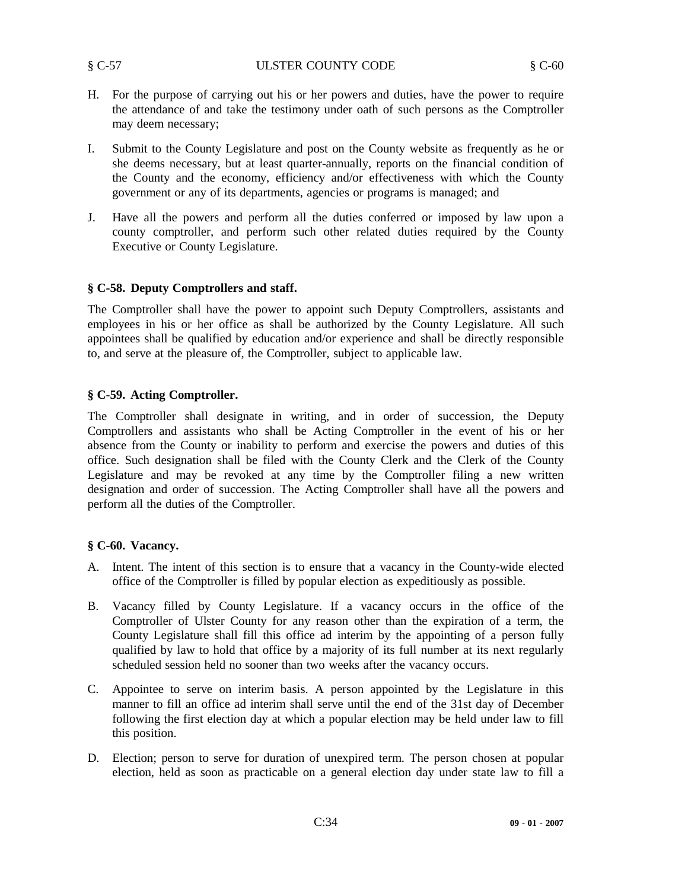- H. For the purpose of carrying out his or her powers and duties, have the power to require the attendance of and take the testimony under oath of such persons as the Comptroller may deem necessary;
- I. Submit to the County Legislature and post on the County website as frequently as he or she deems necessary, but at least quarter-annually, reports on the financial condition of the County and the economy, efficiency and/or effectiveness with which the County government or any of its departments, agencies or programs is managed; and
- J. Have all the powers and perform all the duties conferred or imposed by law upon a county comptroller, and perform such other related duties required by the County Executive or County Legislature.

# **§ C-58. Deputy Comptrollers and staff.**

The Comptroller shall have the power to appoint such Deputy Comptrollers, assistants and employees in his or her office as shall be authorized by the County Legislature. All such appointees shall be qualified by education and/or experience and shall be directly responsible to, and serve at the pleasure of, the Comptroller, subject to applicable law.

# **§ C-59. Acting Comptroller.**

The Comptroller shall designate in writing, and in order of succession, the Deputy Comptrollers and assistants who shall be Acting Comptroller in the event of his or her absence from the County or inability to perform and exercise the powers and duties of this office. Such designation shall be filed with the County Clerk and the Clerk of the County Legislature and may be revoked at any time by the Comptroller filing a new written designation and order of succession. The Acting Comptroller shall have all the powers and perform all the duties of the Comptroller.

# **§ C-60. Vacancy.**

- A. Intent. The intent of this section is to ensure that a vacancy in the County-wide elected office of the Comptroller is filled by popular election as expeditiously as possible.
- B. Vacancy filled by County Legislature. If a vacancy occurs in the office of the Comptroller of Ulster County for any reason other than the expiration of a term, the County Legislature shall fill this office ad interim by the appointing of a person fully qualified by law to hold that office by a majority of its full number at its next regularly scheduled session held no sooner than two weeks after the vacancy occurs.
- C. Appointee to serve on interim basis. A person appointed by the Legislature in this manner to fill an office ad interim shall serve until the end of the 31st day of December following the first election day at which a popular election may be held under law to fill this position.
- D. Election; person to serve for duration of unexpired term. The person chosen at popular election, held as soon as practicable on a general election day under state law to fill a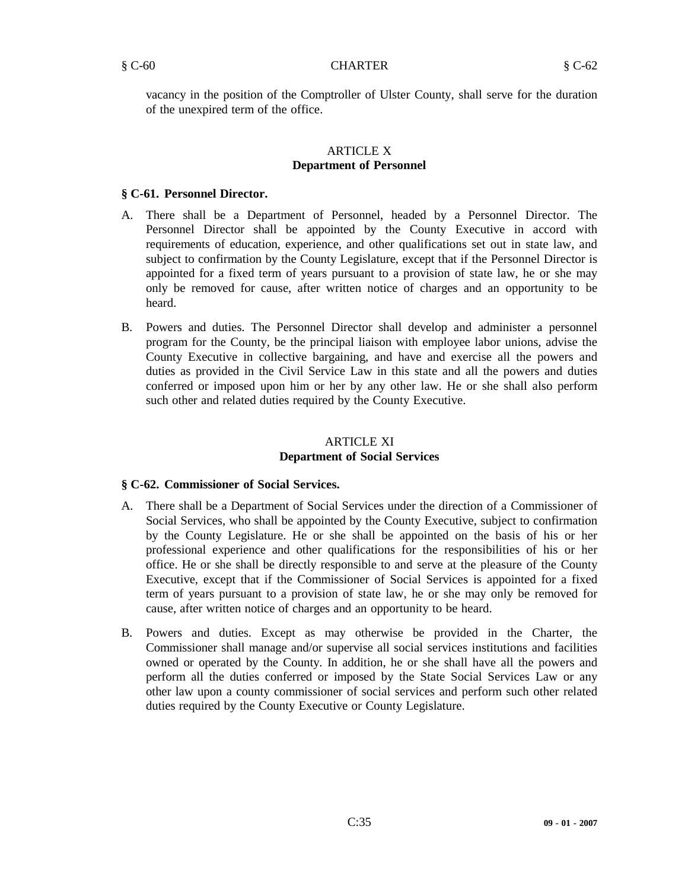vacancy in the position of the Comptroller of Ulster County, shall serve for the duration of the unexpired term of the office.

# ARTICLE X **Department of Personnel**

# **§ C-61. Personnel Director.**

- A. There shall be a Department of Personnel, headed by a Personnel Director. The Personnel Director shall be appointed by the County Executive in accord with requirements of education, experience, and other qualifications set out in state law, and subject to confirmation by the County Legislature, except that if the Personnel Director is appointed for a fixed term of years pursuant to a provision of state law, he or she may only be removed for cause, after written notice of charges and an opportunity to be heard.
- B. Powers and duties. The Personnel Director shall develop and administer a personnel program for the County, be the principal liaison with employee labor unions, advise the County Executive in collective bargaining, and have and exercise all the powers and duties as provided in the Civil Service Law in this state and all the powers and duties conferred or imposed upon him or her by any other law. He or she shall also perform such other and related duties required by the County Executive.

# ARTICLE XI **Department of Social Services**

# **§ C-62. Commissioner of Social Services.**

- A. There shall be a Department of Social Services under the direction of a Commissioner of Social Services, who shall be appointed by the County Executive, subject to confirmation by the County Legislature. He or she shall be appointed on the basis of his or her professional experience and other qualifications for the responsibilities of his or her office. He or she shall be directly responsible to and serve at the pleasure of the County Executive, except that if the Commissioner of Social Services is appointed for a fixed term of years pursuant to a provision of state law, he or she may only be removed for cause, after written notice of charges and an opportunity to be heard.
- B. Powers and duties. Except as may otherwise be provided in the Charter, the Commissioner shall manage and/or supervise all social services institutions and facilities owned or operated by the County. In addition, he or she shall have all the powers and perform all the duties conferred or imposed by the State Social Services Law or any other law upon a county commissioner of social services and perform such other related duties required by the County Executive or County Legislature.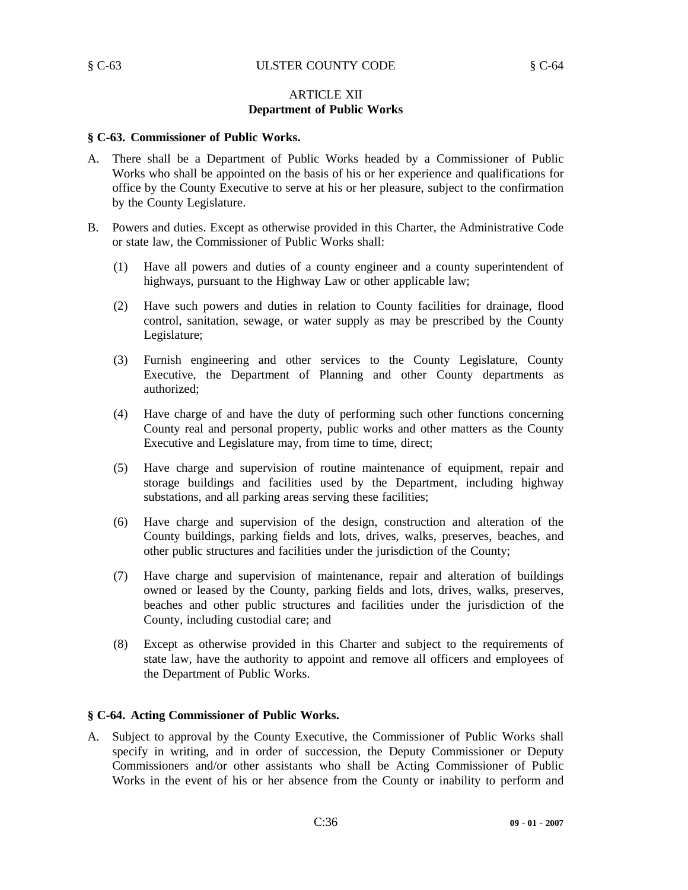# ARTICLE XII **Department of Public Works**

#### **§ C-63. Commissioner of Public Works.**

- A. There shall be a Department of Public Works headed by a Commissioner of Public Works who shall be appointed on the basis of his or her experience and qualifications for office by the County Executive to serve at his or her pleasure, subject to the confirmation by the County Legislature.
- B. Powers and duties. Except as otherwise provided in this Charter, the Administrative Code or state law, the Commissioner of Public Works shall:
	- (1) Have all powers and duties of a county engineer and a county superintendent of highways, pursuant to the Highway Law or other applicable law;
	- (2) Have such powers and duties in relation to County facilities for drainage, flood control, sanitation, sewage, or water supply as may be prescribed by the County Legislature;
	- (3) Furnish engineering and other services to the County Legislature, County Executive, the Department of Planning and other County departments as authorized;
	- (4) Have charge of and have the duty of performing such other functions concerning County real and personal property, public works and other matters as the County Executive and Legislature may, from time to time, direct;
	- (5) Have charge and supervision of routine maintenance of equipment, repair and storage buildings and facilities used by the Department, including highway substations, and all parking areas serving these facilities;
	- (6) Have charge and supervision of the design, construction and alteration of the County buildings, parking fields and lots, drives, walks, preserves, beaches, and other public structures and facilities under the jurisdiction of the County;
	- (7) Have charge and supervision of maintenance, repair and alteration of buildings owned or leased by the County, parking fields and lots, drives, walks, preserves, beaches and other public structures and facilities under the jurisdiction of the County, including custodial care; and
	- (8) Except as otherwise provided in this Charter and subject to the requirements of state law, have the authority to appoint and remove all officers and employees of the Department of Public Works.

#### **§ C-64. Acting Commissioner of Public Works.**

A. Subject to approval by the County Executive, the Commissioner of Public Works shall specify in writing, and in order of succession, the Deputy Commissioner or Deputy Commissioners and/or other assistants who shall be Acting Commissioner of Public Works in the event of his or her absence from the County or inability to perform and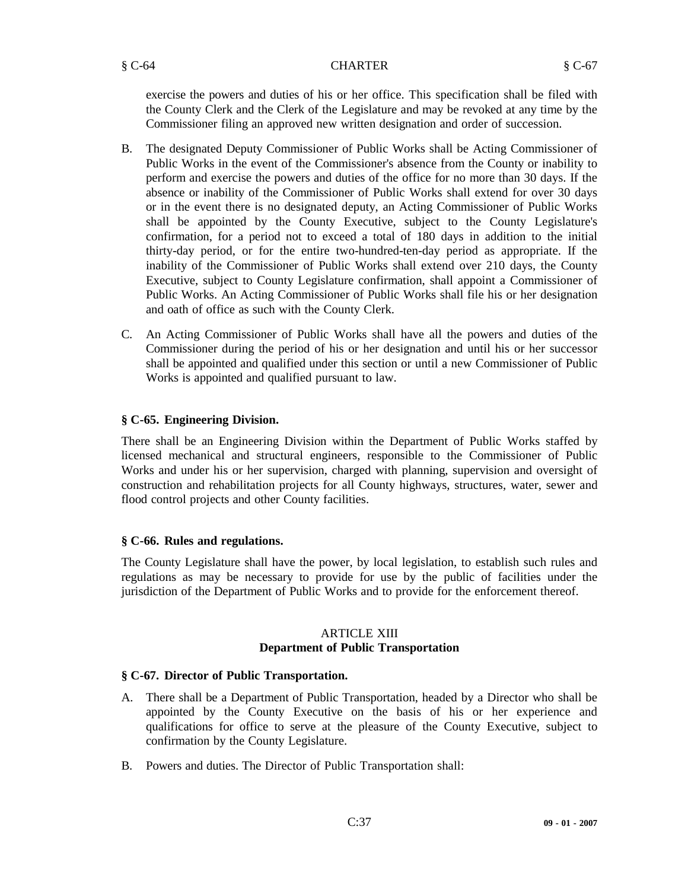#### § C-64 CHARTER § C-67

exercise the powers and duties of his or her office. This specification shall be filed with the County Clerk and the Clerk of the Legislature and may be revoked at any time by the Commissioner filing an approved new written designation and order of succession.

- B. The designated Deputy Commissioner of Public Works shall be Acting Commissioner of Public Works in the event of the Commissioner's absence from the County or inability to perform and exercise the powers and duties of the office for no more than 30 days. If the absence or inability of the Commissioner of Public Works shall extend for over 30 days or in the event there is no designated deputy, an Acting Commissioner of Public Works shall be appointed by the County Executive, subject to the County Legislature's confirmation, for a period not to exceed a total of 180 days in addition to the initial thirty-day period, or for the entire two-hundred-ten-day period as appropriate. If the inability of the Commissioner of Public Works shall extend over 210 days, the County Executive, subject to County Legislature confirmation, shall appoint a Commissioner of Public Works. An Acting Commissioner of Public Works shall file his or her designation and oath of office as such with the County Clerk.
- C. An Acting Commissioner of Public Works shall have all the powers and duties of the Commissioner during the period of his or her designation and until his or her successor shall be appointed and qualified under this section or until a new Commissioner of Public Works is appointed and qualified pursuant to law.

# **§ C-65. Engineering Division.**

There shall be an Engineering Division within the Department of Public Works staffed by licensed mechanical and structural engineers, responsible to the Commissioner of Public Works and under his or her supervision, charged with planning, supervision and oversight of construction and rehabilitation projects for all County highways, structures, water, sewer and flood control projects and other County facilities.

# **§ C-66. Rules and regulations.**

The County Legislature shall have the power, by local legislation, to establish such rules and regulations as may be necessary to provide for use by the public of facilities under the jurisdiction of the Department of Public Works and to provide for the enforcement thereof.

#### ARTICLE XIII **Department of Public Transportation**

# **§ C-67. Director of Public Transportation.**

- A. There shall be a Department of Public Transportation, headed by a Director who shall be appointed by the County Executive on the basis of his or her experience and qualifications for office to serve at the pleasure of the County Executive, subject to confirmation by the County Legislature.
- B. Powers and duties. The Director of Public Transportation shall: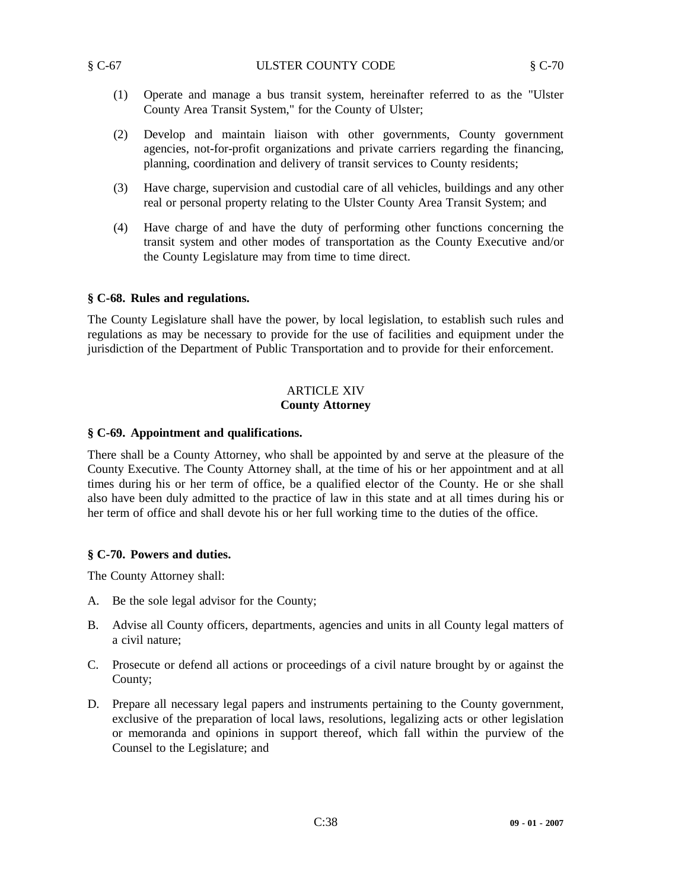- (1) Operate and manage a bus transit system, hereinafter referred to as the "Ulster County Area Transit System," for the County of Ulster;
- (2) Develop and maintain liaison with other governments, County government agencies, not-for-profit organizations and private carriers regarding the financing, planning, coordination and delivery of transit services to County residents;
- (3) Have charge, supervision and custodial care of all vehicles, buildings and any other real or personal property relating to the Ulster County Area Transit System; and
- (4) Have charge of and have the duty of performing other functions concerning the transit system and other modes of transportation as the County Executive and/or the County Legislature may from time to time direct.

#### **§ C-68. Rules and regulations.**

The County Legislature shall have the power, by local legislation, to establish such rules and regulations as may be necessary to provide for the use of facilities and equipment under the jurisdiction of the Department of Public Transportation and to provide for their enforcement.

# ARTICLE XIV **County Attorney**

#### **§ C-69. Appointment and qualifications.**

There shall be a County Attorney, who shall be appointed by and serve at the pleasure of the County Executive. The County Attorney shall, at the time of his or her appointment and at all times during his or her term of office, be a qualified elector of the County. He or she shall also have been duly admitted to the practice of law in this state and at all times during his or her term of office and shall devote his or her full working time to the duties of the office.

# **§ C-70. Powers and duties.**

The County Attorney shall:

- A. Be the sole legal advisor for the County;
- B. Advise all County officers, departments, agencies and units in all County legal matters of a civil nature;
- C. Prosecute or defend all actions or proceedings of a civil nature brought by or against the County;
- D. Prepare all necessary legal papers and instruments pertaining to the County government, exclusive of the preparation of local laws, resolutions, legalizing acts or other legislation or memoranda and opinions in support thereof, which fall within the purview of the Counsel to the Legislature; and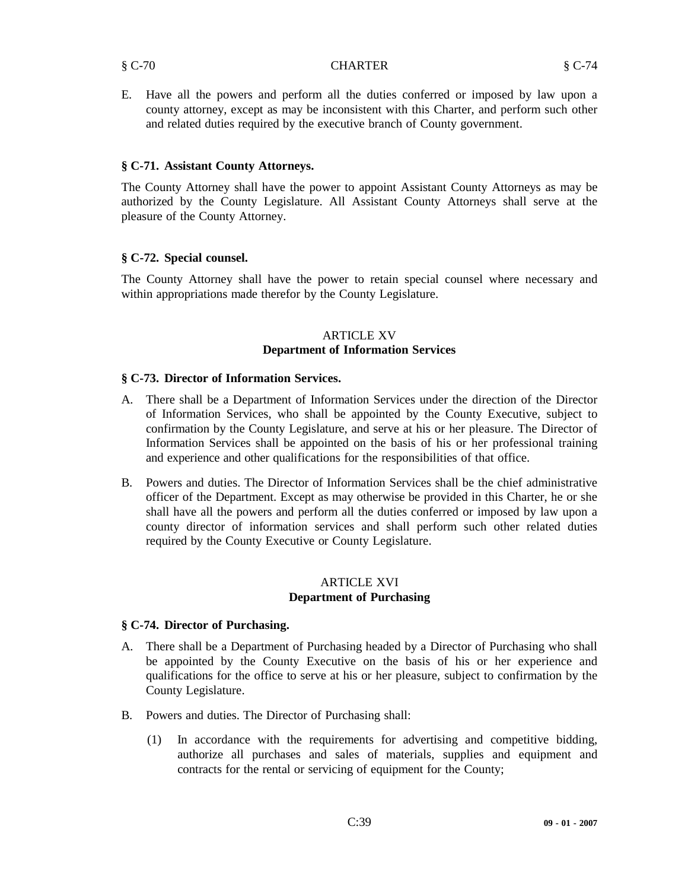E. Have all the powers and perform all the duties conferred or imposed by law upon a county attorney, except as may be inconsistent with this Charter, and perform such other and related duties required by the executive branch of County government.

# **§ C-71. Assistant County Attorneys.**

The County Attorney shall have the power to appoint Assistant County Attorneys as may be authorized by the County Legislature. All Assistant County Attorneys shall serve at the pleasure of the County Attorney.

# **§ C-72. Special counsel.**

The County Attorney shall have the power to retain special counsel where necessary and within appropriations made therefor by the County Legislature.

#### ARTICLE XV **Department of Information Services**

# **§ C-73. Director of Information Services.**

- A. There shall be a Department of Information Services under the direction of the Director of Information Services, who shall be appointed by the County Executive, subject to confirmation by the County Legislature, and serve at his or her pleasure. The Director of Information Services shall be appointed on the basis of his or her professional training and experience and other qualifications for the responsibilities of that office.
- B. Powers and duties. The Director of Information Services shall be the chief administrative officer of the Department. Except as may otherwise be provided in this Charter, he or she shall have all the powers and perform all the duties conferred or imposed by law upon a county director of information services and shall perform such other related duties required by the County Executive or County Legislature.

#### ARTICLE XVI **Department of Purchasing**

# **§ C-74. Director of Purchasing.**

- A. There shall be a Department of Purchasing headed by a Director of Purchasing who shall be appointed by the County Executive on the basis of his or her experience and qualifications for the office to serve at his or her pleasure, subject to confirmation by the County Legislature.
- B. Powers and duties. The Director of Purchasing shall:
	- (1) In accordance with the requirements for advertising and competitive bidding, authorize all purchases and sales of materials, supplies and equipment and contracts for the rental or servicing of equipment for the County;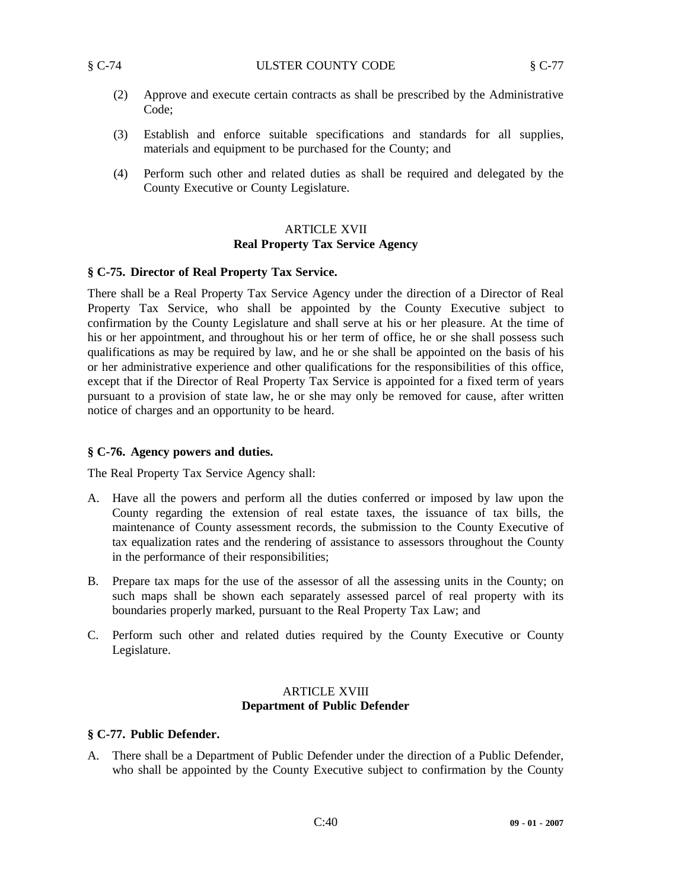- (2) Approve and execute certain contracts as shall be prescribed by the Administrative Code;
- (3) Establish and enforce suitable specifications and standards for all supplies, materials and equipment to be purchased for the County; and
- (4) Perform such other and related duties as shall be required and delegated by the County Executive or County Legislature.

# ARTICLE XVII **Real Property Tax Service Agency**

# **§ C-75. Director of Real Property Tax Service.**

There shall be a Real Property Tax Service Agency under the direction of a Director of Real Property Tax Service, who shall be appointed by the County Executive subject to confirmation by the County Legislature and shall serve at his or her pleasure. At the time of his or her appointment, and throughout his or her term of office, he or she shall possess such qualifications as may be required by law, and he or she shall be appointed on the basis of his or her administrative experience and other qualifications for the responsibilities of this office, except that if the Director of Real Property Tax Service is appointed for a fixed term of years pursuant to a provision of state law, he or she may only be removed for cause, after written notice of charges and an opportunity to be heard.

# **§ C-76. Agency powers and duties.**

The Real Property Tax Service Agency shall:

- A. Have all the powers and perform all the duties conferred or imposed by law upon the County regarding the extension of real estate taxes, the issuance of tax bills, the maintenance of County assessment records, the submission to the County Executive of tax equalization rates and the rendering of assistance to assessors throughout the County in the performance of their responsibilities;
- B. Prepare tax maps for the use of the assessor of all the assessing units in the County; on such maps shall be shown each separately assessed parcel of real property with its boundaries properly marked, pursuant to the Real Property Tax Law; and
- C. Perform such other and related duties required by the County Executive or County Legislature.

# ARTICLE XVIII **Department of Public Defender**

# **§ C-77. Public Defender.**

A. There shall be a Department of Public Defender under the direction of a Public Defender, who shall be appointed by the County Executive subject to confirmation by the County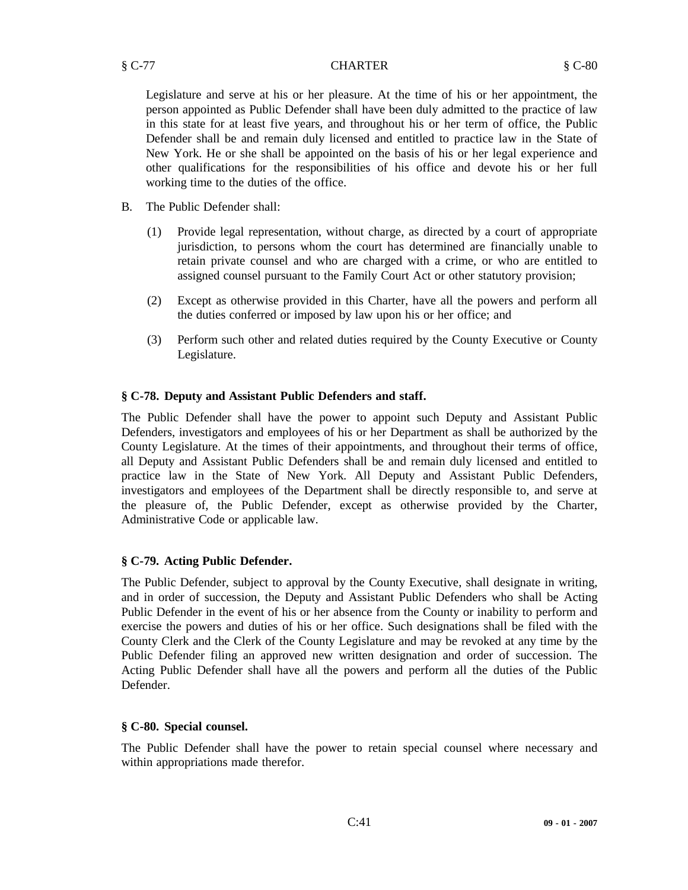Legislature and serve at his or her pleasure. At the time of his or her appointment, the person appointed as Public Defender shall have been duly admitted to the practice of law in this state for at least five years, and throughout his or her term of office, the Public Defender shall be and remain duly licensed and entitled to practice law in the State of New York. He or she shall be appointed on the basis of his or her legal experience and other qualifications for the responsibilities of his office and devote his or her full working time to the duties of the office.

- B. The Public Defender shall:
	- (1) Provide legal representation, without charge, as directed by a court of appropriate jurisdiction, to persons whom the court has determined are financially unable to retain private counsel and who are charged with a crime, or who are entitled to assigned counsel pursuant to the Family Court Act or other statutory provision;
	- (2) Except as otherwise provided in this Charter, have all the powers and perform all the duties conferred or imposed by law upon his or her office; and
	- (3) Perform such other and related duties required by the County Executive or County Legislature.

# **§ C-78. Deputy and Assistant Public Defenders and staff.**

The Public Defender shall have the power to appoint such Deputy and Assistant Public Defenders, investigators and employees of his or her Department as shall be authorized by the County Legislature. At the times of their appointments, and throughout their terms of office, all Deputy and Assistant Public Defenders shall be and remain duly licensed and entitled to practice law in the State of New York. All Deputy and Assistant Public Defenders, investigators and employees of the Department shall be directly responsible to, and serve at the pleasure of, the Public Defender, except as otherwise provided by the Charter, Administrative Code or applicable law.

# **§ C-79. Acting Public Defender.**

The Public Defender, subject to approval by the County Executive, shall designate in writing, and in order of succession, the Deputy and Assistant Public Defenders who shall be Acting Public Defender in the event of his or her absence from the County or inability to perform and exercise the powers and duties of his or her office. Such designations shall be filed with the County Clerk and the Clerk of the County Legislature and may be revoked at any time by the Public Defender filing an approved new written designation and order of succession. The Acting Public Defender shall have all the powers and perform all the duties of the Public Defender.

# **§ C-80. Special counsel.**

The Public Defender shall have the power to retain special counsel where necessary and within appropriations made therefor.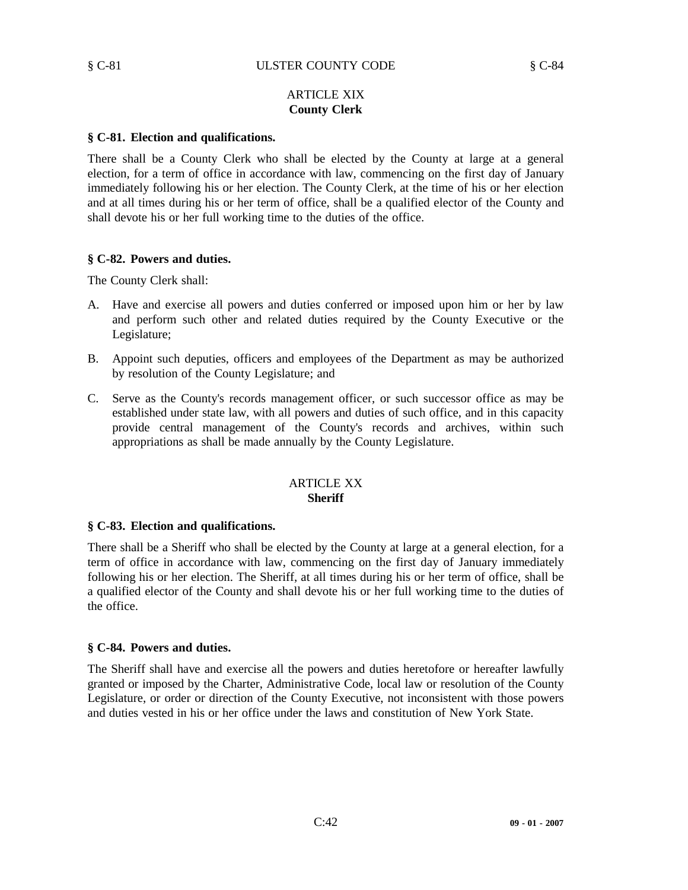# ARTICLE XIX **County Clerk**

# **§ C-81. Election and qualifications.**

There shall be a County Clerk who shall be elected by the County at large at a general election, for a term of office in accordance with law, commencing on the first day of January immediately following his or her election. The County Clerk, at the time of his or her election and at all times during his or her term of office, shall be a qualified elector of the County and shall devote his or her full working time to the duties of the office.

#### **§ C-82. Powers and duties.**

The County Clerk shall:

- A. Have and exercise all powers and duties conferred or imposed upon him or her by law and perform such other and related duties required by the County Executive or the Legislature;
- B. Appoint such deputies, officers and employees of the Department as may be authorized by resolution of the County Legislature; and
- C. Serve as the County's records management officer, or such successor office as may be established under state law, with all powers and duties of such office, and in this capacity provide central management of the County's records and archives, within such appropriations as shall be made annually by the County Legislature.

#### ARTICLE XX **Sheriff**

# **§ C-83. Election and qualifications.**

There shall be a Sheriff who shall be elected by the County at large at a general election, for a term of office in accordance with law, commencing on the first day of January immediately following his or her election. The Sheriff, at all times during his or her term of office, shall be a qualified elector of the County and shall devote his or her full working time to the duties of the office.

#### **§ C-84. Powers and duties.**

The Sheriff shall have and exercise all the powers and duties heretofore or hereafter lawfully granted or imposed by the Charter, Administrative Code, local law or resolution of the County Legislature, or order or direction of the County Executive, not inconsistent with those powers and duties vested in his or her office under the laws and constitution of New York State.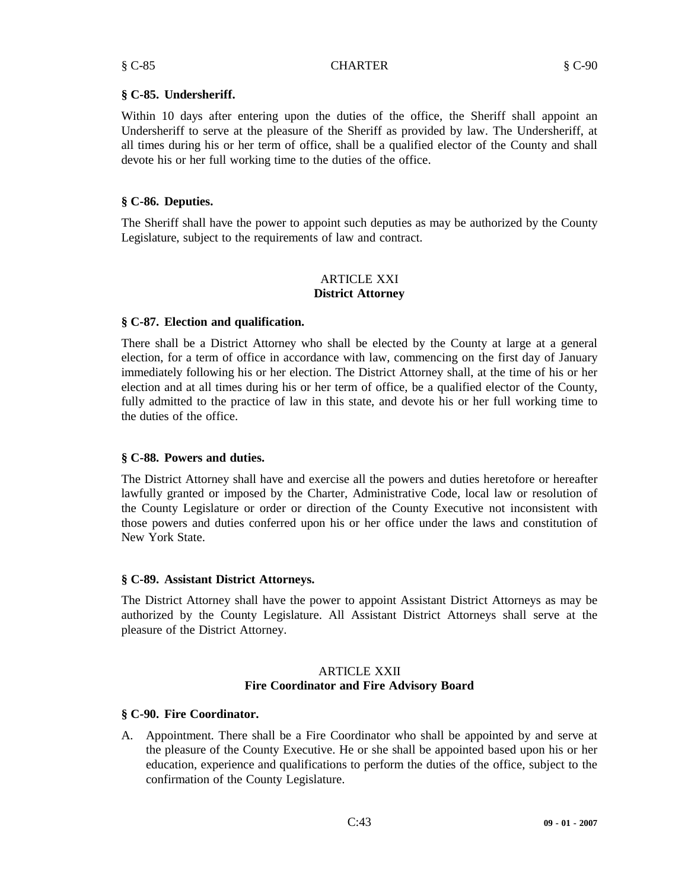§ C-85 CHARTER § C-90

Within 10 days after entering upon the duties of the office, the Sheriff shall appoint an Undersheriff to serve at the pleasure of the Sheriff as provided by law. The Undersheriff, at all times during his or her term of office, shall be a qualified elector of the County and shall devote his or her full working time to the duties of the office.

# **§ C-86. Deputies.**

The Sheriff shall have the power to appoint such deputies as may be authorized by the County Legislature, subject to the requirements of law and contract.

# ARTICLE XXI **District Attorney**

# **§ C-87. Election and qualification.**

There shall be a District Attorney who shall be elected by the County at large at a general election, for a term of office in accordance with law, commencing on the first day of January immediately following his or her election. The District Attorney shall, at the time of his or her election and at all times during his or her term of office, be a qualified elector of the County, fully admitted to the practice of law in this state, and devote his or her full working time to the duties of the office.

# **§ C-88. Powers and duties.**

The District Attorney shall have and exercise all the powers and duties heretofore or hereafter lawfully granted or imposed by the Charter, Administrative Code, local law or resolution of the County Legislature or order or direction of the County Executive not inconsistent with those powers and duties conferred upon his or her office under the laws and constitution of New York State.

# **§ C-89. Assistant District Attorneys.**

The District Attorney shall have the power to appoint Assistant District Attorneys as may be authorized by the County Legislature. All Assistant District Attorneys shall serve at the pleasure of the District Attorney.

# **ARTICLE XXII Fire Coordinator and Fire Advisory Board**

# **§ C-90. Fire Coordinator.**

A. Appointment. There shall be a Fire Coordinator who shall be appointed by and serve at the pleasure of the County Executive. He or she shall be appointed based upon his or her education, experience and qualifications to perform the duties of the office, subject to the confirmation of the County Legislature.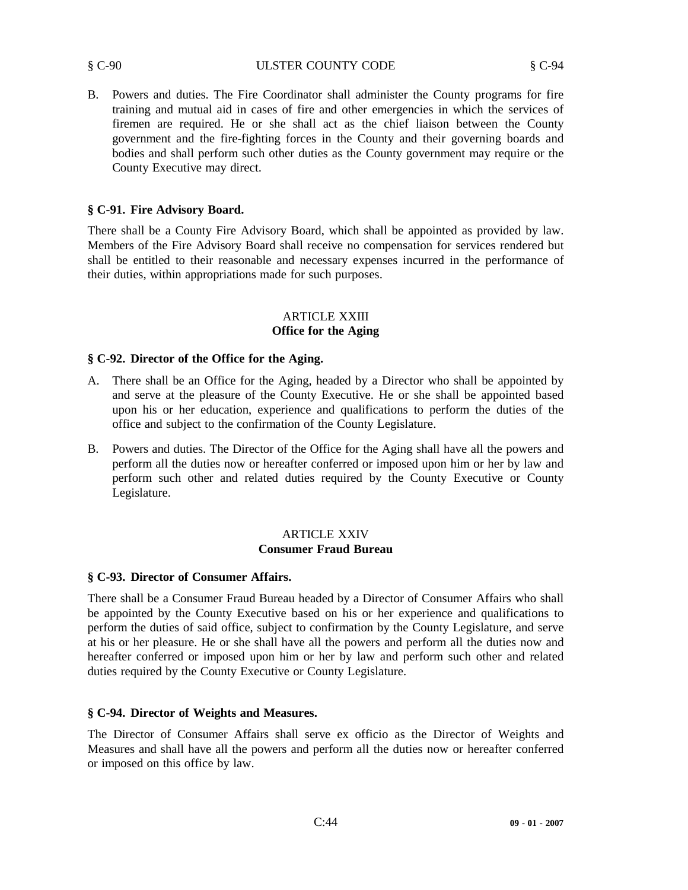#### § C-90 ULSTER COUNTY CODE § C-94

B. Powers and duties. The Fire Coordinator shall administer the County programs for fire training and mutual aid in cases of fire and other emergencies in which the services of firemen are required. He or she shall act as the chief liaison between the County government and the fire-fighting forces in the County and their governing boards and bodies and shall perform such other duties as the County government may require or the County Executive may direct.

# **§ C-91. Fire Advisory Board.**

There shall be a County Fire Advisory Board, which shall be appointed as provided by law. Members of the Fire Advisory Board shall receive no compensation for services rendered but shall be entitled to their reasonable and necessary expenses incurred in the performance of their duties, within appropriations made for such purposes.

# ARTICLE XXIII **Office for the Aging**

# **§ C-92. Director of the Office for the Aging.**

- A. There shall be an Office for the Aging, headed by a Director who shall be appointed by and serve at the pleasure of the County Executive. He or she shall be appointed based upon his or her education, experience and qualifications to perform the duties of the office and subject to the confirmation of the County Legislature.
- B. Powers and duties. The Director of the Office for the Aging shall have all the powers and perform all the duties now or hereafter conferred or imposed upon him or her by law and perform such other and related duties required by the County Executive or County Legislature.

# ARTICLE XXIV **Consumer Fraud Bureau**

# **§ C-93. Director of Consumer Affairs.**

There shall be a Consumer Fraud Bureau headed by a Director of Consumer Affairs who shall be appointed by the County Executive based on his or her experience and qualifications to perform the duties of said office, subject to confirmation by the County Legislature, and serve at his or her pleasure. He or she shall have all the powers and perform all the duties now and hereafter conferred or imposed upon him or her by law and perform such other and related duties required by the County Executive or County Legislature.

# **§ C-94. Director of Weights and Measures.**

The Director of Consumer Affairs shall serve ex officio as the Director of Weights and Measures and shall have all the powers and perform all the duties now or hereafter conferred or imposed on this office by law.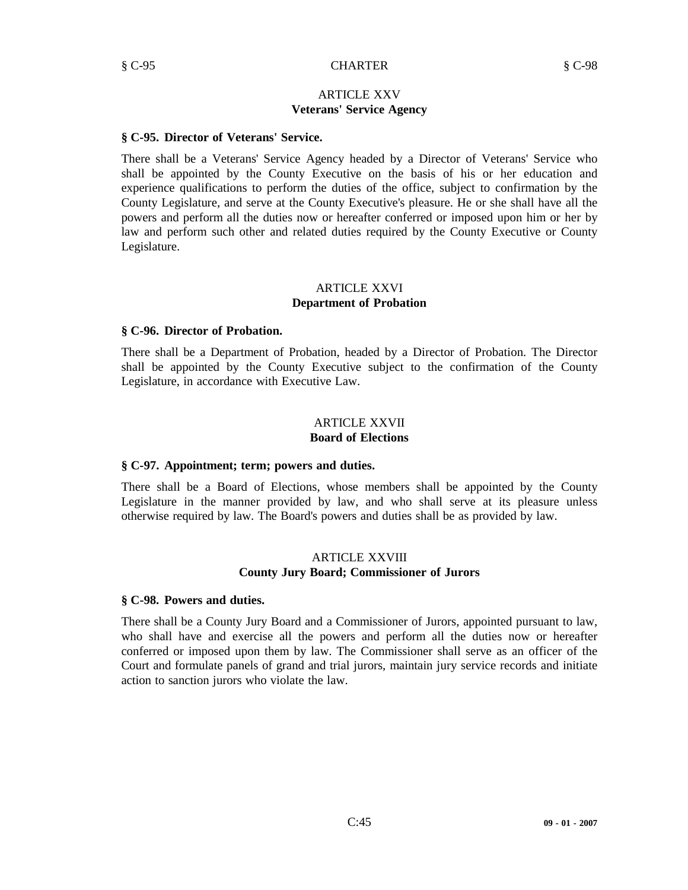# ARTICLE XXV **Veterans' Service Agency**

# **§ C-95. Director of Veterans' Service.**

There shall be a Veterans' Service Agency headed by a Director of Veterans' Service who shall be appointed by the County Executive on the basis of his or her education and experience qualifications to perform the duties of the office, subject to confirmation by the County Legislature, and serve at the County Executive's pleasure. He or she shall have all the powers and perform all the duties now or hereafter conferred or imposed upon him or her by law and perform such other and related duties required by the County Executive or County Legislature.

#### ARTICLE XXVI **Department of Probation**

# **§ C-96. Director of Probation.**

There shall be a Department of Probation, headed by a Director of Probation. The Director shall be appointed by the County Executive subject to the confirmation of the County Legislature, in accordance with Executive Law.

#### ARTICLE XXVII **Board of Elections**

#### **§ C-97. Appointment; term; powers and duties.**

There shall be a Board of Elections, whose members shall be appointed by the County Legislature in the manner provided by law, and who shall serve at its pleasure unless otherwise required by law. The Board's powers and duties shall be as provided by law.

# ARTICLE XXVIII **County Jury Board; Commissioner of Jurors**

#### **§ C-98. Powers and duties.**

There shall be a County Jury Board and a Commissioner of Jurors, appointed pursuant to law, who shall have and exercise all the powers and perform all the duties now or hereafter conferred or imposed upon them by law. The Commissioner shall serve as an officer of the Court and formulate panels of grand and trial jurors, maintain jury service records and initiate action to sanction jurors who violate the law.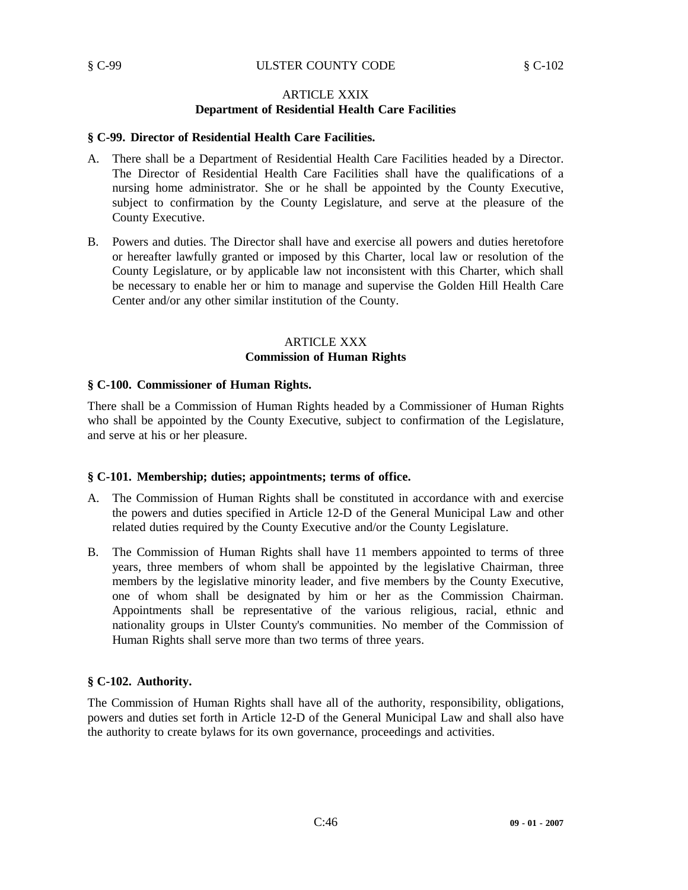# ARTICLE XXIX **Department of Residential Health Care Facilities**

# **§ C-99. Director of Residential Health Care Facilities.**

- A. There shall be a Department of Residential Health Care Facilities headed by a Director. The Director of Residential Health Care Facilities shall have the qualifications of a nursing home administrator. She or he shall be appointed by the County Executive, subject to confirmation by the County Legislature, and serve at the pleasure of the County Executive.
- B. Powers and duties. The Director shall have and exercise all powers and duties heretofore or hereafter lawfully granted or imposed by this Charter, local law or resolution of the County Legislature, or by applicable law not inconsistent with this Charter, which shall be necessary to enable her or him to manage and supervise the Golden Hill Health Care Center and/or any other similar institution of the County.

# ARTICLE XXX **Commission of Human Rights**

# **§ C-100. Commissioner of Human Rights.**

There shall be a Commission of Human Rights headed by a Commissioner of Human Rights who shall be appointed by the County Executive, subject to confirmation of the Legislature, and serve at his or her pleasure.

# **§ C-101. Membership; duties; appointments; terms of office.**

- A. The Commission of Human Rights shall be constituted in accordance with and exercise the powers and duties specified in Article 12-D of the General Municipal Law and other related duties required by the County Executive and/or the County Legislature.
- B. The Commission of Human Rights shall have 11 members appointed to terms of three years, three members of whom shall be appointed by the legislative Chairman, three members by the legislative minority leader, and five members by the County Executive, one of whom shall be designated by him or her as the Commission Chairman. Appointments shall be representative of the various religious, racial, ethnic and nationality groups in Ulster County's communities. No member of the Commission of Human Rights shall serve more than two terms of three years.

# **§ C-102. Authority.**

The Commission of Human Rights shall have all of the authority, responsibility, obligations, powers and duties set forth in Article 12-D of the General Municipal Law and shall also have the authority to create bylaws for its own governance, proceedings and activities.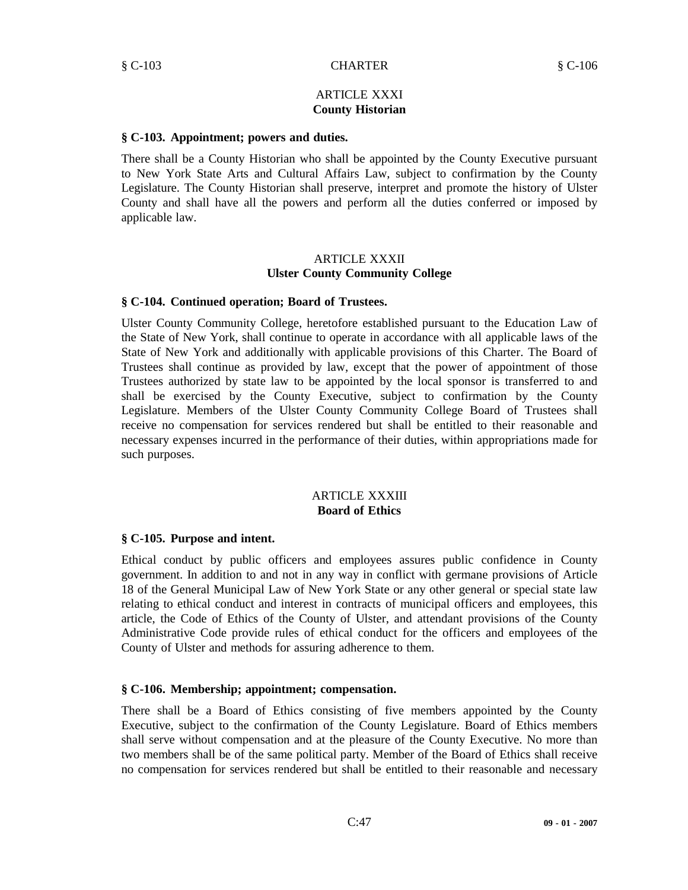# ARTICLE XXXI **County Historian**

#### **§ C-103. Appointment; powers and duties.**

There shall be a County Historian who shall be appointed by the County Executive pursuant to New York State Arts and Cultural Affairs Law, subject to confirmation by the County Legislature. The County Historian shall preserve, interpret and promote the history of Ulster County and shall have all the powers and perform all the duties conferred or imposed by applicable law.

#### ARTICLE XXXII **Ulster County Community College**

#### **§ C-104. Continued operation; Board of Trustees.**

Ulster County Community College, heretofore established pursuant to the Education Law of the State of New York, shall continue to operate in accordance with all applicable laws of the State of New York and additionally with applicable provisions of this Charter. The Board of Trustees shall continue as provided by law, except that the power of appointment of those Trustees authorized by state law to be appointed by the local sponsor is transferred to and shall be exercised by the County Executive, subject to confirmation by the County Legislature. Members of the Ulster County Community College Board of Trustees shall receive no compensation for services rendered but shall be entitled to their reasonable and necessary expenses incurred in the performance of their duties, within appropriations made for such purposes.

#### ARTICLE XXXIII **Board of Ethics**

#### **§ C-105. Purpose and intent.**

Ethical conduct by public officers and employees assures public confidence in County government. In addition to and not in any way in conflict with germane provisions of Article 18 of the General Municipal Law of New York State or any other general or special state law relating to ethical conduct and interest in contracts of municipal officers and employees, this article, the Code of Ethics of the County of Ulster, and attendant provisions of the County Administrative Code provide rules of ethical conduct for the officers and employees of the County of Ulster and methods for assuring adherence to them.

#### **§ C-106. Membership; appointment; compensation.**

There shall be a Board of Ethics consisting of five members appointed by the County Executive, subject to the confirmation of the County Legislature. Board of Ethics members shall serve without compensation and at the pleasure of the County Executive. No more than two members shall be of the same political party. Member of the Board of Ethics shall receive no compensation for services rendered but shall be entitled to their reasonable and necessary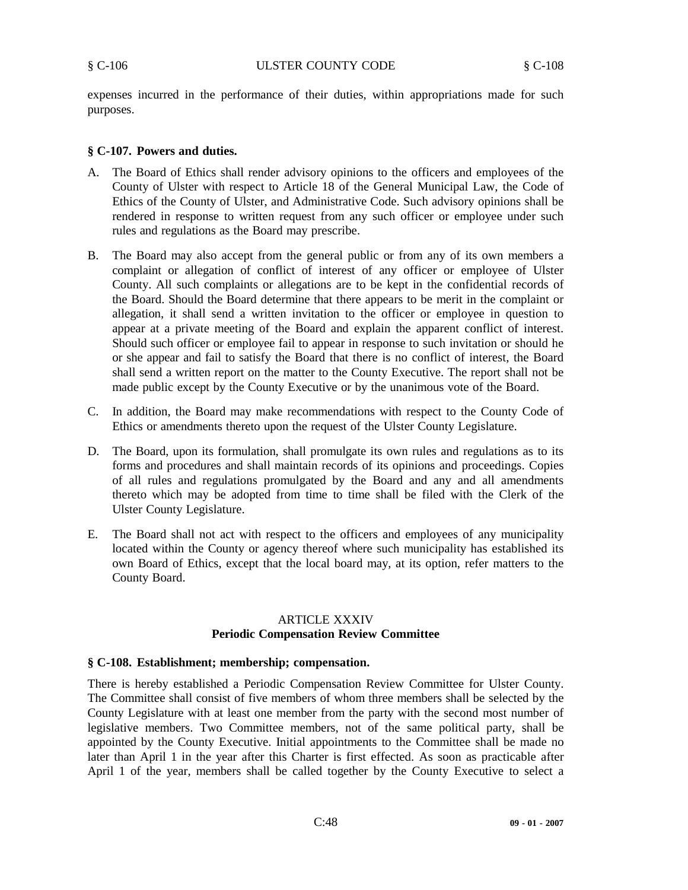expenses incurred in the performance of their duties, within appropriations made for such purposes.

#### **§ C-107. Powers and duties.**

- A. The Board of Ethics shall render advisory opinions to the officers and employees of the County of Ulster with respect to Article 18 of the General Municipal Law, the Code of Ethics of the County of Ulster, and Administrative Code. Such advisory opinions shall be rendered in response to written request from any such officer or employee under such rules and regulations as the Board may prescribe.
- B. The Board may also accept from the general public or from any of its own members a complaint or allegation of conflict of interest of any officer or employee of Ulster County. All such complaints or allegations are to be kept in the confidential records of the Board. Should the Board determine that there appears to be merit in the complaint or allegation, it shall send a written invitation to the officer or employee in question to appear at a private meeting of the Board and explain the apparent conflict of interest. Should such officer or employee fail to appear in response to such invitation or should he or she appear and fail to satisfy the Board that there is no conflict of interest, the Board shall send a written report on the matter to the County Executive. The report shall not be made public except by the County Executive or by the unanimous vote of the Board.
- C. In addition, the Board may make recommendations with respect to the County Code of Ethics or amendments thereto upon the request of the Ulster County Legislature.
- D. The Board, upon its formulation, shall promulgate its own rules and regulations as to its forms and procedures and shall maintain records of its opinions and proceedings. Copies of all rules and regulations promulgated by the Board and any and all amendments thereto which may be adopted from time to time shall be filed with the Clerk of the Ulster County Legislature.
- E. The Board shall not act with respect to the officers and employees of any municipality located within the County or agency thereof where such municipality has established its own Board of Ethics, except that the local board may, at its option, refer matters to the County Board.

#### ARTICLE XXXIV **Periodic Compensation Review Committee**

#### **§ C-108. Establishment; membership; compensation.**

There is hereby established a Periodic Compensation Review Committee for Ulster County. The Committee shall consist of five members of whom three members shall be selected by the County Legislature with at least one member from the party with the second most number of legislative members. Two Committee members, not of the same political party, shall be appointed by the County Executive. Initial appointments to the Committee shall be made no later than April 1 in the year after this Charter is first effected. As soon as practicable after April 1 of the year, members shall be called together by the County Executive to select a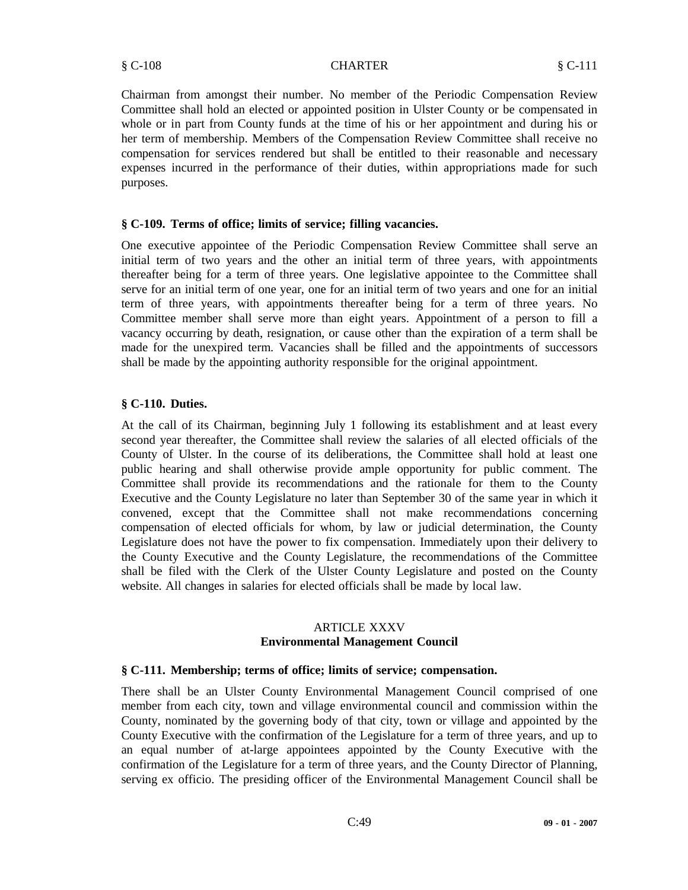Chairman from amongst their number. No member of the Periodic Compensation Review Committee shall hold an elected or appointed position in Ulster County or be compensated in whole or in part from County funds at the time of his or her appointment and during his or her term of membership. Members of the Compensation Review Committee shall receive no compensation for services rendered but shall be entitled to their reasonable and necessary expenses incurred in the performance of their duties, within appropriations made for such purposes.

# **§ C-109. Terms of office; limits of service; filling vacancies.**

One executive appointee of the Periodic Compensation Review Committee shall serve an initial term of two years and the other an initial term of three years, with appointments thereafter being for a term of three years. One legislative appointee to the Committee shall serve for an initial term of one year, one for an initial term of two years and one for an initial term of three years, with appointments thereafter being for a term of three years. No Committee member shall serve more than eight years. Appointment of a person to fill a vacancy occurring by death, resignation, or cause other than the expiration of a term shall be made for the unexpired term. Vacancies shall be filled and the appointments of successors shall be made by the appointing authority responsible for the original appointment.

# **§ C-110. Duties.**

At the call of its Chairman, beginning July 1 following its establishment and at least every second year thereafter, the Committee shall review the salaries of all elected officials of the County of Ulster. In the course of its deliberations, the Committee shall hold at least one public hearing and shall otherwise provide ample opportunity for public comment. The Committee shall provide its recommendations and the rationale for them to the County Executive and the County Legislature no later than September 30 of the same year in which it convened, except that the Committee shall not make recommendations concerning compensation of elected officials for whom, by law or judicial determination, the County Legislature does not have the power to fix compensation. Immediately upon their delivery to the County Executive and the County Legislature, the recommendations of the Committee shall be filed with the Clerk of the Ulster County Legislature and posted on the County website. All changes in salaries for elected officials shall be made by local law.

# ARTICLE XXXV **Environmental Management Council**

# **§ C-111. Membership; terms of office; limits of service; compensation.**

There shall be an Ulster County Environmental Management Council comprised of one member from each city, town and village environmental council and commission within the County, nominated by the governing body of that city, town or village and appointed by the County Executive with the confirmation of the Legislature for a term of three years, and up to an equal number of at-large appointees appointed by the County Executive with the confirmation of the Legislature for a term of three years, and the County Director of Planning, serving ex officio. The presiding officer of the Environmental Management Council shall be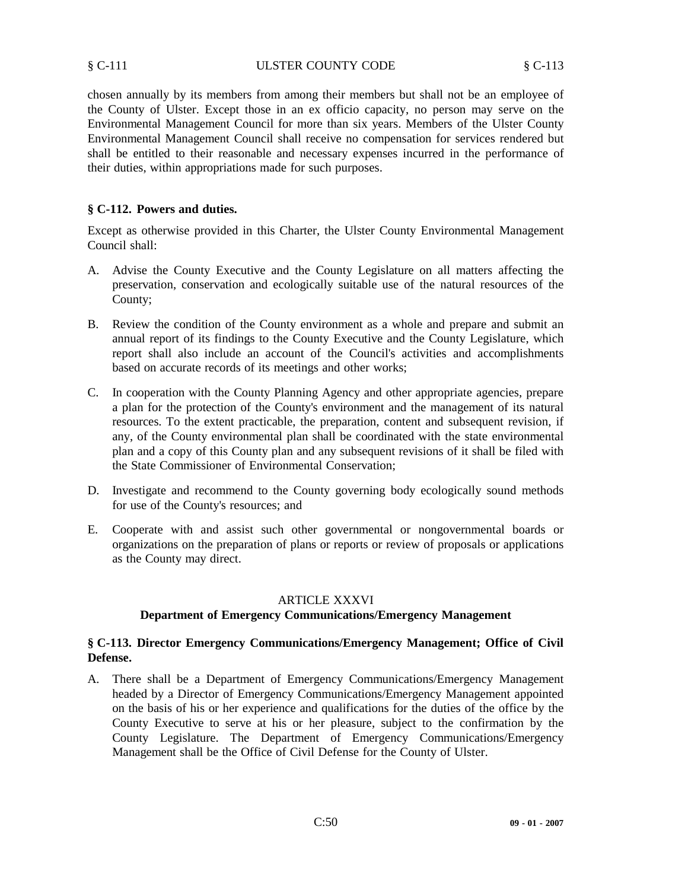chosen annually by its members from among their members but shall not be an employee of the County of Ulster. Except those in an ex officio capacity, no person may serve on the Environmental Management Council for more than six years. Members of the Ulster County Environmental Management Council shall receive no compensation for services rendered but shall be entitled to their reasonable and necessary expenses incurred in the performance of their duties, within appropriations made for such purposes.

# **§ C-112. Powers and duties.**

Except as otherwise provided in this Charter, the Ulster County Environmental Management Council shall:

- A. Advise the County Executive and the County Legislature on all matters affecting the preservation, conservation and ecologically suitable use of the natural resources of the County;
- B. Review the condition of the County environment as a whole and prepare and submit an annual report of its findings to the County Executive and the County Legislature, which report shall also include an account of the Council's activities and accomplishments based on accurate records of its meetings and other works;
- C. In cooperation with the County Planning Agency and other appropriate agencies, prepare a plan for the protection of the County's environment and the management of its natural resources. To the extent practicable, the preparation, content and subsequent revision, if any, of the County environmental plan shall be coordinated with the state environmental plan and a copy of this County plan and any subsequent revisions of it shall be filed with the State Commissioner of Environmental Conservation;
- D. Investigate and recommend to the County governing body ecologically sound methods for use of the County's resources; and
- E. Cooperate with and assist such other governmental or nongovernmental boards or organizations on the preparation of plans or reports or review of proposals or applications as the County may direct.

# ARTICLE XXXVI

# **Department of Emergency Communications/Emergency Management**

# **§ C-113. Director Emergency Communications/Emergency Management; Office of Civil Defense.**

A. There shall be a Department of Emergency Communications/Emergency Management headed by a Director of Emergency Communications/Emergency Management appointed on the basis of his or her experience and qualifications for the duties of the office by the County Executive to serve at his or her pleasure, subject to the confirmation by the County Legislature. The Department of Emergency Communications/Emergency Management shall be the Office of Civil Defense for the County of Ulster.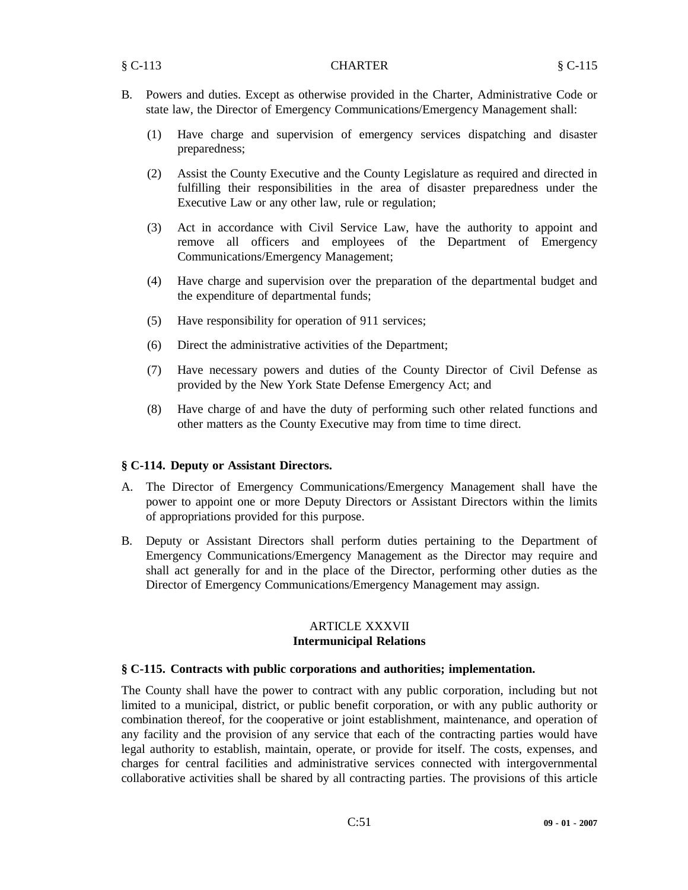- B. Powers and duties. Except as otherwise provided in the Charter, Administrative Code or state law, the Director of Emergency Communications/Emergency Management shall:
	- (1) Have charge and supervision of emergency services dispatching and disaster preparedness;
	- (2) Assist the County Executive and the County Legislature as required and directed in fulfilling their responsibilities in the area of disaster preparedness under the Executive Law or any other law, rule or regulation;
	- (3) Act in accordance with Civil Service Law, have the authority to appoint and remove all officers and employees of the Department of Emergency Communications/Emergency Management;
	- (4) Have charge and supervision over the preparation of the departmental budget and the expenditure of departmental funds;
	- (5) Have responsibility for operation of 911 services;
	- (6) Direct the administrative activities of the Department;
	- (7) Have necessary powers and duties of the County Director of Civil Defense as provided by the New York State Defense Emergency Act; and
	- (8) Have charge of and have the duty of performing such other related functions and other matters as the County Executive may from time to time direct.

#### **§ C-114. Deputy or Assistant Directors.**

- A. The Director of Emergency Communications/Emergency Management shall have the power to appoint one or more Deputy Directors or Assistant Directors within the limits of appropriations provided for this purpose.
- B. Deputy or Assistant Directors shall perform duties pertaining to the Department of Emergency Communications/Emergency Management as the Director may require and shall act generally for and in the place of the Director, performing other duties as the Director of Emergency Communications/Emergency Management may assign.

#### ARTICLE XXXVII **Intermunicipal Relations**

#### **§ C-115. Contracts with public corporations and authorities; implementation.**

The County shall have the power to contract with any public corporation, including but not limited to a municipal, district, or public benefit corporation, or with any public authority or combination thereof, for the cooperative or joint establishment, maintenance, and operation of any facility and the provision of any service that each of the contracting parties would have legal authority to establish, maintain, operate, or provide for itself. The costs, expenses, and charges for central facilities and administrative services connected with intergovernmental collaborative activities shall be shared by all contracting parties. The provisions of this article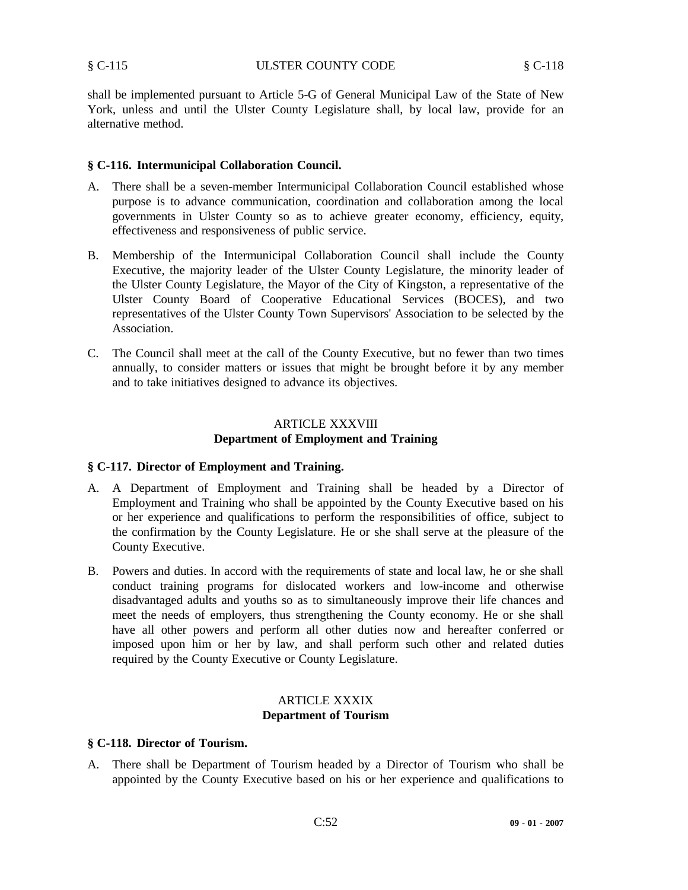shall be implemented pursuant to Article 5-G of General Municipal Law of the State of New York, unless and until the Ulster County Legislature shall, by local law, provide for an alternative method.

#### **§ C-116. Intermunicipal Collaboration Council.**

- A. There shall be a seven-member Intermunicipal Collaboration Council established whose purpose is to advance communication, coordination and collaboration among the local governments in Ulster County so as to achieve greater economy, efficiency, equity, effectiveness and responsiveness of public service.
- B. Membership of the Intermunicipal Collaboration Council shall include the County Executive, the majority leader of the Ulster County Legislature, the minority leader of the Ulster County Legislature, the Mayor of the City of Kingston, a representative of the Ulster County Board of Cooperative Educational Services (BOCES), and two representatives of the Ulster County Town Supervisors' Association to be selected by the Association.
- C. The Council shall meet at the call of the County Executive, but no fewer than two times annually, to consider matters or issues that might be brought before it by any member and to take initiatives designed to advance its objectives.

# ARTICLE XXXVIII **Department of Employment and Training**

# **§ C-117. Director of Employment and Training.**

- A. A Department of Employment and Training shall be headed by a Director of Employment and Training who shall be appointed by the County Executive based on his or her experience and qualifications to perform the responsibilities of office, subject to the confirmation by the County Legislature. He or she shall serve at the pleasure of the County Executive.
- B. Powers and duties. In accord with the requirements of state and local law, he or she shall conduct training programs for dislocated workers and low-income and otherwise disadvantaged adults and youths so as to simultaneously improve their life chances and meet the needs of employers, thus strengthening the County economy. He or she shall have all other powers and perform all other duties now and hereafter conferred or imposed upon him or her by law, and shall perform such other and related duties required by the County Executive or County Legislature.

#### ARTICLE XXXIX **Department of Tourism**

#### **§ C-118. Director of Tourism.**

A. There shall be Department of Tourism headed by a Director of Tourism who shall be appointed by the County Executive based on his or her experience and qualifications to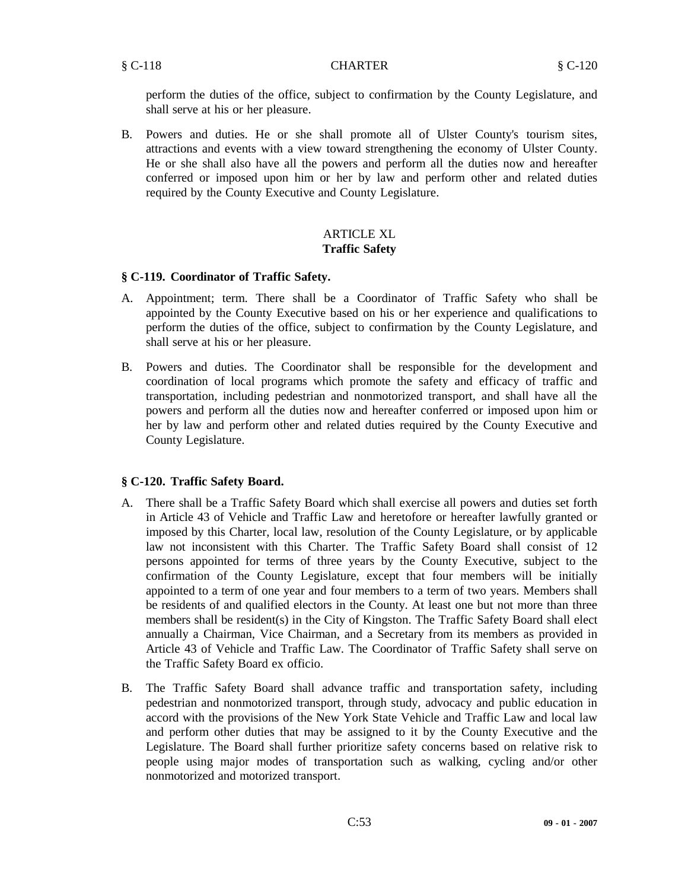perform the duties of the office, subject to confirmation by the County Legislature, and shall serve at his or her pleasure.

B. Powers and duties. He or she shall promote all of Ulster County's tourism sites, attractions and events with a view toward strengthening the economy of Ulster County. He or she shall also have all the powers and perform all the duties now and hereafter conferred or imposed upon him or her by law and perform other and related duties required by the County Executive and County Legislature.

# ARTICLE XL **Traffic Safety**

# **§ C-119. Coordinator of Traffic Safety.**

- A. Appointment; term. There shall be a Coordinator of Traffic Safety who shall be appointed by the County Executive based on his or her experience and qualifications to perform the duties of the office, subject to confirmation by the County Legislature, and shall serve at his or her pleasure.
- B. Powers and duties. The Coordinator shall be responsible for the development and coordination of local programs which promote the safety and efficacy of traffic and transportation, including pedestrian and nonmotorized transport, and shall have all the powers and perform all the duties now and hereafter conferred or imposed upon him or her by law and perform other and related duties required by the County Executive and County Legislature.

# **§ C-120. Traffic Safety Board.**

- A. There shall be a Traffic Safety Board which shall exercise all powers and duties set forth in Article 43 of Vehicle and Traffic Law and heretofore or hereafter lawfully granted or imposed by this Charter, local law, resolution of the County Legislature, or by applicable law not inconsistent with this Charter. The Traffic Safety Board shall consist of 12 persons appointed for terms of three years by the County Executive, subject to the confirmation of the County Legislature, except that four members will be initially appointed to a term of one year and four members to a term of two years. Members shall be residents of and qualified electors in the County. At least one but not more than three members shall be resident(s) in the City of Kingston. The Traffic Safety Board shall elect annually a Chairman, Vice Chairman, and a Secretary from its members as provided in Article 43 of Vehicle and Traffic Law. The Coordinator of Traffic Safety shall serve on the Traffic Safety Board ex officio.
- B. The Traffic Safety Board shall advance traffic and transportation safety, including pedestrian and nonmotorized transport, through study, advocacy and public education in accord with the provisions of the New York State Vehicle and Traffic Law and local law and perform other duties that may be assigned to it by the County Executive and the Legislature. The Board shall further prioritize safety concerns based on relative risk to people using major modes of transportation such as walking, cycling and/or other nonmotorized and motorized transport.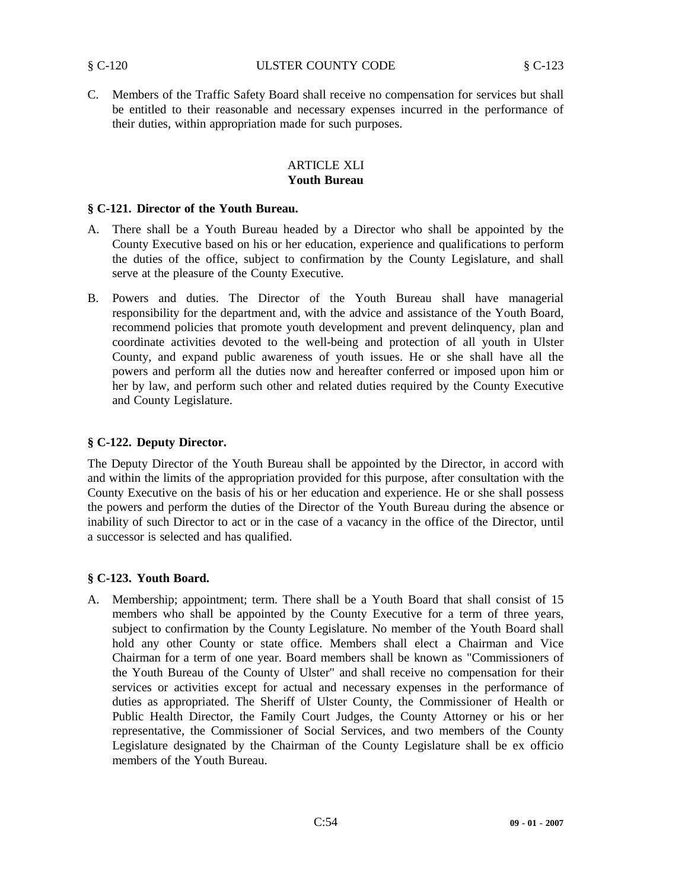C. Members of the Traffic Safety Board shall receive no compensation for services but shall be entitled to their reasonable and necessary expenses incurred in the performance of their duties, within appropriation made for such purposes.

# ARTICLE XLI **Youth Bureau**

# **§ C-121. Director of the Youth Bureau.**

- A. There shall be a Youth Bureau headed by a Director who shall be appointed by the County Executive based on his or her education, experience and qualifications to perform the duties of the office, subject to confirmation by the County Legislature, and shall serve at the pleasure of the County Executive.
- B. Powers and duties. The Director of the Youth Bureau shall have managerial responsibility for the department and, with the advice and assistance of the Youth Board, recommend policies that promote youth development and prevent delinquency, plan and coordinate activities devoted to the well-being and protection of all youth in Ulster County, and expand public awareness of youth issues. He or she shall have all the powers and perform all the duties now and hereafter conferred or imposed upon him or her by law, and perform such other and related duties required by the County Executive and County Legislature.

# **§ C-122. Deputy Director.**

The Deputy Director of the Youth Bureau shall be appointed by the Director, in accord with and within the limits of the appropriation provided for this purpose, after consultation with the County Executive on the basis of his or her education and experience. He or she shall possess the powers and perform the duties of the Director of the Youth Bureau during the absence or inability of such Director to act or in the case of a vacancy in the office of the Director, until a successor is selected and has qualified.

# **§ C-123. Youth Board.**

A. Membership; appointment; term. There shall be a Youth Board that shall consist of 15 members who shall be appointed by the County Executive for a term of three years, subject to confirmation by the County Legislature. No member of the Youth Board shall hold any other County or state office. Members shall elect a Chairman and Vice Chairman for a term of one year. Board members shall be known as "Commissioners of the Youth Bureau of the County of Ulster" and shall receive no compensation for their services or activities except for actual and necessary expenses in the performance of duties as appropriated. The Sheriff of Ulster County, the Commissioner of Health or Public Health Director, the Family Court Judges, the County Attorney or his or her representative, the Commissioner of Social Services, and two members of the County Legislature designated by the Chairman of the County Legislature shall be ex officio members of the Youth Bureau.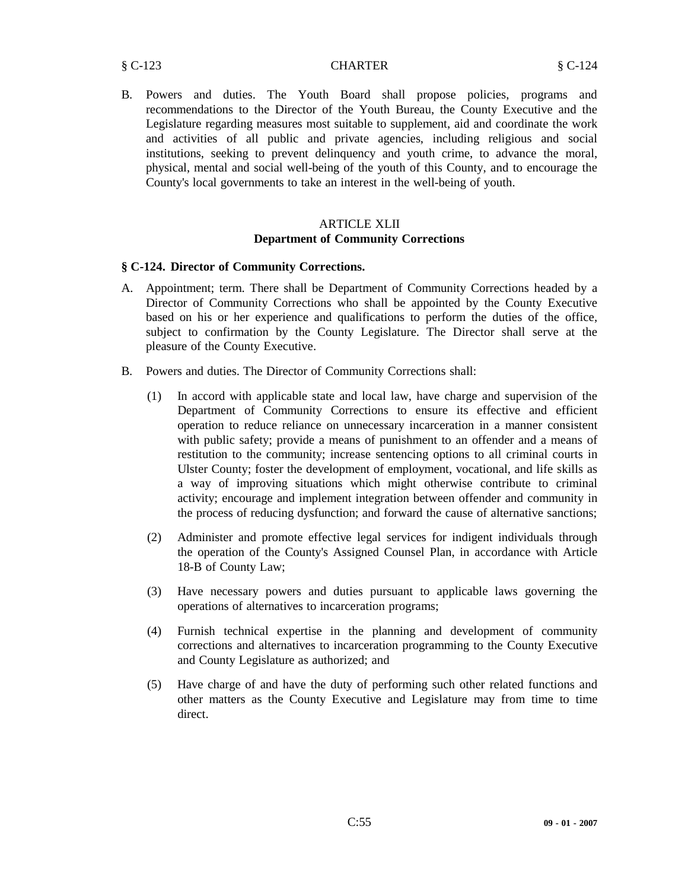B. Powers and duties. The Youth Board shall propose policies, programs and recommendations to the Director of the Youth Bureau, the County Executive and the Legislature regarding measures most suitable to supplement, aid and coordinate the work and activities of all public and private agencies, including religious and social institutions, seeking to prevent delinquency and youth crime, to advance the moral, physical, mental and social well-being of the youth of this County, and to encourage the County's local governments to take an interest in the well-being of youth.

# ARTICLE XLII **Department of Community Corrections**

#### **§ C-124. Director of Community Corrections.**

- A. Appointment; term. There shall be Department of Community Corrections headed by a Director of Community Corrections who shall be appointed by the County Executive based on his or her experience and qualifications to perform the duties of the office, subject to confirmation by the County Legislature. The Director shall serve at the pleasure of the County Executive.
- B. Powers and duties. The Director of Community Corrections shall:
	- (1) In accord with applicable state and local law, have charge and supervision of the Department of Community Corrections to ensure its effective and efficient operation to reduce reliance on unnecessary incarceration in a manner consistent with public safety; provide a means of punishment to an offender and a means of restitution to the community; increase sentencing options to all criminal courts in Ulster County; foster the development of employment, vocational, and life skills as a way of improving situations which might otherwise contribute to criminal activity; encourage and implement integration between offender and community in the process of reducing dysfunction; and forward the cause of alternative sanctions;
	- (2) Administer and promote effective legal services for indigent individuals through the operation of the County's Assigned Counsel Plan, in accordance with Article 18-B of County Law;
	- (3) Have necessary powers and duties pursuant to applicable laws governing the operations of alternatives to incarceration programs;
	- (4) Furnish technical expertise in the planning and development of community corrections and alternatives to incarceration programming to the County Executive and County Legislature as authorized; and
	- (5) Have charge of and have the duty of performing such other related functions and other matters as the County Executive and Legislature may from time to time direct.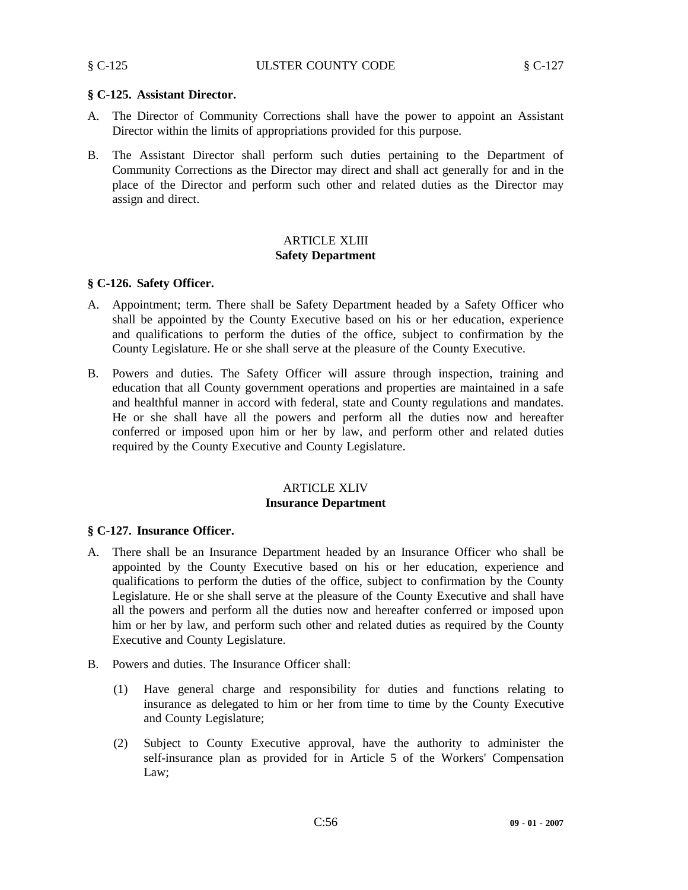#### § C-125 ULSTER COUNTY CODE § C-127

# **§ C-125. Assistant Director.**

- A. The Director of Community Corrections shall have the power to appoint an Assistant Director within the limits of appropriations provided for this purpose.
- B. The Assistant Director shall perform such duties pertaining to the Department of Community Corrections as the Director may direct and shall act generally for and in the place of the Director and perform such other and related duties as the Director may assign and direct.

# ARTICLE XLIII **Safety Department**

#### **§ C-126. Safety Officer.**

- A. Appointment; term. There shall be Safety Department headed by a Safety Officer who shall be appointed by the County Executive based on his or her education, experience and qualifications to perform the duties of the office, subject to confirmation by the County Legislature. He or she shall serve at the pleasure of the County Executive.
- B. Powers and duties. The Safety Officer will assure through inspection, training and education that all County government operations and properties are maintained in a safe and healthful manner in accord with federal, state and County regulations and mandates. He or she shall have all the powers and perform all the duties now and hereafter conferred or imposed upon him or her by law, and perform other and related duties required by the County Executive and County Legislature.

# ARTICLE XLIV **Insurance Department**

# **§ C-127. Insurance Officer.**

- A. There shall be an Insurance Department headed by an Insurance Officer who shall be appointed by the County Executive based on his or her education, experience and qualifications to perform the duties of the office, subject to confirmation by the County Legislature. He or she shall serve at the pleasure of the County Executive and shall have all the powers and perform all the duties now and hereafter conferred or imposed upon him or her by law, and perform such other and related duties as required by the County Executive and County Legislature.
- B. Powers and duties. The Insurance Officer shall:
	- (1) Have general charge and responsibility for duties and functions relating to insurance as delegated to him or her from time to time by the County Executive and County Legislature;
	- (2) Subject to County Executive approval, have the authority to administer the self-insurance plan as provided for in Article 5 of the Workers' Compensation Law;

C:56 **09 - 01 - 2007**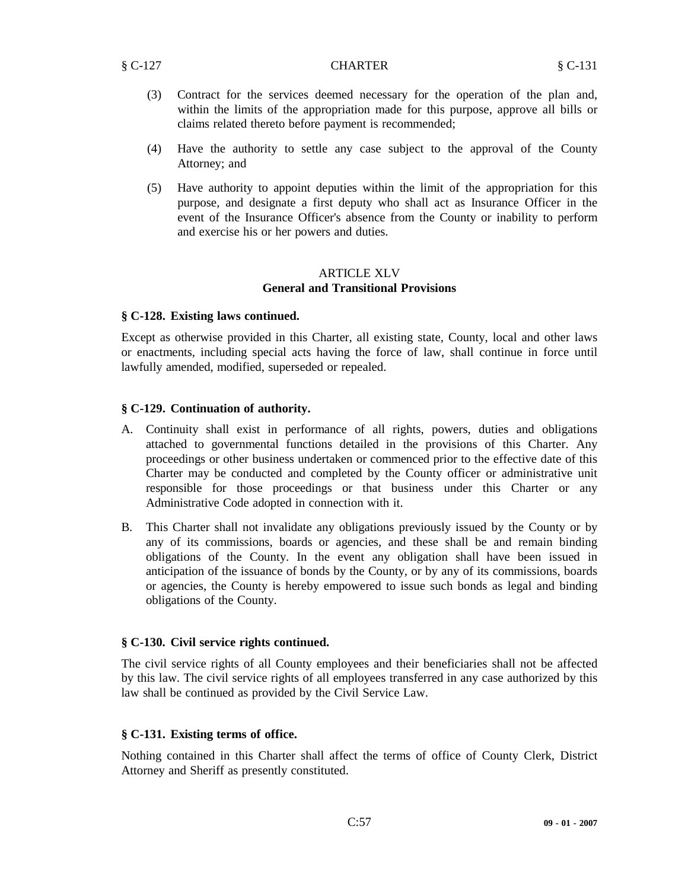- (3) Contract for the services deemed necessary for the operation of the plan and, within the limits of the appropriation made for this purpose, approve all bills or claims related thereto before payment is recommended;
- (4) Have the authority to settle any case subject to the approval of the County Attorney; and
- (5) Have authority to appoint deputies within the limit of the appropriation for this purpose, and designate a first deputy who shall act as Insurance Officer in the event of the Insurance Officer's absence from the County or inability to perform and exercise his or her powers and duties.

# ARTICLE XLV **General and Transitional Provisions**

#### **§ C-128. Existing laws continued.**

Except as otherwise provided in this Charter, all existing state, County, local and other laws or enactments, including special acts having the force of law, shall continue in force until lawfully amended, modified, superseded or repealed.

# **§ C-129. Continuation of authority.**

- A. Continuity shall exist in performance of all rights, powers, duties and obligations attached to governmental functions detailed in the provisions of this Charter. Any proceedings or other business undertaken or commenced prior to the effective date of this Charter may be conducted and completed by the County officer or administrative unit responsible for those proceedings or that business under this Charter or any Administrative Code adopted in connection with it.
- B. This Charter shall not invalidate any obligations previously issued by the County or by any of its commissions, boards or agencies, and these shall be and remain binding obligations of the County. In the event any obligation shall have been issued in anticipation of the issuance of bonds by the County, or by any of its commissions, boards or agencies, the County is hereby empowered to issue such bonds as legal and binding obligations of the County.

#### **§ C-130. Civil service rights continued.**

The civil service rights of all County employees and their beneficiaries shall not be affected by this law. The civil service rights of all employees transferred in any case authorized by this law shall be continued as provided by the Civil Service Law.

#### **§ C-131. Existing terms of office.**

Nothing contained in this Charter shall affect the terms of office of County Clerk, District Attorney and Sheriff as presently constituted.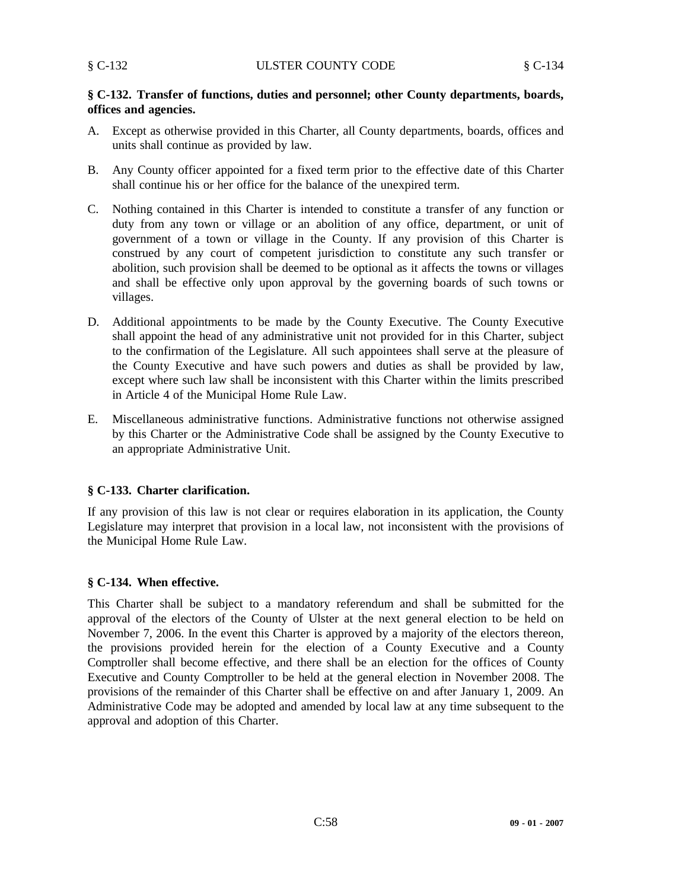# **§ C-132. Transfer of functions, duties and personnel; other County departments, boards, offices and agencies.**

- A. Except as otherwise provided in this Charter, all County departments, boards, offices and units shall continue as provided by law.
- B. Any County officer appointed for a fixed term prior to the effective date of this Charter shall continue his or her office for the balance of the unexpired term.
- C. Nothing contained in this Charter is intended to constitute a transfer of any function or duty from any town or village or an abolition of any office, department, or unit of government of a town or village in the County. If any provision of this Charter is construed by any court of competent jurisdiction to constitute any such transfer or abolition, such provision shall be deemed to be optional as it affects the towns or villages and shall be effective only upon approval by the governing boards of such towns or villages.
- D. Additional appointments to be made by the County Executive. The County Executive shall appoint the head of any administrative unit not provided for in this Charter, subject to the confirmation of the Legislature. All such appointees shall serve at the pleasure of the County Executive and have such powers and duties as shall be provided by law, except where such law shall be inconsistent with this Charter within the limits prescribed in Article 4 of the Municipal Home Rule Law.
- E. Miscellaneous administrative functions. Administrative functions not otherwise assigned by this Charter or the Administrative Code shall be assigned by the County Executive to an appropriate Administrative Unit.

# **§ C-133. Charter clarification.**

If any provision of this law is not clear or requires elaboration in its application, the County Legislature may interpret that provision in a local law, not inconsistent with the provisions of the Municipal Home Rule Law.

# **§ C-134. When effective.**

This Charter shall be subject to a mandatory referendum and shall be submitted for the approval of the electors of the County of Ulster at the next general election to be held on November 7, 2006. In the event this Charter is approved by a majority of the electors thereon, the provisions provided herein for the election of a County Executive and a County Comptroller shall become effective, and there shall be an election for the offices of County Executive and County Comptroller to be held at the general election in November 2008. The provisions of the remainder of this Charter shall be effective on and after January 1, 2009. An Administrative Code may be adopted and amended by local law at any time subsequent to the approval and adoption of this Charter.